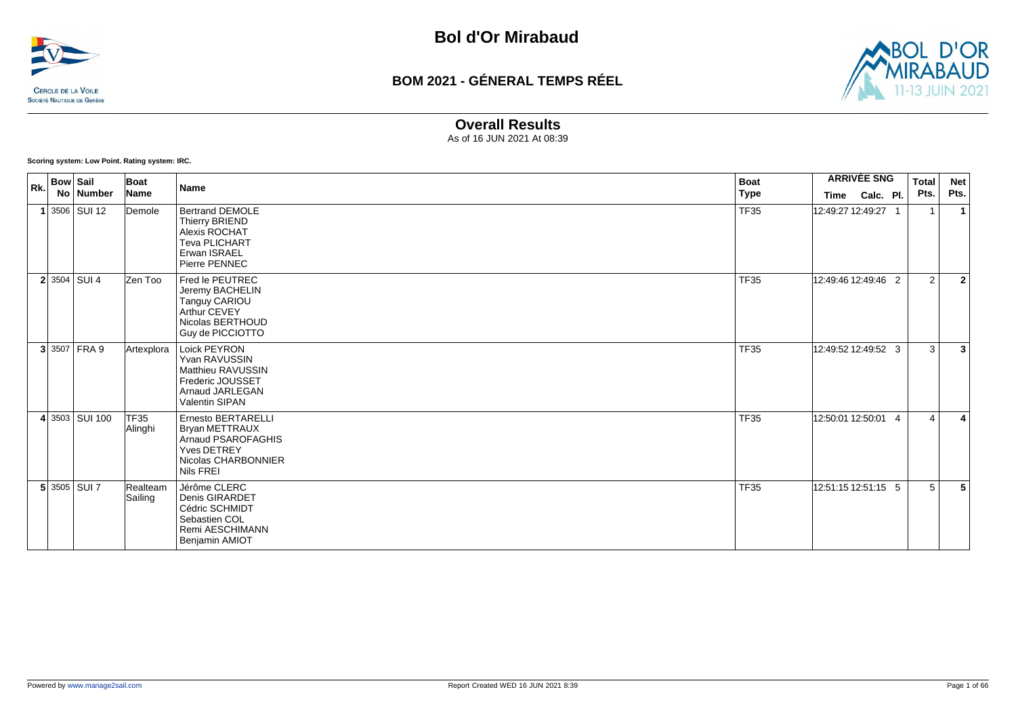



#### **Overall Results**

As of 16 JUN 2021 At 08:39

**Scoring system: Low Point. Rating system: IRC.**

| Rk. | <b>Bow Sail</b><br>No Number | Boat<br>Name        | <b>Name</b>                                                                                                          | Boat<br><b>Type</b> | <b>ARRIVÉE SNG</b><br>Time Calc. Pl. | <b>Total</b><br>Pts. | <b>Net</b><br>Pts.           |
|-----|------------------------------|---------------------|----------------------------------------------------------------------------------------------------------------------|---------------------|--------------------------------------|----------------------|------------------------------|
|     | $1 3506 $ SUI 12             | Demole              | <b>Bertrand DEMOLE</b><br>Thierry BRIEND<br>Alexis ROCHAT<br><b>Teva PLICHART</b><br>Erwan ISRAEL<br>Pierre PENNEC   | <b>TF35</b>         | 12:49:27 12:49:27 1                  | -1                   | $\mathbf{1}$                 |
|     | $2 3504 $ SUI 4              | Zen Too             | Fred le PEUTREC<br>Jeremy BACHELIN<br>Tanguy CARIOU<br>Arthur CEVEY<br>Nicolas BERTHOUD<br>Guy de PICCIOTTO          | <b>TF35</b>         | 12:49:46 12:49:46 2                  |                      | 2<br>$\overline{2}$          |
|     | 3 3507 FRA 9                 | Artexplora          | Loick PEYRON<br>Yvan RAVUSSIN<br><b>Matthieu RAVUSSIN</b><br>Frederic JOUSSET<br>Arnaud JARLEGAN<br>Valentin SIPAN   | <b>TF35</b>         | 12:49:52 12:49:52 3                  |                      | 3<br>$\overline{\mathbf{3}}$ |
|     | 4 3503 SUI 100               | TF35<br>Alinghi     | Ernesto BERTARELLI<br><b>Bryan METTRAUX</b><br>Arnaud PSAROFAGHIS<br>Yves DETREY<br>Nicolas CHARBONNIER<br>Nils FREI | <b>TF35</b>         | 12:50:01 12:50:01 4                  |                      | $\boldsymbol{\Delta}$<br>Δ   |
|     | $5 3505 $ SUI 7              | Realteam<br>Sailing | Jérôme CLERC<br>Denis GIRARDET<br>Cédric SCHMIDT<br>Sebastien COL<br>Remi AESCHIMANN<br>Benjamin AMIOT               | <b>TF35</b>         | 12:51:15 12:51:15 5                  |                      | 5<br>5                       |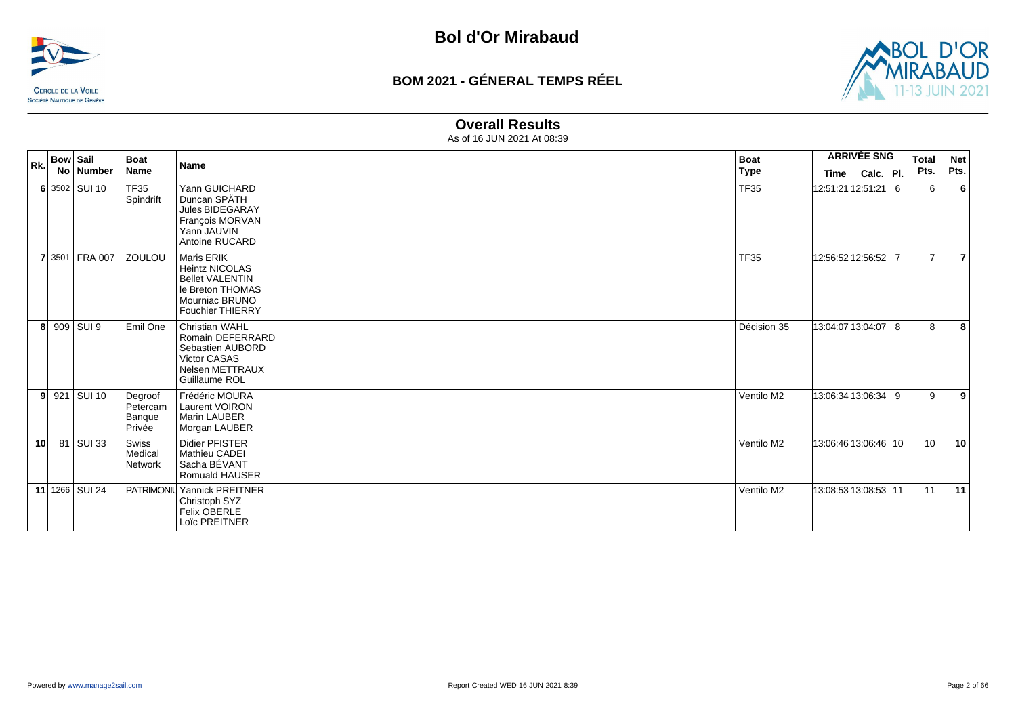



#### **Overall Results**

| Rk.             | <b>Bow Sail</b> |                | Boat                                    | <b>Name</b>                                                                                                                           | <b>Boat</b> | <b>ARRIVÉE SNG</b>   |           |  |                 |      |  |  |  |  | <b>Total</b> |  | <b>Net</b> |
|-----------------|-----------------|----------------|-----------------------------------------|---------------------------------------------------------------------------------------------------------------------------------------|-------------|----------------------|-----------|--|-----------------|------|--|--|--|--|--------------|--|------------|
|                 |                 | No Number      | Name                                    |                                                                                                                                       | Type        | Time                 | Calc. Pl. |  | Pts.            | Pts. |  |  |  |  |              |  |            |
|                 |                 | 6 3502 SUI 10  | TF35<br>Spindrift                       | Yann GUICHARD<br>Duncan SPÄTH<br>Jules BIDEGARAY<br>François MORVAN<br>Yann JAUVIN<br>Antoine RUCARD                                  | <b>TF35</b> | 12:51:21 12:51:21 6  |           |  | 6               | 6    |  |  |  |  |              |  |            |
|                 |                 | 7 3501 FRA 007 | <b>ZOULOU</b>                           | <b>Maris ERIK</b><br><b>Heintz NICOLAS</b><br><b>Bellet VALENTIN</b><br>le Breton THOMAS<br>Mourniac BRUNO<br><b>Fouchier THIERRY</b> | <b>TF35</b> | 12:56:52 12:56:52 7  |           |  | $\overline{7}$  | 7    |  |  |  |  |              |  |            |
| 8               |                 | 909 SUI 9      | Emil One                                | <b>Christian WAHL</b><br>Romain DEFERRARD<br>Sebastien AUBORD<br><b>Victor CASAS</b><br><b>Nelsen METTRAUX</b><br>Guillaume ROL       | Décision 35 | 13:04:07 13:04:07 8  |           |  | 8               | 8    |  |  |  |  |              |  |            |
| 9               |                 | 921 SUI 10     | Degroof<br>Petercam<br>Banque<br>Privée | Frédéric MOURA<br>Laurent VOIRON<br>Marin LAUBER<br>Morgan LAUBER                                                                     | Ventilo M2  | 13:06:34 13:06:34 9  |           |  | 9               | 9    |  |  |  |  |              |  |            |
| 10 <sup>1</sup> |                 | 81 SUI 33      | Swiss<br>Medical<br>Network             | <b>Didier PFISTER</b><br>Mathieu CADEI<br>Sacha BÉVANT<br>Romuald HAUSER                                                              | Ventilo M2  | 13:06:46 13:06:46 10 |           |  | 10 <sup>1</sup> | 10   |  |  |  |  |              |  |            |
|                 |                 | 11 1266 SUI 24 |                                         | PATRIMONIL Yannick PREITNER<br>Christoph SYZ<br><b>Felix OBERLE</b><br>Loïc PREITNER                                                  | Ventilo M2  | 13:08:53 13:08:53 11 |           |  | 11              | 11   |  |  |  |  |              |  |            |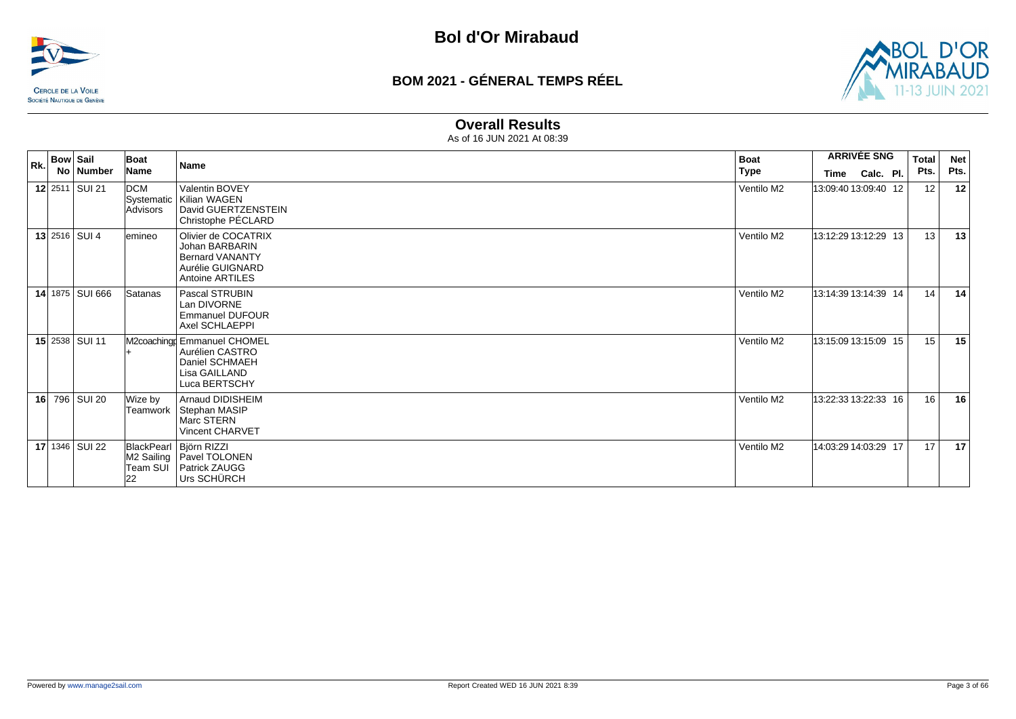



#### **Overall Results**

| Rk. | <b>Bow Sail</b> |                  | Boat                     | <b>Name</b>                                                                                                   | <b>Boat</b> | <b>ARRIVÉE SNG</b>   | <b>Total</b> | <b>Net</b> |      |      |
|-----|-----------------|------------------|--------------------------|---------------------------------------------------------------------------------------------------------------|-------------|----------------------|--------------|------------|------|------|
|     |                 | No   Number      | Name                     |                                                                                                               | <b>Type</b> | <b>Time</b>          | Calc. Pl.    |            | Pts. | Pts. |
|     |                 | 12 $2511$ SUI 21 | DCM<br><b>Advisors</b>   | Valentin BOVEY<br>Systematic   Kilian WAGEN<br>David GUERTZENSTEIN<br>Christophe PÉCLARD                      | Ventilo M2  | 13:09:40 13:09:40 12 |              |            | 12   | 12   |
|     |                 | 13 $2516$ SUI 4  | lemineo                  | Olivier de COCATRIX<br>Johan BARBARIN<br><b>Bernard VANANTY</b><br>Aurélie GUIGNARD<br><b>Antoine ARTILES</b> | Ventilo M2  | 13:12:29 13:12:29 13 |              |            | 13   | 13   |
|     |                 | 14 1875 SUI 666  | Satanas                  | Pascal STRUBIN<br>Lan DIVORNE<br><b>Emmanuel DUFOUR</b><br>Axel SCHLAEPPI                                     | Ventilo M2  | 13:14:39 13:14:39 14 |              |            | 14   | 14   |
|     |                 | 15 2538 SUI 11   |                          | M2coaching Emmanuel CHOMEL<br>Aurélien CASTRO<br>Daniel SCHMAEH<br>Lisa GAILLAND<br>Luca BERTSCHY             | Ventilo M2  | 13:15:09 13:15:09 15 |              |            | 15   | 15   |
|     |                 | 16 796 SUI 20    | Wize by<br> Teamwork     | Arnaud DIDISHEIM<br>Stephan MASIP<br>Marc STERN<br><b>Vincent CHARVET</b>                                     | Ventilo M2  | 13:22:33 13:22:33 16 |              |            | 16   | 16   |
|     |                 | 17 1346 SUI 22   | Team SUĪ<br>$ 22\rangle$ | BlackPearl   Björn RIZZI<br>M2 Sailing   Pavel TOLONEN<br>Patrick ZAUGG<br>Urs SCHÜRCH                        | Ventilo M2  | 14:03:29 14:03:29 17 |              |            | 17   | 17   |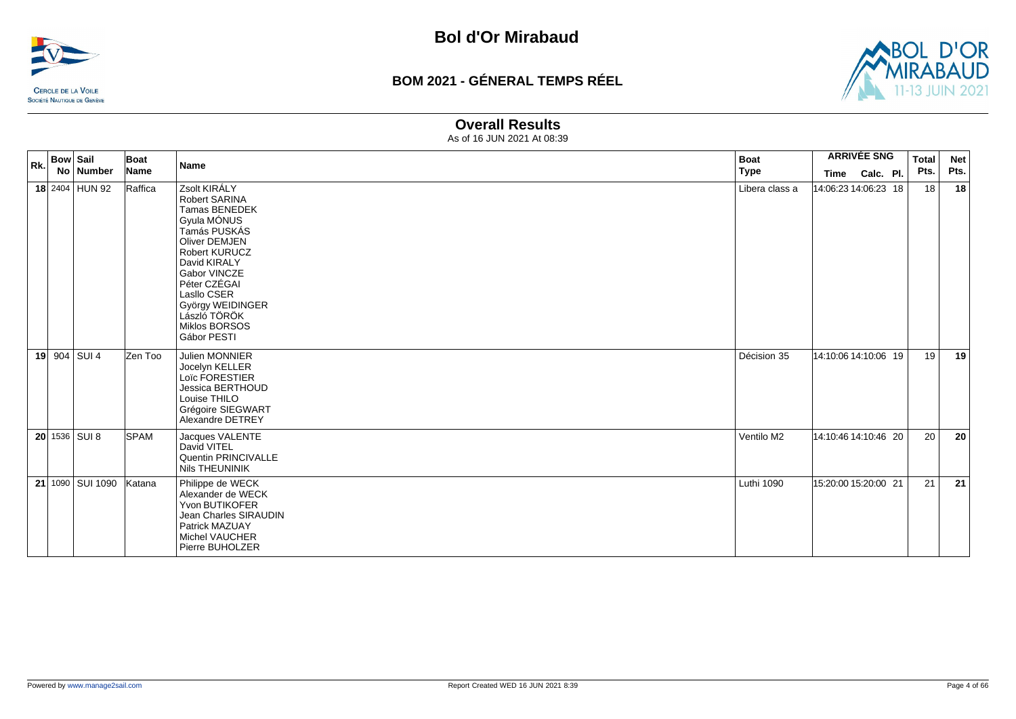



#### **Overall Results**

| Rk. | <b>Bow Sail</b> |                  | Boat        | <b>Name</b>                                                                                                                                                                                                                                        | <b>Boat</b>    |                      | <b>ARRIVÉE SNG</b> | <b>Total</b> | <b>Net</b> |
|-----|-----------------|------------------|-------------|----------------------------------------------------------------------------------------------------------------------------------------------------------------------------------------------------------------------------------------------------|----------------|----------------------|--------------------|--------------|------------|
|     |                 | No Number        | Name        |                                                                                                                                                                                                                                                    | <b>Type</b>    | Time                 | Calc. Pl.          | Pts.         | Pts.       |
|     |                 | 18 2404 HUN 92   | Raffica     | Zsolt KIRÁLY<br>Robert SARINA<br>Tamas BENEDEK<br>Gyula MÓNUS<br>Tamás PUSKÁS<br>Oliver DEMJEN<br>Robert KURUCZ<br>David KIRALY<br>Gabor VINCZE<br>Péter CZÉGAI<br>Lasllo CSER<br>György WEIDINGER<br>László TÖRÖK<br>Miklos BORSOS<br>Gábor PESTI | Libera class a | 14:06:23 14:06:23 18 |                    | 18           | 18         |
|     |                 | 19 904 SUI 4     | Zen Too     | Julien MONNIER<br>Jocelyn KELLER<br>Loïc FORESTIER<br>Jessica BERTHOUD<br>Louise THILO<br>Grégoire SIEGWART<br>Alexandre DETREY                                                                                                                    | Décision 35    | 14:10:06 14:10:06 19 |                    | 19           | 19         |
|     |                 | 20 1536 SUI 8    | <b>SPAM</b> | Jacques VALENTE<br>David VITEL<br>Quentin PRINCIVALLE<br>Nils THEUNINIK                                                                                                                                                                            | Ventilo M2     | 14:10:46 14:10:46 20 |                    | 20           | 20         |
|     |                 | 21 1090 SUI 1090 | Katana      | Philippe de WECK<br>Alexander de WECK<br><b>Yvon BUTIKOFER</b><br>Jean Charles SIRAUDIN<br>Patrick MAZUAY<br><b>Michel VAUCHER</b><br>Pierre BUHOLZER                                                                                              | Luthi 1090     | 15:20:00 15:20:00 21 |                    | 21           | 21         |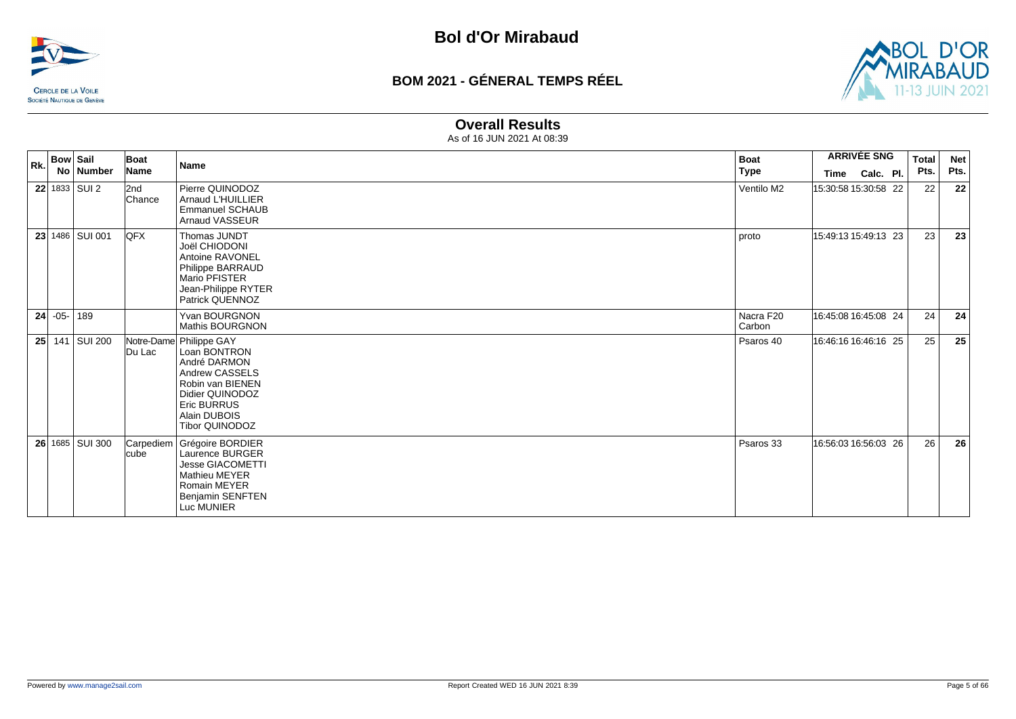



#### **Overall Results**

| Rk.             | <b>Bow Sail</b> |                   | Boat          | <b>Name</b>                                                                                                                                                                     | <b>Boat</b>         | <b>ARRIVÉE SNG</b>   |           |      | <b>Total</b><br><b>Net</b> |
|-----------------|-----------------|-------------------|---------------|---------------------------------------------------------------------------------------------------------------------------------------------------------------------------------|---------------------|----------------------|-----------|------|----------------------------|
|                 |                 | No Number         | Name          |                                                                                                                                                                                 | <b>Type</b>         | Time                 | Calc. Pl. | Pts. | Pts.                       |
|                 |                 | $22$ 1833 SUI 2   | 2nd<br>Chance | Pierre QUINODOZ<br><b>Arnaud L'HUILLIER</b><br><b>Emmanuel SCHAUB</b><br><b>Arnaud VASSEUR</b>                                                                                  | Ventilo M2          | 15:30:58 15:30:58 22 |           | 22   | 22                         |
|                 |                 | 23 1486 SUI 001   | <b>QFX</b>    | Thomas JUNDT<br>Joël CHIODONI<br>Antoine RAVONEL<br>Philippe BARRAUD<br>Mario PFISTER<br>Jean-Philippe RYTER<br>Patrick QUENNOZ                                                 | proto               | 15:49:13 15:49:13 23 |           | 23   | 23                         |
|                 | $24$ -05- 189   |                   |               | Yvan BOURGNON<br>Mathis BOURGNON                                                                                                                                                | Nacra F20<br>Carbon | 16:45:08 16:45:08 24 |           | 24   | 24                         |
| 25 <sup>2</sup> |                 | 141 SUI 200       | Du Lac        | Notre-Dame Philippe GAY<br>Loan BONTRON<br>André DARMON<br>Andrew CASSELS<br>Robin van BIENEN<br>Didier QUINODOZ<br><b>Eric BURRUS</b><br>Alain DUBOIS<br><b>Tibor QUINODOZ</b> | Psaros 40           | 16:46:16 16:46:16 25 |           | 25   | 25                         |
|                 |                 | 26 1685   SUI 300 | cube          | Carpediem Grégoire BORDIER<br>Laurence BURGER<br><b>Jesse GIACOMETTI</b><br><b>Mathieu MEYER</b><br><b>Romain MEYER</b><br>Benjamin SENFTEN<br>Luc MUNIER                       | Psaros 33           | 16:56:03 16:56:03 26 |           | 26   | 26                         |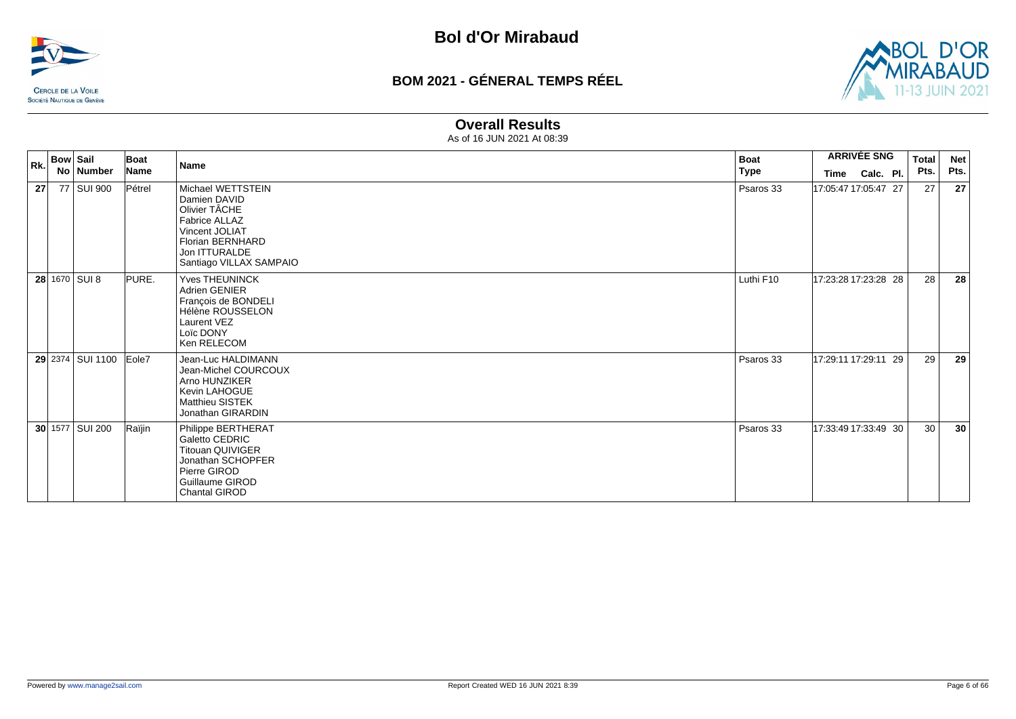



#### **Overall Results**

| Rk.             | <b>Bow Sail</b>  | Boat        | <b>Boat</b><br>Name                                                                                                                                          |             |  |                      | <b>Total</b> | <b>Net</b> |
|-----------------|------------------|-------------|--------------------------------------------------------------------------------------------------------------------------------------------------------------|-------------|--|----------------------|--------------|------------|
|                 | No Number        | <b>Name</b> |                                                                                                                                                              | <b>Type</b> |  | Time Calc. Pl.       | Pts.         | Pts.       |
| 27 <sup>1</sup> | 77 SUI 900       | Pétrel      | Michael WETTSTEIN<br>Damien DAVID<br>Olivier TÂCHE<br>Fabrice ALLAZ<br>Vincent JOLIAT<br><b>Florian BERNHARD</b><br>Jon ITTURALDE<br>Santiago VILLAX SAMPAIO | Psaros 33   |  | 17:05:47 17:05:47 27 | 27           | 27         |
|                 | $28 1670 $ SUI 8 | PURE.       | <b>Yves THEUNINCK</b><br>Adrien GENIER<br>François de BONDELI<br>Hélène ROUSSELON<br>Laurent VEZ<br>Loïc DONY<br>Ken RELECOM                                 | Luthi F10   |  | 17:23:28 17:23:28 28 | 28           | 28         |
|                 | 29 2374 SUI 1100 | Eole7       | Jean-Luc HALDIMANN<br>Jean-Michel COURCOUX<br>Arno HUNZIKER<br>Kevin LAHOGUE<br><b>Matthieu SISTEK</b><br>Jonathan GIRARDIN                                  | Psaros 33   |  | 17:29:11 17:29:11 29 | 29           | 29         |
|                 | 30 1577 SUI 200  | Raïjin      | Philippe BERTHERAT<br>Galetto CEDRIC<br><b>Titouan QUIVIGER</b><br>Jonathan SCHOPFER<br>Pierre GIROD<br>Guillaume GIROD<br><b>Chantal GIROD</b>              | Psaros 33   |  | 17:33:49 17:33:49 30 | 30           | 30         |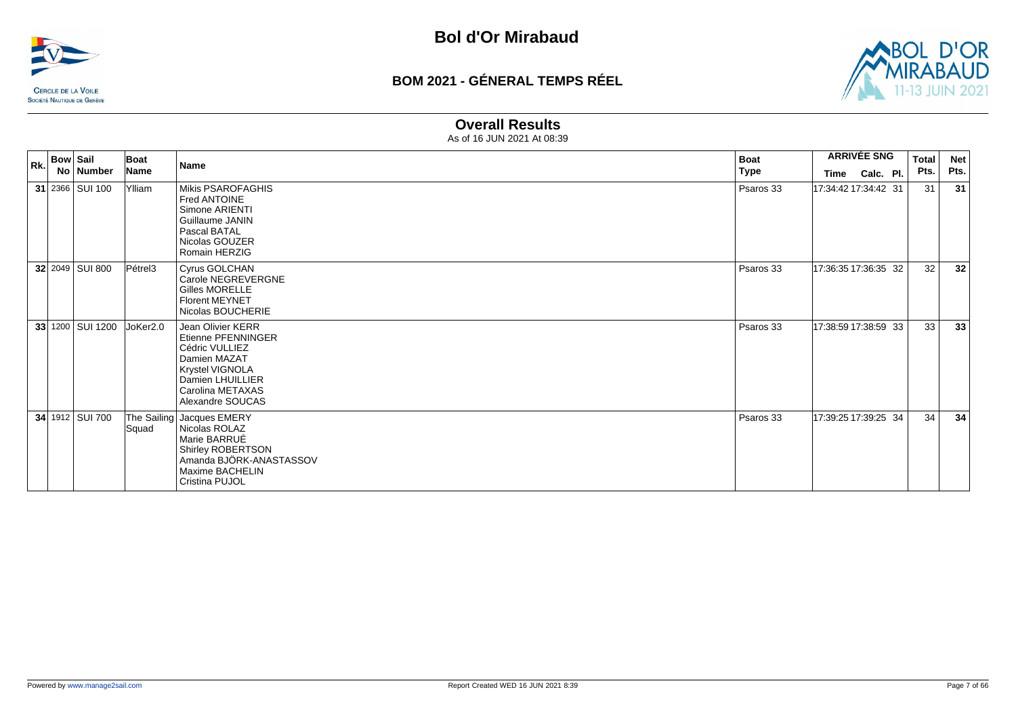



#### **Overall Results**

| Rk. | <b>Bow Sail</b> | No Number        | Boat<br>Name | Name                                                                                                                                                     | <b>Boat</b><br>Type |                      | <b>ARRIVÉE SNG</b><br>Time Calc. Pl. | <b>Total</b><br>Pts. | <b>Net</b><br>Pts. |
|-----|-----------------|------------------|--------------|----------------------------------------------------------------------------------------------------------------------------------------------------------|---------------------|----------------------|--------------------------------------|----------------------|--------------------|
|     |                 | 31 2366 SUI 100  | Ylliam       | Mikis PSAROFAGHIS<br>Fred ANTOINE<br>Simone ARIENTI<br>Guillaume JANIN<br>Pascal BATAL<br>Nicolas GOUZER<br>Romain HERZIG                                | Psaros 33           | 17:34:42 17:34:42 31 |                                      |                      | 31<br>31           |
|     |                 | 32 2049 SUI 800  | Pétrel3      | Cyrus GOLCHAN<br>Carole NEGREVERGNE<br>Gilles MORELLE<br><b>Florent MEYNET</b><br>Nicolas BOUCHERIE                                                      | Psaros 33           | 17:36:35 17:36:35 32 |                                      |                      | 32<br>32           |
|     |                 | 33 1200 SUI 1200 | JoKer2.0     | Jean Olivier KERR<br>Etienne PFENNINGER<br>Cédric VULLIEZ<br>Damien MAZAT<br>Krystel VIGNOLA<br>Damien LHUILLIER<br>Carolina METAXAS<br>Alexandre SOUCAS | Psaros 33           | 17:38:59 17:38:59 33 |                                      |                      | 33<br>33           |
|     |                 | 34 1912 SUI 700  | Squad        | The Sailing Jacques EMERY<br>Nicolas ROLAZ<br>Marie BARRUÉ<br>Shirley ROBERTSON<br>Amanda BJÖRK-ANASTASSOV<br>Maxime BACHELIN<br>Cristina PUJOL          | Psaros 33           | 17:39:25 17:39:25 34 |                                      |                      | 34<br>34           |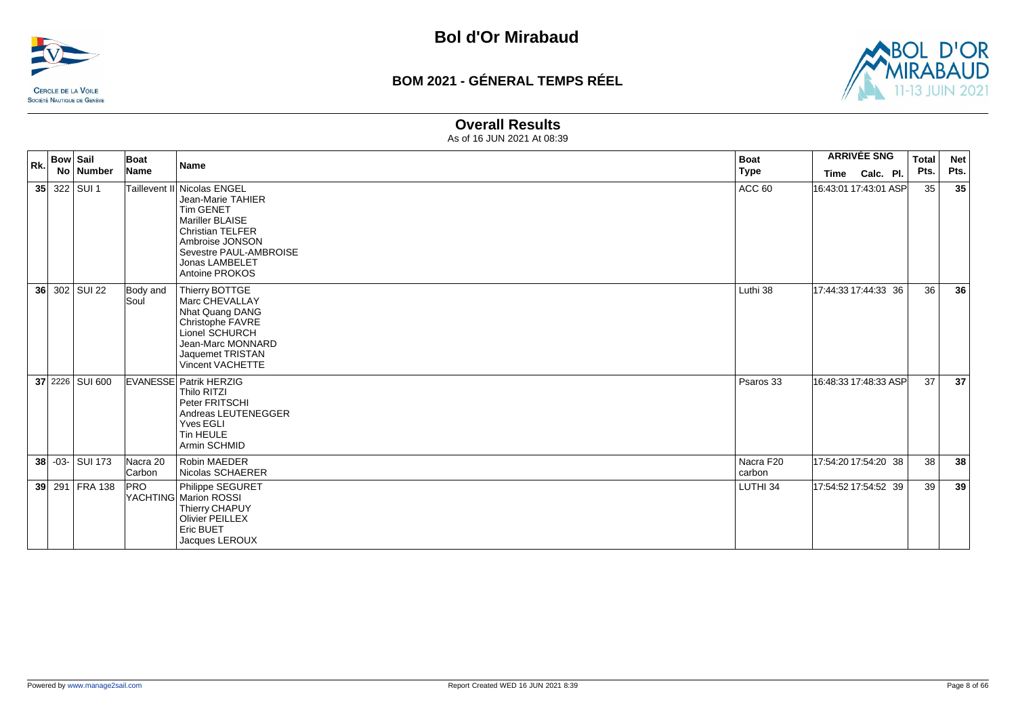



#### **Overall Results**

| Rk. | <b>Bow Sail</b>   | Boat               | Name                                                                                                                                                                                         | <b>Boat</b>         |      | <b>ARRIVÉE SNG</b>    | <b>Total</b> | <b>Net</b> |
|-----|-------------------|--------------------|----------------------------------------------------------------------------------------------------------------------------------------------------------------------------------------------|---------------------|------|-----------------------|--------------|------------|
|     | No Number         | Name               |                                                                                                                                                                                              | <b>Type</b>         | Time | Calc. Pl.             | Pts.         | Pts.       |
|     | 35 322 SUI 1      |                    | Taillevent II Nicolas ENGEL<br>Jean-Marie TAHIER<br><b>Tim GENET</b><br>Mariller BLAISE<br>Christian TELFER<br>Ambroise JONSON<br>Sevestre PAUL-AMBROISE<br>Jonas LAMBELET<br>Antoine PROKOS | ACC <sub>60</sub>   |      | 16:43:01 17:43:01 ASP | 35           | 35         |
|     | 36 302 SUI 22     | Body and<br>Soul   | Thierry BOTTGE<br>Marc CHEVALLAY<br>Nhat Quang DANG<br>Christophe FAVRE<br>Lionel SCHURCH<br>Jean-Marc MONNARD<br>Jaquemet TRISTAN<br>Vincent VACHETTE                                       | Luthi 38            |      | 17:44:33 17:44:33 36  | 36           | 36         |
|     | 37 2226 SUI 600   |                    | <b>EVANESSE Patrik HERZIG</b><br>Thilo RITZI<br>Peter FRITSCHI<br>Andreas LEUTENEGGER<br>Yves EGLI<br>Tin HEULE<br>Armin SCHMID                                                              | Psaros 33           |      | 16:48:33 17:48:33 ASP | 37           | 37         |
|     | 38 - 03 - SUI 173 | Nacra 20<br>Carbon | <b>Robin MAEDER</b><br>Nicolas SCHAERER                                                                                                                                                      | Nacra F20<br>carbon |      | 17:54:20 17:54:20 38  | 38           | 38         |
|     | 39 291 FRA 138    | <b>PRO</b>         | Philippe SEGURET<br>YACHTING Marion ROSSI<br>Thierry CHAPUY<br><b>Olivier PEILLEX</b><br>Eric BUET<br>Jacques LEROUX                                                                         | LUTHI 34            |      | 17:54:52 17:54:52 39  | 39           | 39         |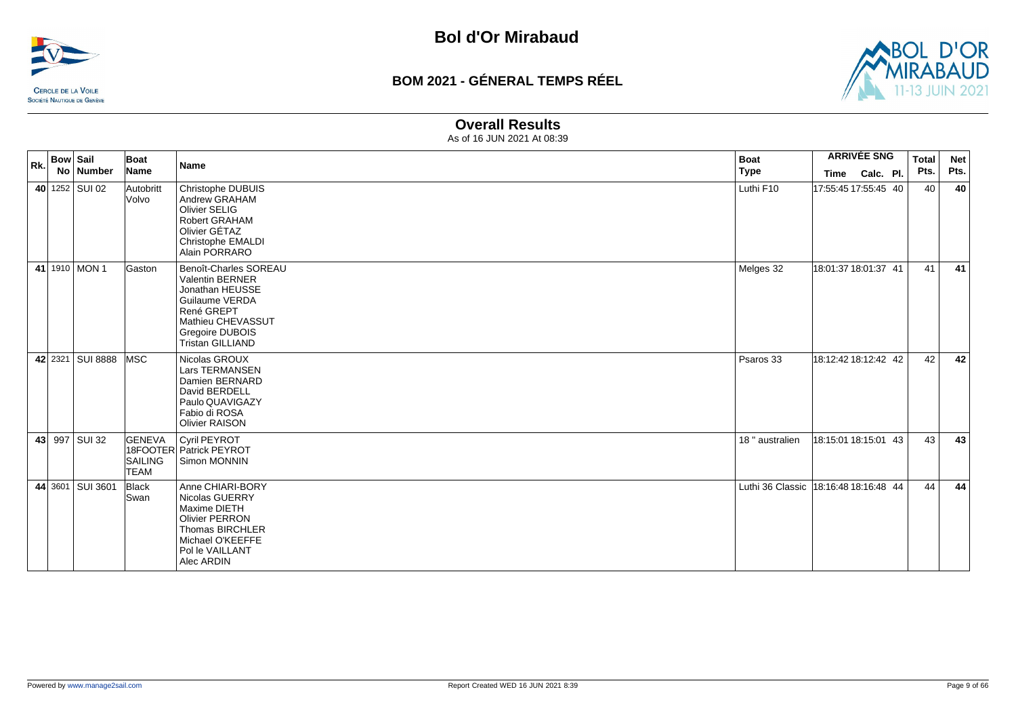



#### **Overall Results**

| Rk. | <b>Bow Sail</b><br>No Number | Boat<br>Name                                   | <b>Name</b>                                                                                                                                                    | <b>Boat</b><br><b>Type</b>            | Time                 | <b>ARRIVÉE SNG</b><br>Calc. Pl. | <b>Total</b><br>Pts. | <b>Net</b><br>Pts. |
|-----|------------------------------|------------------------------------------------|----------------------------------------------------------------------------------------------------------------------------------------------------------------|---------------------------------------|----------------------|---------------------------------|----------------------|--------------------|
|     | 40 1252 SUI 02               | Autobritt<br><b>Volvo</b>                      | Christophe DUBUIS<br>Andrew GRAHAM<br>Olivier SELIG<br>Robert GRAHAM<br>Olivier GÉTAZ<br>Christophe EMALDI<br>Alain PORRARO                                    | Luthi F10                             | 17:55:45 17:55:45 40 |                                 | 40                   | 40                 |
|     | 41 1910 MON 1                | Gaston                                         | Benoît-Charles SOREAU<br>Valentin BERNER<br>Jonathan HEUSSE<br>Guilaume VERDA<br>René GREPT<br>Mathieu CHEVASSUT<br>Gregoire DUBOIS<br><b>Tristan GILLIAND</b> | Melges 32                             | 18:01:37 18:01:37 41 |                                 | 41                   | 41                 |
|     | 42 2321 SUI 8888 MSC         |                                                | Nicolas GROUX<br><b>Lars TERMANSEN</b><br>Damien BERNARD<br>David BERDELL<br>Paulo QUAVIGAZY<br>Fabio di ROSA<br><b>Olivier RAISON</b>                         | Psaros 33                             | 18:12:42 18:12:42 42 |                                 | 42                   | 42                 |
|     | 43 997 SUI 32                | <b>GENEVA</b><br><b>SAILING</b><br><b>TEAM</b> | Cyril PEYROT<br>18FOOTER Patrick PEYROT<br>Simon MONNIN                                                                                                        | 18 " australien                       | 18:15:01 18:15:01 43 |                                 | 43                   | 43                 |
|     | 44 3601 SUI 3601             | Black<br>Swan                                  | Anne CHIARI-BORY<br>Nicolas GUERRY<br>Maxime DIETH<br><b>Olivier PERRON</b><br><b>Thomas BIRCHLER</b><br>Michael O'KEEFFE<br>Pol le VAILLANT<br>Alec ARDIN     | Luthi 36 Classic 18:16:48 18:16:48 44 |                      |                                 | 44                   | 44                 |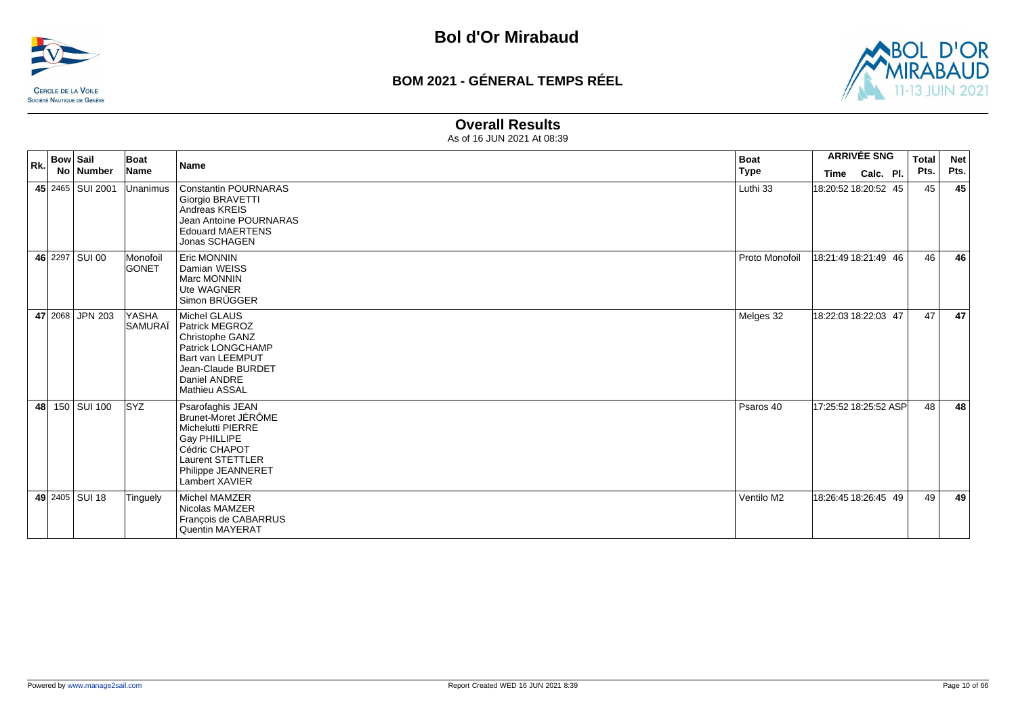



#### **Overall Results**

| Rk. | Bow Sail | No   Number        | Boat<br>Name             | <b>Name</b>                                                                                                                                                            | <b>Boat</b><br><b>Type</b> | Time                  | <b>ARRIVÉE SNG</b><br>Calc. Pl. | <b>Total</b><br>Pts. | <b>Net</b><br>Pts. |
|-----|----------|--------------------|--------------------------|------------------------------------------------------------------------------------------------------------------------------------------------------------------------|----------------------------|-----------------------|---------------------------------|----------------------|--------------------|
|     |          | 45 2465   SUI 2001 | <b>Unanimus</b>          | Constantin POURNARAS<br>Giorgio BRAVETTI<br>Andreas KREIS<br>Jean Antoine POURNARAS<br><b>Edouard MAERTENS</b><br>Jonas SCHAGEN                                        | Luthi 33                   | 18:20:52 18:20:52 45  |                                 | 45                   | 45                 |
|     |          | 46 2297 SUI 00     | Monofoil<br><b>GONET</b> | <b>Eric MONNIN</b><br>Damian WEISS<br><b>Marc MONNIN</b><br>Ute WAGNER<br>Simon BRÜGGER                                                                                | Proto Monofoil             | 18:21:49 18:21:49 46  |                                 | 46                   | 46                 |
|     |          | 47 2068 JPN 203    | <b>YASHA</b><br>SAMURAÏ  | <b>Michel GLAUS</b><br><b>Patrick MEGROZ</b><br>Christophe GANZ<br>Patrick LONGCHAMP<br>Bart van LEEMPUT<br>Jean-Claude BURDET<br>Daniel ANDRE<br><b>Mathieu ASSAL</b> | Melges 32                  | 18:22:03 18:22:03 47  |                                 | 47                   | 47                 |
| 48  |          | 150 SUI 100        | <b>SYZ</b>               | Psarofaghis JEAN<br>Brunet-Moret JÉRÔME<br>Michelutti PIERRE<br><b>Gay PHILLIPE</b><br>Cédric CHAPOT<br>Laurent STETTLER<br>Philippe JEANNERET<br>Lambert XAVIER       | Psaros 40                  | 17:25:52 18:25:52 ASP |                                 | 48                   | 48                 |
|     |          | 49 2405 SUI 18     | Tinguely                 | Michel MAMZER<br>Nicolas MAMZER<br>François de CABARRUS<br><b>Quentin MAYERAT</b>                                                                                      | Ventilo M2                 | 18:26:45 18:26:45 49  |                                 | 49                   | 49                 |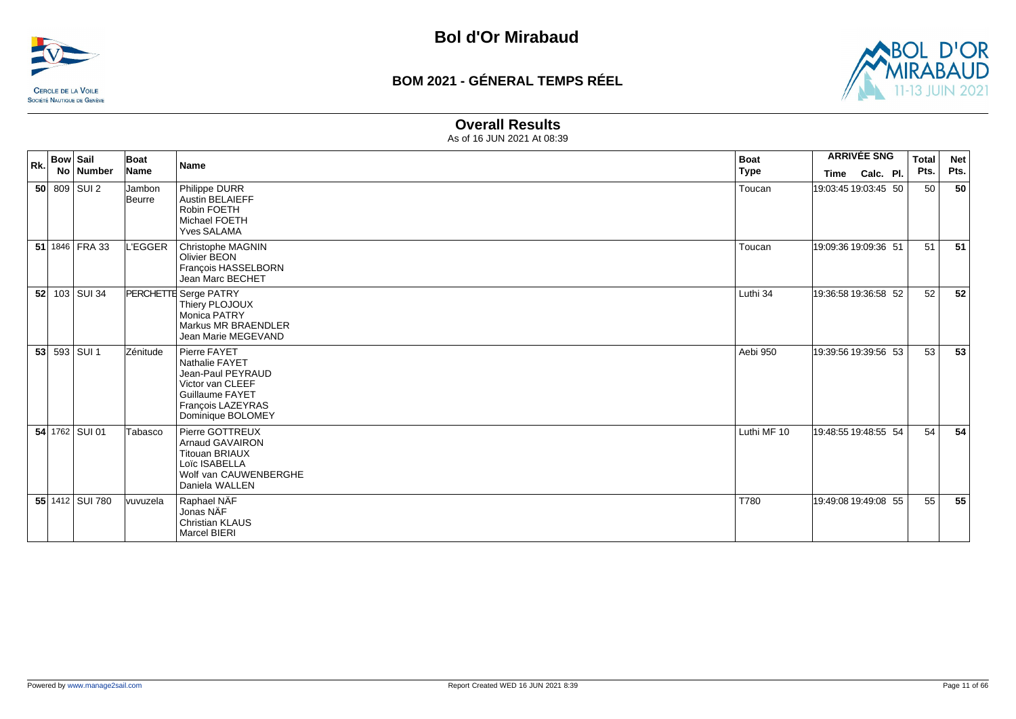



#### **Overall Results**

| Rk. | <b>Bow Sail</b><br>No   Number | Boat<br>Name     | <b>Name</b>                                                                                                                          | <b>Boat</b><br><b>Type</b> | <b>Time</b> | <b>ARRIVÉE SNG</b><br>Calc. Pl. | <b>Total</b><br>Pts. | <b>Net</b><br>Pts. |
|-----|--------------------------------|------------------|--------------------------------------------------------------------------------------------------------------------------------------|----------------------------|-------------|---------------------------------|----------------------|--------------------|
|     | 50 809 SUI2                    | Jambon<br>Beurre | Philippe DURR<br><b>Austin BELAIEFF</b><br>Robin FOETH<br>Michael FOETH<br><b>Yves SALAMA</b>                                        | Toucan                     |             | 19:03:45 19:03:45 50            | 50                   | 50                 |
|     | 51 1846 FRA 33                 | L'EGGER          | Christophe MAGNIN<br>Olivier BEON<br>François HASSELBORN<br>Jean Marc BECHET                                                         | Toucan                     |             | 19:09:36 19:09:36 51            | 51                   | 51                 |
|     | 52 103 SUI 34                  |                  | PERCHETTE Serge PATRY<br>Thiery PLOJOUX<br><b>Monica PATRY</b><br>Markus MR BRAENDLER<br>Jean Marie MEGEVAND                         | Luthi 34                   |             | 19:36:58 19:36:58 52            | 52                   | 52                 |
|     | 53 593 SUI 1                   | Zénitude         | Pierre FAYET<br>Nathalie FAYET<br>Jean-Paul PEYRAUD<br>Victor van CLEEF<br>Guillaume FAYET<br>François LAZEYRAS<br>Dominique BOLOMEY | Aebi 950                   |             | 19:39:56 19:39:56 53            | 53                   | 53                 |
|     | 54 1762 SUI 01                 | Tabasco          | Pierre GOTTREUX<br><b>Arnaud GAVAIRON</b><br><b>Titouan BRIAUX</b><br>Loïc ISABELLA<br>Wolf van CAUWENBERGHE<br>Daniela WALLEN       | Luthi MF 10                |             | 19:48:55 19:48:55 54            | 54                   | 54                 |
|     | 55 1412 SUI 780                | vuvuzela         | Raphael NÄF<br>Jonas NAF<br><b>Christian KLAUS</b><br><b>Marcel BIERI</b>                                                            | T780                       |             | 19:49:08 19:49:08 55            | 55                   | 55                 |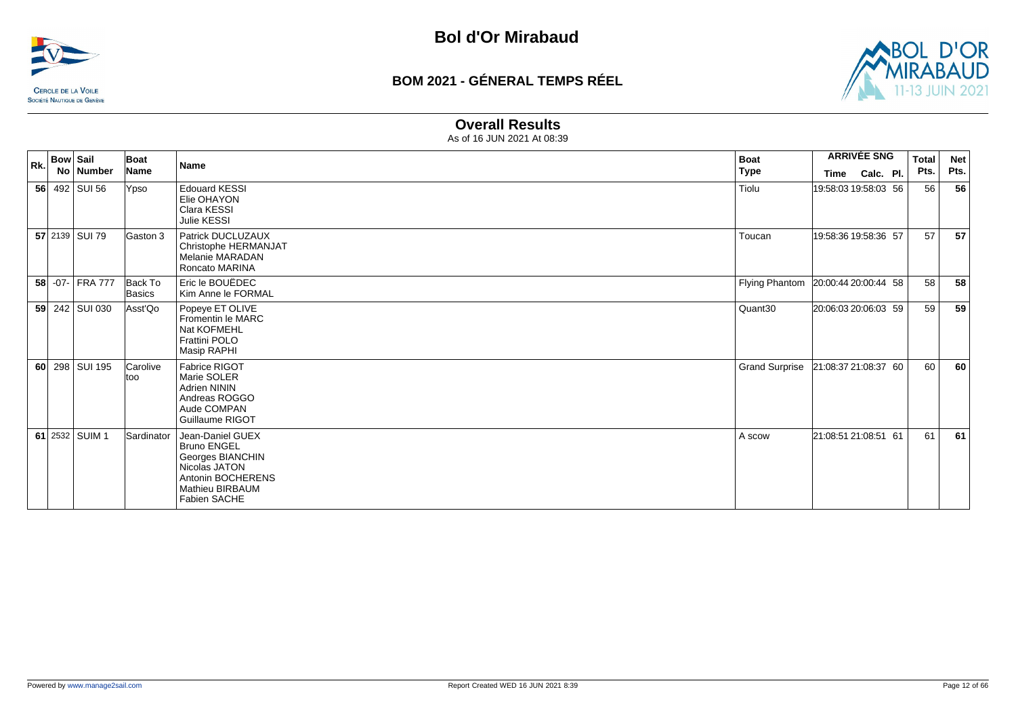



#### **Overall Results**

| <b>Bow Sail</b><br>Rk. |                 |  | Boat              | <b>Name</b>                                                                                                                                | <b>Boat</b>                         |                      | <b>ARRIVÉE SNG</b> | <b>Total</b> | <b>Net</b> |
|------------------------|-----------------|--|-------------------|--------------------------------------------------------------------------------------------------------------------------------------------|-------------------------------------|----------------------|--------------------|--------------|------------|
|                        | No   Number     |  | <b>Name</b>       |                                                                                                                                            | <b>Type</b>                         | Time                 | Calc. Pl.          | Pts.         | Pts.       |
|                        | 56 492 SUI 56   |  | Ypso              | <b>Edouard KESSI</b><br>Elie OHAYON<br>Clara KESSI<br>Julie KESSI                                                                          | Tiolu                               | 19:58:03 19:58:03 56 |                    | 56           | 56         |
|                        | 57 2139 SUI 79  |  | Gaston 3          | Patrick DUCLUZAUX<br>Christophe HERMANJAT<br>Melanie MARADAN<br><b>Roncato MARINA</b>                                                      | Toucan                              | 19:58:36 19:58:36 57 |                    | 57           | 57         |
|                        | 58 -07- FRA 777 |  | Back To<br>Basics | Eric le BOUËDEC<br>Kim Anne le FORMAL                                                                                                      | Flying Phantom 20:00:44 20:00:44 58 |                      |                    | 58           | 58         |
|                        | 59 242 SUI 030  |  | Asst'Qo           | Popeye ET OLIVE<br>Fromentin le MARC<br>Nat KOFMEHL<br><b>Frattini POLO</b><br>Masip RAPHI                                                 | Quant30                             | 20:06:03 20:06:03 59 |                    | 59           | 59         |
|                        | 60 298 SUI 195  |  | Carolive<br>ltoo  | Fabrice RIGOT<br>Marie SOLER<br><b>Adrien NININ</b><br>Andreas ROGGO<br>Aude COMPAN<br>Guillaume RIGOT                                     | <b>Grand Surprise</b>               | 21:08:37 21:08:37 60 |                    | 60           | 60         |
|                        | 61 2532 SUIM 1  |  | Sardinator        | Jean-Daniel GUEX<br><b>Bruno ENGEL</b><br>Georges BIANCHIN<br>Nicolas JATON<br>Antonin BOCHERENS<br><b>Mathieu BIRBAUM</b><br>Fabien SACHE | A scow                              | 21:08:51 21:08:51 61 |                    | 61           | 61         |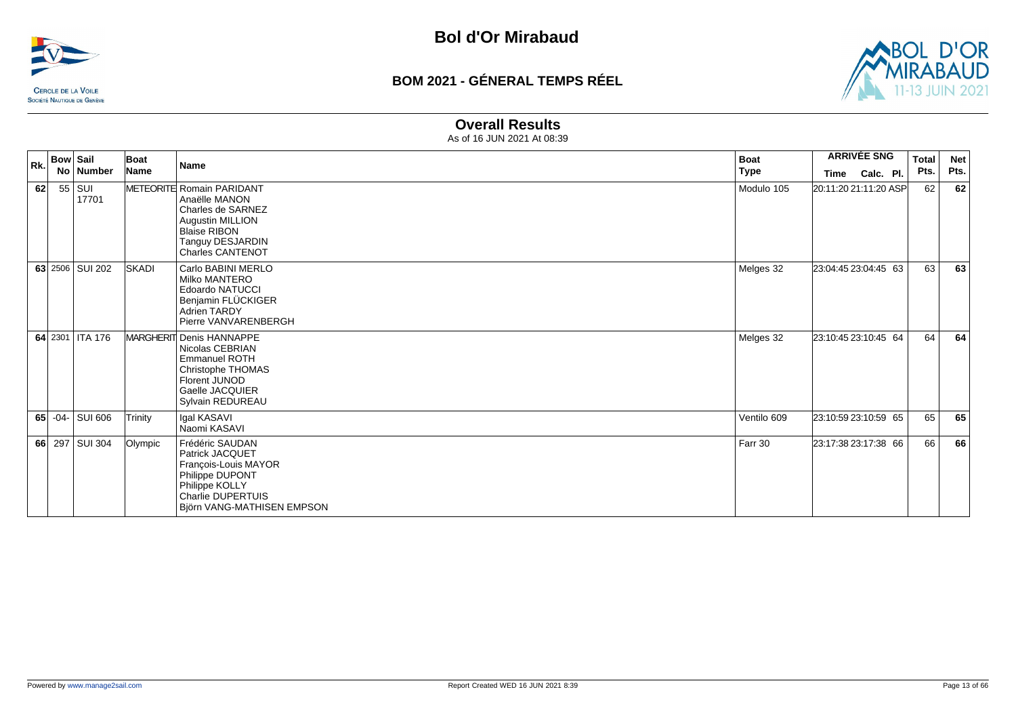



#### **Overall Results**

| Bow   Sail<br>Rk. |  | Boat<br><b>Name</b> | <b>Boat</b>  | <b>ARRIVÉE SNG</b>                                                                                                                                               |             | Total                 | <b>Net</b> |      |      |
|-------------------|--|---------------------|--------------|------------------------------------------------------------------------------------------------------------------------------------------------------------------|-------------|-----------------------|------------|------|------|
|                   |  | No   Number         | Name         |                                                                                                                                                                  | <b>Type</b> | <b>Time</b>           | Calc. Pl.  | Pts. | Pts. |
| 62                |  | $55$ SUI<br>17701   |              | METEORITE Romain PARIDANT<br>Anaëlle MANON<br>Charles de SARNEZ<br><b>Augustin MILLION</b><br><b>Blaise RIBON</b><br>Tanguy DESJARDIN<br><b>Charles CANTENOT</b> | Modulo 105  | 20:11:20 21:11:20 ASP |            | 62   | 62   |
|                   |  | 63 2506 SUI 202     | <b>SKADI</b> | Carlo BABINI MERLO<br><b>Milko MANTERO</b><br><b>Edoardo NATUCCI</b><br>Benjamin FLÜCKIGER<br><b>Adrien TARDY</b><br>Pierre VANVARENBERGH                        | Melges 32   | 23:04:45 23:04:45 63  |            | 63   | 63   |
|                   |  | 64 2301 ITA 176     |              | MARGHERIT Denis HANNAPPE<br>Nicolas CEBRIAN<br><b>Emmanuel ROTH</b><br>Christophe THOMAS<br>Florent JUNOD<br>Gaelle JACQUIER<br>Sylvain REDUREAU                 | Melges 32   | 23:10:45 23:10:45 64  |            | 64   | 64   |
|                   |  | 65 $-04$ - SUI 606  | Trinity      | <b>Igal KASAVI</b><br>Naomi KASAVI                                                                                                                               | Ventilo 609 | 23:10:59 23:10:59 65  |            | 65   | 65   |
|                   |  | 66 297 SUI 304      | Olympic      | Frédéric SAUDAN<br>Patrick JACQUET<br>François-Louis MAYOR<br>Philippe DUPONT<br>Philippe KOLLY<br><b>Charlie DUPERTUIS</b><br>Björn VANG-MATHISEN EMPSON        | Farr 30     | 23:17:38 23:17:38 66  |            | 66   | 66   |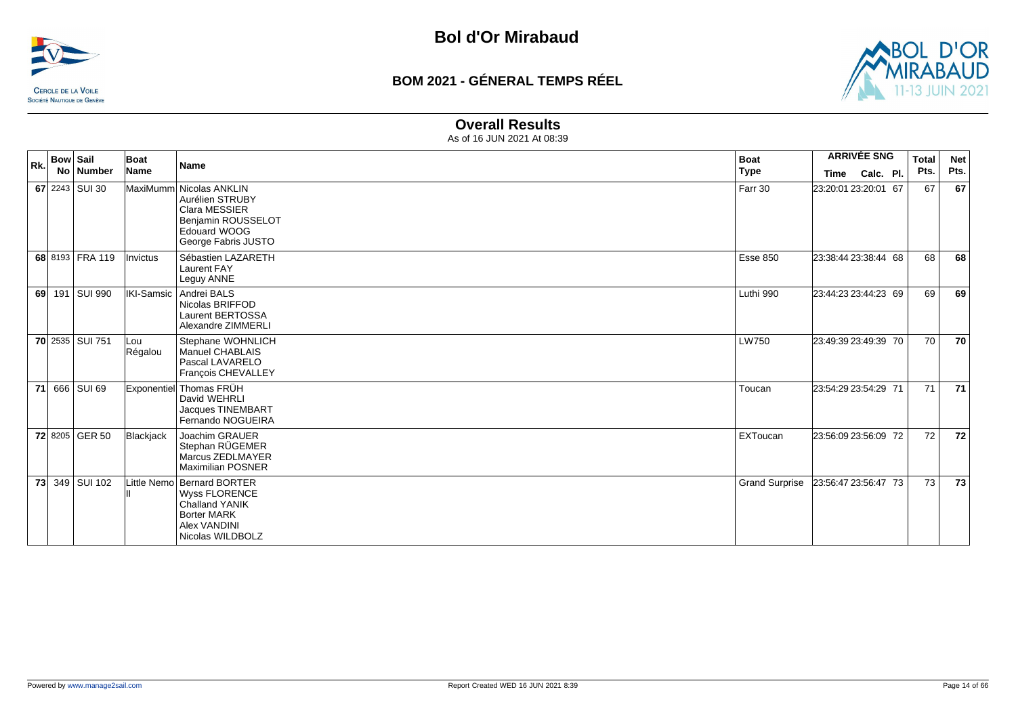



#### **Overall Results**

| Rk. | <b>Bow Sail</b> | No   Number     | <b>Boat</b><br>Name | <b>Name</b>                                                                                                                           | <b>Boat</b><br>Type   | <b>ARRIVÉE SNG</b><br>Calc. Pl.<br>Time | <b>Total</b><br>Pts. | <b>Net</b><br>Pts. |
|-----|-----------------|-----------------|---------------------|---------------------------------------------------------------------------------------------------------------------------------------|-----------------------|-----------------------------------------|----------------------|--------------------|
|     |                 | 67 2243 SUI 30  |                     | MaxiMumm Nicolas ANKLIN<br>Aurélien STRUBY<br>Clara MESSIER<br>Benjamin ROUSSELOT<br>Edouard WOOG<br>George Fabris JUSTO              | Farr 30               | 23:20:01 23:20:01 67                    | 67                   | 67                 |
|     |                 | 68 8193 FRA 119 | <b>Invictus</b>     | Sébastien LAZARETH<br><b>Laurent FAY</b><br>Leguy ANNE                                                                                | <b>Esse 850</b>       | 23:38:44 23:38:44 68                    | 68                   | 68                 |
|     |                 | 69 191 SUI 990  |                     | IKI-Samsic   Andrei BALS<br>Nicolas BRIFFOD<br><b>Laurent BERTOSSA</b><br>Alexandre ZIMMERLI                                          | Luthi 990             | 23:44:23 23:44:23 69                    | 69                   | 69                 |
|     |                 | 70 2535 SUI 751 | lLou<br>Régalou     | Stephane WOHNLICH<br>Manuel CHABLAIS<br>Pascal LAVARELO<br>François CHEVALLEY                                                         | <b>LW750</b>          | 23:49:39 23:49:39 70                    | 70                   | 70                 |
|     |                 | 71 666 SUI 69   |                     | Exponentiel Thomas FRÜH<br>David WEHRLI<br>Jacques TINEMBART<br>Fernando NOGUEIRA                                                     | Toucan                | 23:54:29 23:54:29 71                    | 71                   | 71                 |
|     |                 | 72 8205 GER 50  | Blackjack           | Joachim GRAUER<br>Stephan RÜGEMER<br>Marcus ZEDLMAYER<br><b>Maximilian POSNER</b>                                                     | EXToucan              | 23:56:09 23:56:09 72                    | 72                   | 72                 |
|     |                 | 73 349 SUI 102  |                     | Little Nemo Bernard BORTER<br><b>Wyss FLORENCE</b><br><b>Challand YANIK</b><br><b>Borter MARK</b><br>Alex VANDINI<br>Nicolas WILDBOLZ | <b>Grand Surprise</b> | 23:56:47 23:56:47 73                    | 73                   | 73                 |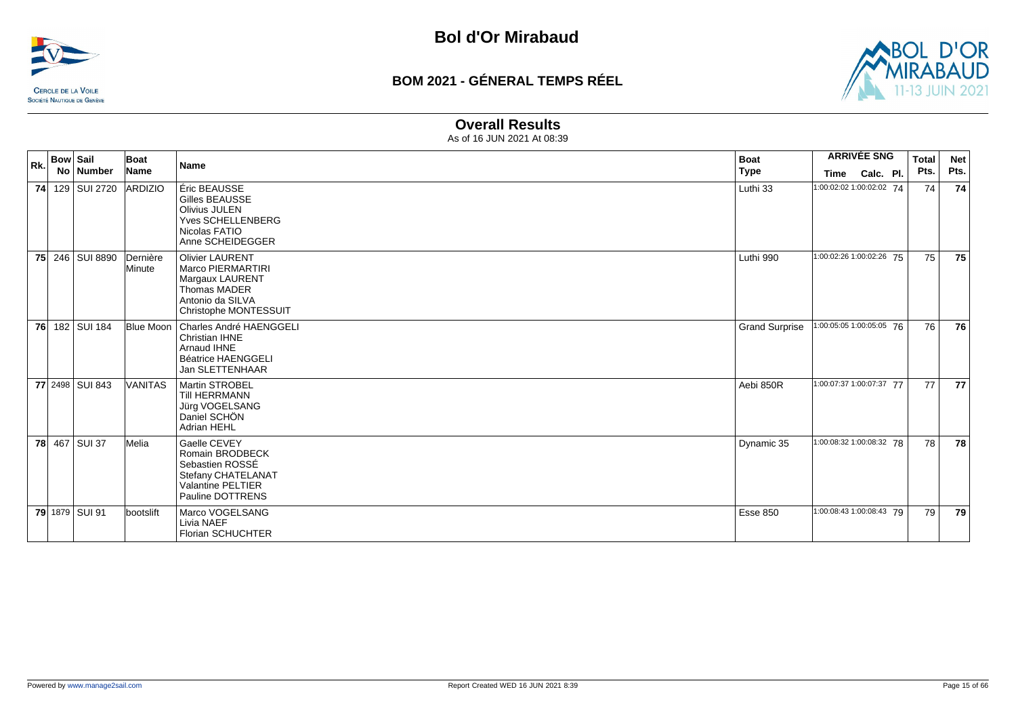



#### **Overall Results**

| Rk. | <b>Bow Sail</b> | No   Number     | Boat<br>Name       | <b>Name</b>                                                                                                                 | <b>Boat</b><br>Type   | Time                     | <b>ARRIVÉE SNG</b><br>Calc. Pl. | <b>Total</b><br>Pts. | <b>Net</b><br>Pts. |
|-----|-----------------|-----------------|--------------------|-----------------------------------------------------------------------------------------------------------------------------|-----------------------|--------------------------|---------------------------------|----------------------|--------------------|
|     |                 | 74 129 SUI 2720 | ARDIZIO            | Éric BEAUSSE<br>Gilles BEAUSSE<br><b>Olivius JULEN</b><br><b>Yves SCHELLENBERG</b><br>Nicolas FATIO<br>Anne SCHEIDEGGER     | Luthi 33              | 1:00:02:02 1:00:02:02 74 |                                 | 74                   | 74                 |
|     |                 | 75 246 SUI 8890 | Dernière<br>Minute | <b>Olivier LAURENT</b><br>Marco PIERMARTIRI<br>Margaux LAURENT<br>Thomas MADER<br>Antonio da SILVA<br>Christophe MONTESSUIT | Luthi 990             | 1:00:02:26 1:00:02:26 75 |                                 | 75                   | 75                 |
|     |                 | 76 182 SUI 184  |                    | Blue Moon   Charles André HAENGGELI<br>Christian IHNE<br>Arnaud IHNE<br><b>Béatrice HAENGGELI</b><br><b>Jan SLETTENHAAR</b> | <b>Grand Surprise</b> | 1:00:05:05 1:00:05:05 76 |                                 | 76                   | 76                 |
|     |                 | 77 2498 SUI 843 | <b>VANITAS</b>     | Martin STROBEL<br>Till HERRMANN<br>Jürg VOGELSANG<br>Daniel SCHÖN<br>Adrian HEHL                                            | Aebi 850R             | 1:00:07:37 1:00:07:37 77 |                                 | 77                   | 77                 |
|     |                 | 78 467 SUI 37   | Melia              | Gaelle CEVEY<br>Romain BRODBECK<br>Sebastien ROSSÉ<br>Stefany CHATELANAT<br><b>Valantine PELTIER</b><br>Pauline DOTTRENS    | Dynamic 35            | 1:00:08:32 1:00:08:32 78 |                                 | 78                   | 78                 |
|     |                 | 79 1879 SUI 91  | bootslift          | Marco VOGELSANG<br>Livia NAEF<br>Florian SCHUCHTER                                                                          | <b>Esse 850</b>       | 1:00:08:43 1:00:08:43 79 |                                 | 79                   | 79                 |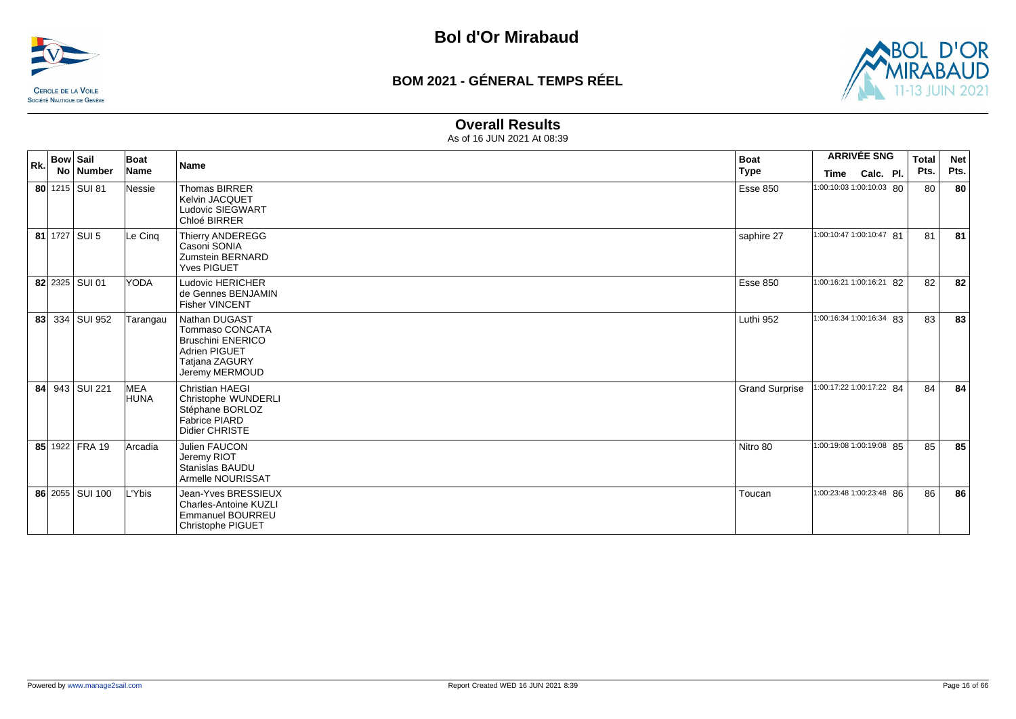



#### **Overall Results**

| Rk. | <b>Bow Sail</b> |                   | Boat                       | <b>Name</b>                                                                                                                     | <b>Boat</b>           | <b>ARRIVÉE SNG</b>       |           | <b>Total</b> | <b>Net</b> |
|-----|-----------------|-------------------|----------------------------|---------------------------------------------------------------------------------------------------------------------------------|-----------------------|--------------------------|-----------|--------------|------------|
|     |                 | No Number         | Name                       |                                                                                                                                 | Type                  | Time                     | Calc. Pl. | Pts.         | Pts.       |
|     |                 | 80 1215 SUI 81    | <b>Nessie</b>              | <b>Thomas BIRRER</b><br>Kelvin JACQUET<br>Ludovic SIEGWART<br>Chloé BIRRER                                                      | <b>Esse 850</b>       | 1:00:10:03 1:00:10:03 80 |           | 80           | 80         |
|     |                 | 81 $1727$ SUI 5   | Le Cinq                    | <b>Thierry ANDEREGG</b><br>Casoni SONIA<br>Zumstein BERNARD<br><b>Yves PIGUET</b>                                               | saphire 27            | 1:00:10:47 1:00:10:47 81 |           | 81           | 81         |
|     |                 | 82 2325 SUI 01    | YODA                       | <b>Ludovic HERICHER</b><br>de Gennes BENJAMIN<br><b>Fisher VINCENT</b>                                                          | <b>Esse 850</b>       | 1:00:16:21 1:00:16:21 82 |           | 82           | 82         |
|     |                 | 83 334 SUI 952    | Tarangau                   | Nathan DUGAST<br><b>Tommaso CONCATA</b><br><b>Bruschini ENERICO</b><br><b>Adrien PIGUET</b><br>Tatjana ZAGURY<br>Jeremy MERMOUD | Luthi 952             | 1:00:16:34 1:00:16:34 83 |           | 83           | 83         |
| 84  |                 | 943   SUI 221     | <b>IMEA</b><br><b>HUNA</b> | <b>Christian HAEGI</b><br>Christophe WUNDERLI<br>Stéphane BORLOZ<br><b>Fabrice PIARD</b><br>Didier CHRISTE                      | <b>Grand Surprise</b> | 1:00:17:22 1:00:17:22 84 |           | 84           | 84         |
|     |                 | 85 1922 FRA 19    | Arcadia                    | Julien FAUCON<br>Jeremy RIOT<br>Stanislas BAUDU<br>Armelle NOURISSAT                                                            | Nitro 80              | 1:00:19:08 1:00:19:08 85 |           | 85           | 85         |
|     |                 | 86 2055   SUI 100 | L'Ybis                     | Jean-Yves BRESSIEUX<br><b>Charles-Antoine KUZLI</b><br><b>Emmanuel BOURREU</b><br>Christophe PIGUET                             | Toucan                | 1:00:23:48 1:00:23:48 86 |           | 86           | 86         |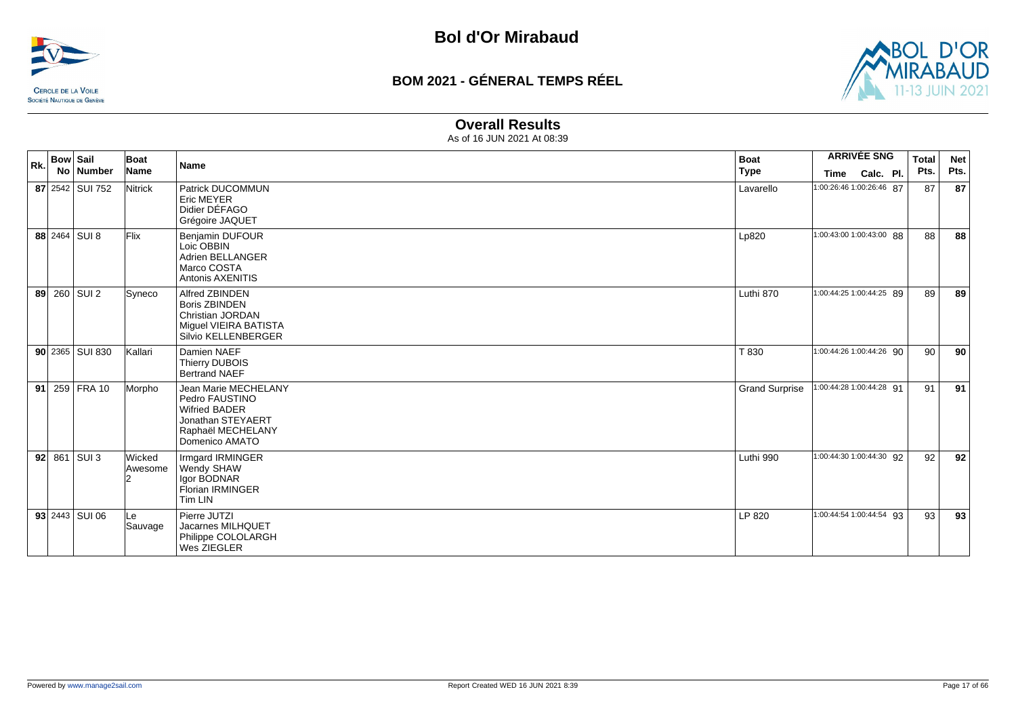



#### **Overall Results**

| Rk. | <b>Bow Sail</b>       | Boat              | Name                                                                                                                       | <b>Boat</b>           |      | <b>ARRIVÉE SNG</b>       | <b>Total</b> | <b>Net</b> |
|-----|-----------------------|-------------------|----------------------------------------------------------------------------------------------------------------------------|-----------------------|------|--------------------------|--------------|------------|
|     | No Number             | Name              |                                                                                                                            | <b>Type</b>           | Time | Calc. Pl.                | Pts.         | Pts.       |
|     | 87 2542 SUI 752       | Nitrick           | Patrick DUCOMMUN<br><b>Eric MEYER</b><br>Didier DÉFAGO<br>Grégoire JAQUET                                                  | Lavarello             |      | 1:00:26:46 1:00:26:46 87 | 87           | 87         |
|     | 88 2464 SUI 8         | <b>Flix</b>       | Benjamin DUFOUR<br>Loic OBBIN<br>Adrien BELLANGER<br>Marco COSTA<br><b>Antonis AXENITIS</b>                                | Lp820                 |      | 1:00:43:00 1:00:43:00 88 | 88           | 88         |
|     | 89 260 SUI 2          | Syneco            | Alfred ZBINDEN<br><b>Boris ZBINDEN</b><br>Christian JORDAN<br>Miguel VIEIRA BATISTA<br>Silvio KELLENBERGER                 | Luthi 870             |      | 1:00:44:25 1:00:44:25 89 | 89           | 89         |
|     | $90$   2365   SUI 830 | Kallari           | Damien NAEF<br><b>Thierry DUBOIS</b><br><b>Bertrand NAEF</b>                                                               | T 830                 |      | 1:00:44:26 1:00:44:26 90 | 90           | 90         |
|     | 91 259 FRA 10         | Morpho            | Jean Marie MECHELANY<br>Pedro FAUSTINO<br><b>Wifried BADER</b><br>Jonathan STEYAERT<br>Raphaël MECHELANY<br>Domenico AMATO | <b>Grand Surprise</b> |      | 1:00:44:28 1:00:44:28 91 | 91           | 91         |
|     | $92$ 861 SUI 3        | Wicked<br>Awesome | Irmgard IRMINGER<br>Wendy SHAW<br>Igor BODNAR<br>Florian IRMINGER<br>Tim LIN                                               | Luthi 990             |      | 1:00:44:30 1:00:44:30 92 | 92           | 92         |
|     | $93$ 2443 SUI 06      | ∣Le<br>Sauvage    | Pierre JUTZI<br>Jacarnes MILHQUET<br>Philippe COLOLARGH<br>Wes ZIEGLER                                                     | LP 820                |      | 1:00:44:54 1:00:44:54 93 | 93           | 93         |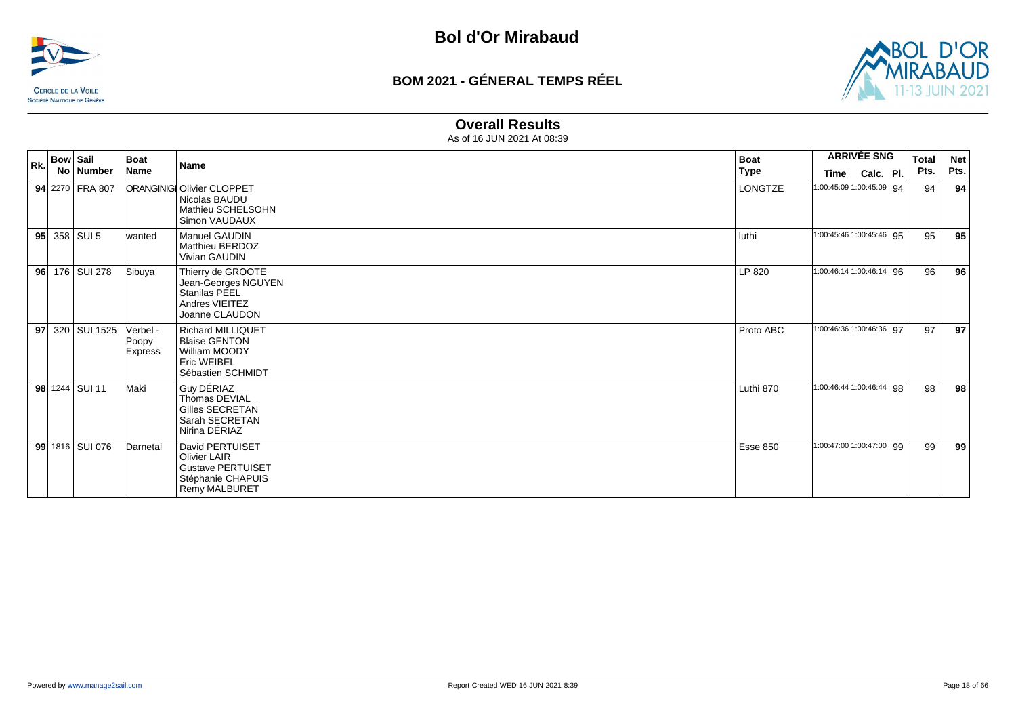



#### **Overall Results**

| <b>Bow Sail</b><br>Rk. |  |                 | Boat<br><b>Name</b>                 | <b>Boat</b>                                                                                                     | <b>ARRIVÉE SNG</b> |                          | <b>Total</b> | <b>Net</b> |      |
|------------------------|--|-----------------|-------------------------------------|-----------------------------------------------------------------------------------------------------------------|--------------------|--------------------------|--------------|------------|------|
|                        |  | No   Number     | Name                                |                                                                                                                 | <b>Type</b>        | Time                     | Calc. Pl.    | Pts.       | Pts. |
|                        |  | 94 2270 FRA 807 |                                     | <b>ORANGINIGI Olivier CLOPPET</b><br>Nicolas BAUDU<br>Mathieu SCHELSOHN<br>Simon VAUDAUX                        | LONGTZE            | 1:00:45:09 1:00:45:09 94 |              | 94         | 94   |
|                        |  | 95 $358$ SUI 5  | lwanted                             | <b>Manuel GAUDIN</b><br><b>Matthieu BERDOZ</b><br>Vivian GAUDIN                                                 | luthi              | 1:00:45:46 1:00:45:46 95 |              | 95         | 95   |
| 96                     |  | 176 SUI 278     | Sibuya                              | Thierry de GROOTE<br>Jean-Georges NGUYEN<br>Stanilas PEEL<br>Andres VIEITEZ<br>Joanne CLAUDON                   | LP 820             | 1:00:46:14 1:00:46:14 96 |              | 96         | 96   |
|                        |  | 97 320 SUI 1525 | Verbel -<br>Poopy<br><b>Express</b> | <b>Richard MILLIQUET</b><br><b>Blaise GENTON</b><br>William MOODY<br><b>Eric WEIBEL</b><br>Sébastien SCHMIDT    | Proto ABC          | 1:00:46:36 1:00:46:36 97 |              | 97         | 97   |
|                        |  | 98 1244 SUI 11  | Maki                                | Guy DÉRIAZ<br>Thomas DEVIAL<br>Gilles SECRETAN<br>Sarah SECRETAN<br>Nirina DÉRIAZ                               | Luthi 870          | 1:00:46:44 1:00:46:44 98 |              | 98         | 98   |
|                        |  | 99 1816 SUI 076 | Darnetal                            | David PERTUISET<br><b>Olivier LAIR</b><br><b>Gustave PERTUISET</b><br>Stéphanie CHAPUIS<br><b>Remy MALBURET</b> | Esse 850           | 1:00:47:00 1:00:47:00 99 |              | 99         | 99   |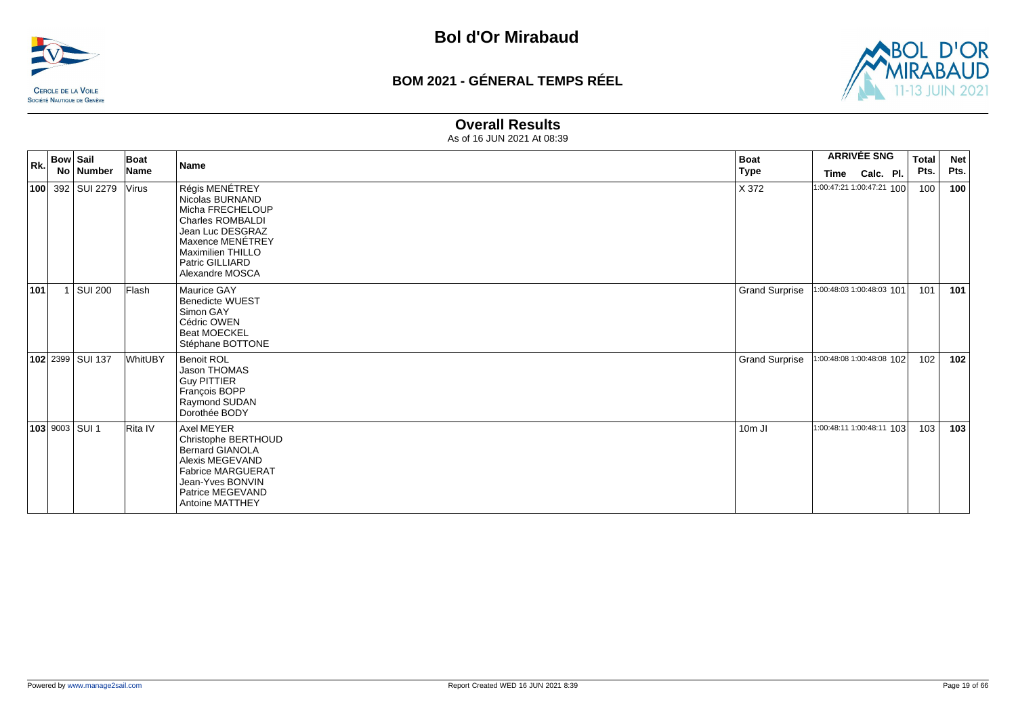



#### **Overall Results**

| Rk. | <b>Bow Sail</b> | No   Number      | Boat<br>Name   | <b>Name</b>                                                                                                                                                                                | <b>Boat</b><br>Type   | <b>ARRIVÉE SNG</b><br>Calc. Pl.<br>Time | <b>Total</b><br>Pts. | <b>Net</b><br>Pts. |
|-----|-----------------|------------------|----------------|--------------------------------------------------------------------------------------------------------------------------------------------------------------------------------------------|-----------------------|-----------------------------------------|----------------------|--------------------|
|     |                 | 100 392 SUI 2279 | <b>Virus</b>   | Régis MENÉTREY<br>Nicolas BURNAND<br>Micha FRECHELOUP<br><b>Charles ROMBALDI</b><br>Jean Luc DESGRAZ<br>Maxence MENÉTREY<br><b>Maximilien THILLO</b><br>Patric GILLIARD<br>Alexandre MOSCA | X 372                 | 1:00:47:21 1:00:47:21 100               | 100                  | 100                |
| 101 |                 | SUI 200          | Flash          | Maurice GAY<br><b>Benedicte WUEST</b><br>Simon GAY<br>Cédric OWEN<br><b>Beat MOECKEL</b><br>Stéphane BOTTONE                                                                               | <b>Grand Surprise</b> | 1:00:48:03 1:00:48:03 101               | 101                  | 101                |
|     |                 | 102 2399 SUI 137 | <b>WhitUBY</b> | <b>Benoit ROL</b><br>Jason THOMAS<br><b>Guy PITTIER</b><br>François BOPP<br>Raymond SUDAN<br>Dorothée BODY                                                                                 | <b>Grand Surprise</b> | 1:00:48:08 1:00:48:08 102               | 102                  | 102                |
|     |                 | 103 9003 SUI 1   | Rita IV        | Axel MEYER<br>Christophe BERTHOUD<br><b>Bernard GIANOLA</b><br>Alexis MEGEVAND<br><b>Fabrice MARGUERAT</b><br>Jean-Yves BONVIN<br>Patrice MEGEVAND<br>Antoine MATTHEY                      | 10m JI                | 1:00:48:11 1:00:48:11 103               | 103                  | 103                |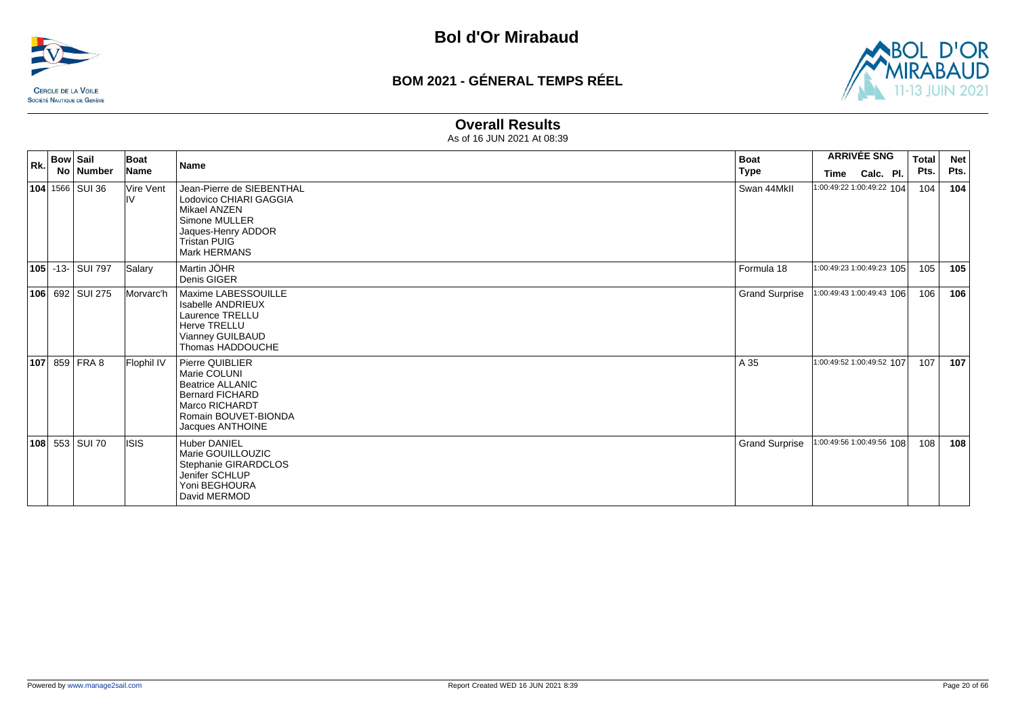



#### **Overall Results**

| Rk. | <b>Boat</b><br><b>Bow Sail</b><br>Boat<br><b>Name</b> |                    |                  |                                                                                                                                                    |                       |                           | <b>Total</b> | <b>Net</b> |
|-----|-------------------------------------------------------|--------------------|------------------|----------------------------------------------------------------------------------------------------------------------------------------------------|-----------------------|---------------------------|--------------|------------|
|     |                                                       | No   Number        | Name             |                                                                                                                                                    | <b>Type</b>           | Calc. Pl.<br>Time         | Pts.         | Pts.       |
|     |                                                       | 104 1566 SUI 36    | Vire Vent<br>ılV | Jean-Pierre de SIEBENTHAL<br>Lodovico CHIARI GAGGIA<br>Mikael ANZEN<br>Simone MULLER<br>Jaques-Henry ADDOR<br><b>Tristan PUIG</b><br>Mark HERMANS  | Swan 44Mkll           | 1:00:49:22 1:00:49:22 104 | 104          | 104        |
|     |                                                       | 105 - 13 - SUI 797 | Salary           | Martin JÖHR<br>Denis GIGER                                                                                                                         | Formula 18            | 1:00:49:23 1:00:49:23 105 | 105          | 105        |
|     |                                                       | 106 692 SUI 275    | Morvarc'h        | Maxime LABESSOUILLE<br><b>Isabelle ANDRIEUX</b><br>Laurence TRELLU<br><b>Herve TRELLU</b><br>Vianney GUILBAUD<br>Thomas HADDOUCHE                  | <b>Grand Surprise</b> | 1:00:49:43 1:00:49:43 106 | 106          | 106        |
|     |                                                       | $ 107 $ 859 FRA 8  | Flophil IV       | Pierre QUIBLIER<br>Marie COLUNI<br><b>Beatrice ALLANIC</b><br><b>Bernard FICHARD</b><br>Marco RICHARDT<br>Romain BOUVET-BIONDA<br>Jacques ANTHOINE | A 35                  | 1:00:49:52 1:00:49:52 107 | 107          | 107        |
|     |                                                       | 108 553 SUI 70     | lisis            | <b>Huber DANIEL</b><br>Marie GOUILLOUZIC<br>Stephanie GIRARDCLOS<br>Jenifer SCHLUP<br>Yoni BEGHOURA<br>David MERMOD                                | <b>Grand Surprise</b> | 1:00:49:56 1:00:49:56 108 | 108          | 108        |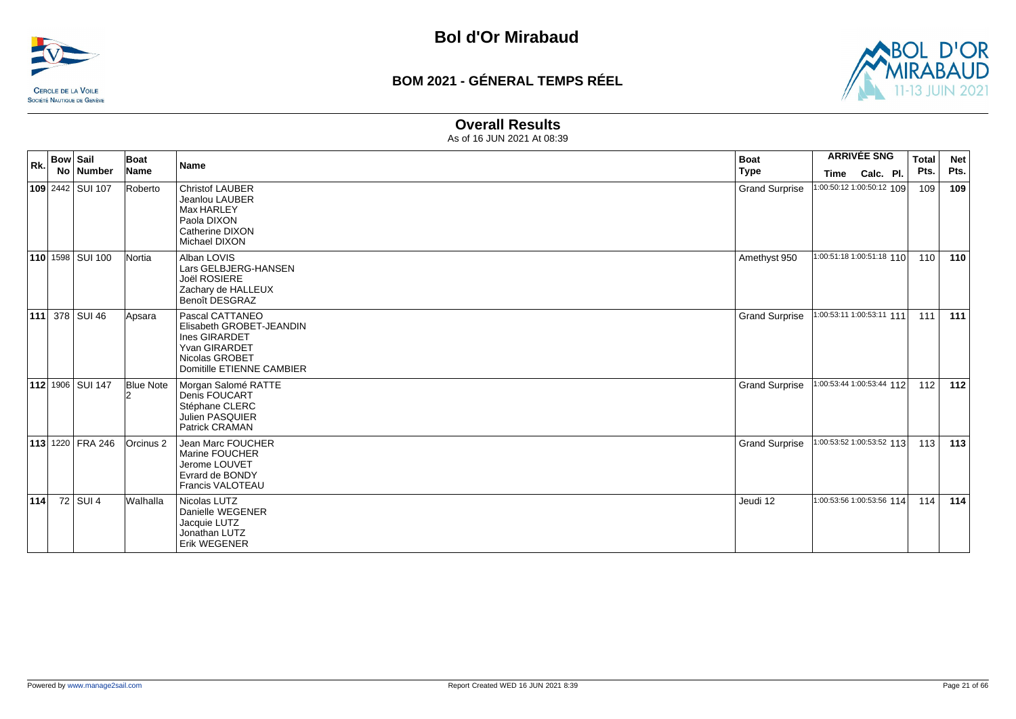



#### **Overall Results**

| Rk. | <b>Bow Sail</b>         | Boat             | Name                                                                                                                         | <b>Boat</b>           | <b>ARRIVÉE SNG</b>        | <b>Total</b> | <b>Net</b> |
|-----|-------------------------|------------------|------------------------------------------------------------------------------------------------------------------------------|-----------------------|---------------------------|--------------|------------|
|     | No   Number             | Name             |                                                                                                                              | <b>Type</b>           | Calc. Pl.<br>Time         | Pts.         | Pts.       |
|     | 109 2442 SUI 107        | Roberto          | <b>Christof LAUBER</b><br>Jeanlou LAUBER<br>Max HARLEY<br>Paola DIXON<br>Catherine DIXON<br>Michael DIXON                    | <b>Grand Surprise</b> | 1:00:50:12 1:00:50:12 109 | 109          | 109        |
|     | 110 1598 SUI 100        | Nortia           | Alban LOVIS<br>Lars GELBJERG-HANSEN<br>Joël ROSIERE<br>Zachary de HALLEUX<br><b>Benoît DESGRAZ</b>                           | Amethyst 950          | 1:00:51:18 1:00:51:18 110 | 110          | 110        |
|     | <b>111</b> 378 SUI 46   | Apsara           | Pascal CATTANEO<br>Elisabeth GROBET-JEANDIN<br>Ines GIRARDET<br>Yvan GIRARDET<br>Nicolas GROBET<br>Domitille ETIENNE CAMBIER | <b>Grand Surprise</b> | 1:00:53:11 1:00:53:11 111 | 111          | 111        |
|     | <b>112</b> 1906 SUI 147 | <b>Blue Note</b> | Morgan Salomé RATTE<br>Denis FOUCART<br>Stéphane CLERC<br>Julien PASQUIER<br>Patrick CRAMAN                                  | <b>Grand Surprise</b> | 1:00:53:44 1:00:53:44 112 | 112          | 112        |
|     | <b>113 1220 FRA 246</b> | Orcinus 2        | Jean Marc FOUCHER<br>Marine FOUCHER<br>Jerome LOUVET<br>Evrard de BONDY<br><b>Francis VALOTEAU</b>                           | <b>Grand Surprise</b> | 1:00:53:52 1:00:53:52 113 | 113          | 113        |
| 114 | 72 SUI 4                | Walhalla         | Nicolas LUTZ<br>Danielle WEGENER<br>Jacquie LUTZ<br>Jonathan LUTZ<br>Erik WEGENER                                            | Jeudi 12              | 1:00:53:56 1:00:53:56 114 | 114          | 114        |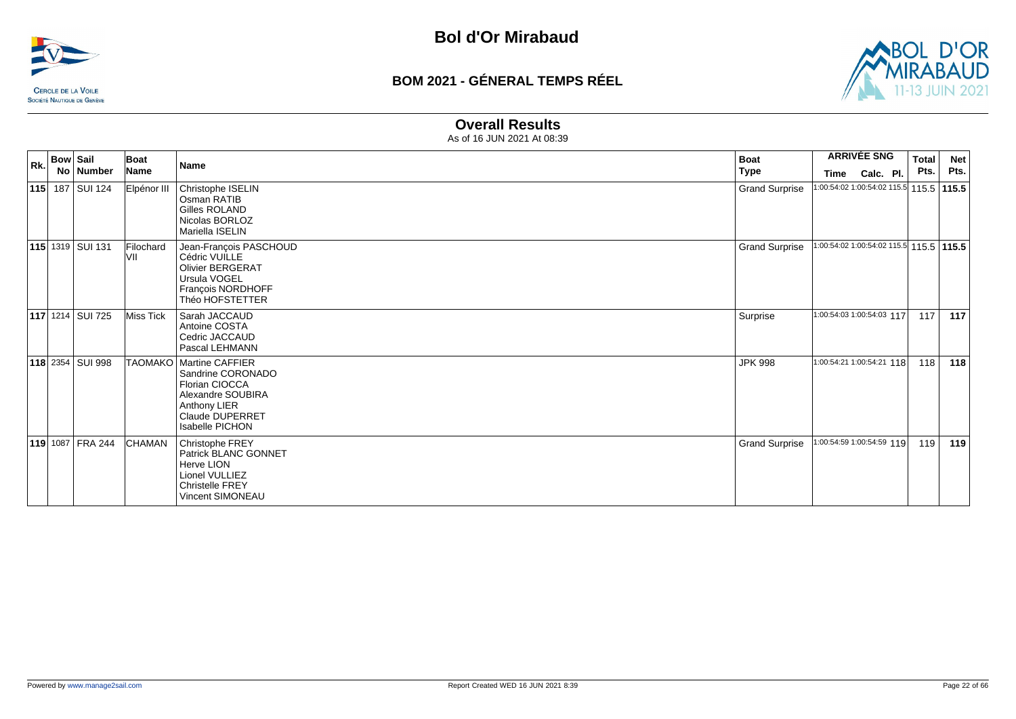



#### **Overall Results**

| <b>Bow Sail</b><br>Rk. |                         | Boat             | <b>Name</b>                                                                                                                                               | <b>Boat</b>           | <b>ARRIVÉE SNG</b>                      | <b>Total</b> | <b>Net</b> |
|------------------------|-------------------------|------------------|-----------------------------------------------------------------------------------------------------------------------------------------------------------|-----------------------|-----------------------------------------|--------------|------------|
|                        | No Number               | Name             |                                                                                                                                                           | <b>Type</b>           | Calc. Pl.<br>Time                       | Pts.         | Pts.       |
|                        | 115 187 SUI 124         | Elpénor III      | Christophe ISELIN<br>Osman RATIB<br><b>Gilles ROLAND</b><br>Nicolas BORLOZ<br>Mariella ISELIN                                                             | <b>Grand Surprise</b> | 1:00:54:02 1:00:54:02 115.5 115.5 115.5 |              |            |
|                        | <b>115 1319 SUI 131</b> | Filochard<br>VII | Jean-François PASCHOUD<br>Cédric VUILLE<br>Olivier BERGERAT<br>Ursula VOGEL<br>François NORDHOFF<br>Théo HOFSTETTER                                       | <b>Grand Surprise</b> | 1:00:54:02 1:00:54:02 115.5 115.5 115.5 |              |            |
|                        | <b>117</b> 1214 SUI 725 | Miss Tick        | Sarah JACCAUD<br>Antoine COSTA<br>Cedric JACCAUD<br>Pascal LEHMANN                                                                                        | Surprise              | 1:00:54:03 1:00:54:03 117               | 117          | 117        |
|                        | 118 2354 SUI 998        |                  | TAOMAKO   Martine CAFFIER<br>Sandrine CORONADO<br>Florian CIOCCA<br>Alexandre SOUBIRA<br>Anthony LIER<br><b>Claude DUPERRET</b><br><b>Isabelle PICHON</b> | <b>JPK 998</b>        | 1:00:54:21 1:00:54:21 118               | 118          | 118        |
|                        | 119 1087 FRA 244        | <b>CHAMAN</b>    | Christophe FREY<br>Patrick BLANC GONNET<br><b>Herve LION</b><br>Lionel VULLIEZ<br><b>Christelle FREY</b><br>Vincent SIMONEAU                              | <b>Grand Surprise</b> | 1:00:54:59 1:00:54:59 119               | 119          | 119        |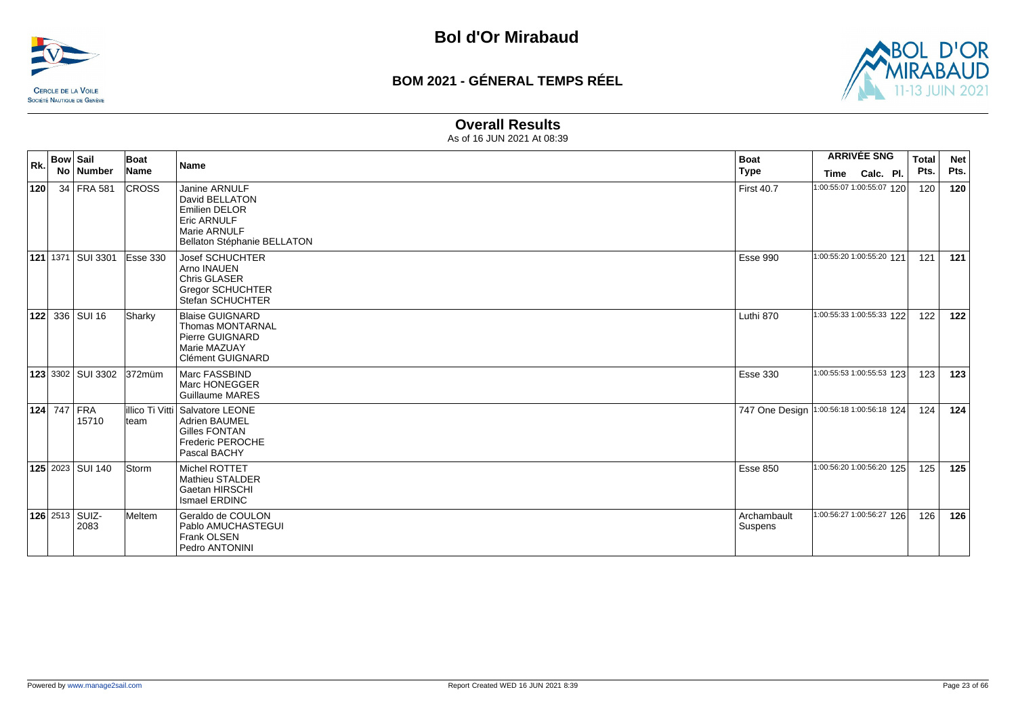



#### **Overall Results**

| Rk. | <b>Bow Sail</b><br>No Number  | Boat<br>Name | <b>Name</b>                                                                                                                  | <b>Boat</b><br><b>Type</b> | <b>ARRIVÉE SNG</b><br>Calc. Pl.<br>Time  | Total<br>Pts. | <b>Net</b><br>Pts. |
|-----|-------------------------------|--------------|------------------------------------------------------------------------------------------------------------------------------|----------------------------|------------------------------------------|---------------|--------------------|
| 120 | 34 FRA 581                    | <b>CROSS</b> | Janine ARNULF<br>David BELLATON<br><b>Emilien DELOR</b><br><b>Eric ARNULF</b><br>Marie ARNULF<br>Bellaton Stéphanie BELLATON | <b>First 40.7</b>          | 1:00:55:07 1:00:55:07 120                | 120           | 120                |
|     | 121 1371 SUI 3301             | Esse 330     | <b>Josef SCHUCHTER</b><br>Arno INAUEN<br>Chris GLASER<br><b>Gregor SCHUCHTER</b><br>Stefan SCHUCHTER                         | Esse 990                   | 1:00:55:20 1:00:55:20 121                | 121           | $121$              |
|     | <b>122</b> 336 SUI 16         | Sharky       | <b>Blaise GUIGNARD</b><br><b>Thomas MONTARNAL</b><br>Pierre GUIGNARD<br>Marie MAZUAY<br><b>Clément GUIGNARD</b>              | Luthi 870                  | 1:00:55:33 1:00:55:33 122                | 122           | 122                |
|     | <b>123</b> 3302 SUI 3302      | 372müm       | Marc FASSBIND<br>Marc HONEGGER<br><b>Guillaume MARES</b>                                                                     | <b>Esse 330</b>            | 1:00:55:53 1:00:55:53 123                | 123           | 123                |
|     | 124 747 FRA<br>15710          | team         | lillico Ti Vitti   Salvatore LEONE<br><b>Adrien BAUMEL</b><br><b>Gilles FONTAN</b><br>Frederic PEROCHE<br>Pascal BACHY       |                            | 747 One Design 1:00:56:18 1:00:56:18 124 | 124           | 124                |
|     | 125 2023 SUI 140              | <b>Storm</b> | Michel ROTTET<br><b>Mathieu STALDER</b><br>Gaetan HIRSCHI<br>Ismael ERDINC                                                   | <b>Esse 850</b>            | 1:00:56:20 1:00:56:20 125                | 125           | 125                |
|     | <b>126</b> 2513 SUIZ-<br>2083 | Meltem       | Geraldo de COULON<br>Pablo AMUCHASTEGUI<br>Frank OLSEN<br>Pedro ANTONINI                                                     | Archambault<br>Suspens     | 1:00:56:27 1:00:56:27 126                | 126           | 126                |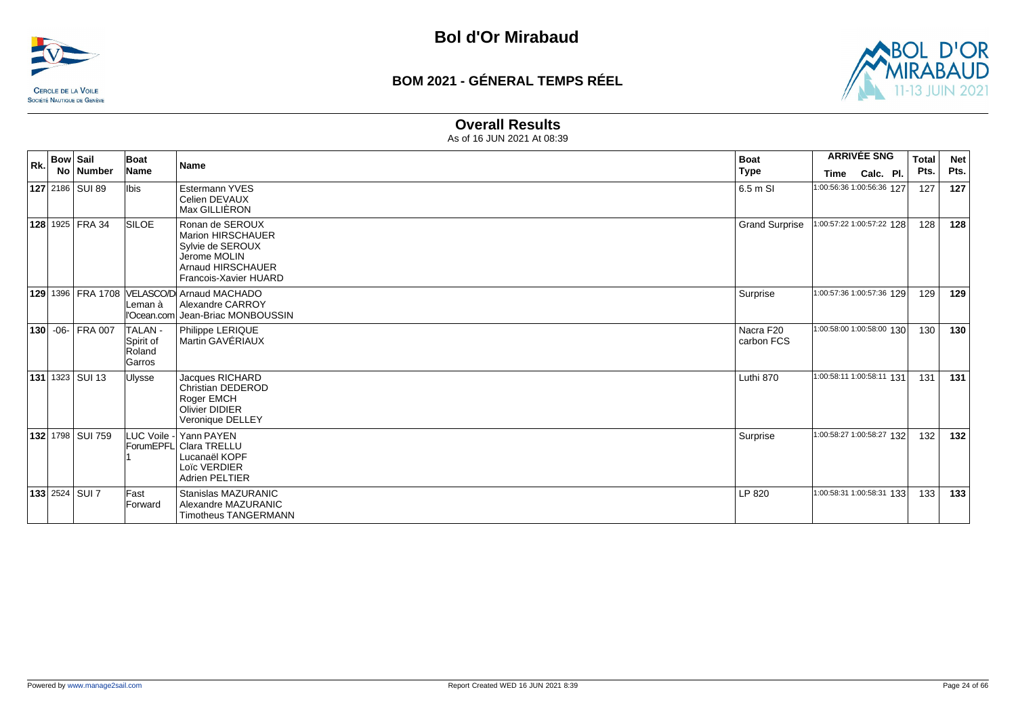



#### **Overall Results**

| Rk. | <b>Bow Sail</b> | No Number                | Boat<br>Name                                   | Name                                                                                                                   | <b>Boat</b><br>  Type   | <b>ARRIVÉE SNG</b>                             | <b>Total</b><br>Pts. | <b>Net</b><br>Pts. |
|-----|-----------------|--------------------------|------------------------------------------------|------------------------------------------------------------------------------------------------------------------------|-------------------------|------------------------------------------------|----------------------|--------------------|
|     |                 | <b>127</b> 2186   SUI 89 | lbis                                           | Estermann YVES<br>Celien DEVAUX<br>Max GILLIÈRON                                                                       | 6.5 m SI                | Calc. Pl.<br>Time<br>1:00:56:36 1:00:56:36 127 | 127                  | 127                |
|     |                 | 128 1925 FRA 34          | <b>SILOE</b>                                   | Ronan de SEROUX<br>Marion HIRSCHAUER<br>Sylvie de SEROUX<br>Jerome MOLIN<br>Arnaud HIRSCHAUER<br>Francois-Xavier HUARD | <b>Grand Surprise</b>   | 1:00:57:22 1:00:57:22 128                      | 128                  | 128                |
|     |                 |                          | Leman à<br>l'Ocean.com                         | 129 1396   FRA 1708   VELASCO/D Arnaud MACHADO<br>Alexandre CARROY<br>Jean-Briac MONBOUSSIN                            | Surprise                | 1:00:57:36 1:00:57:36 129                      | 129                  | 129                |
|     |                 | 130 -06- FRA 007         | <b>TALAN-</b><br>Spirit of<br>Roland<br>Garros | Philippe LERIQUE<br>Martin GAVÉRIAUX                                                                                   | Nacra F20<br>carbon FCS | 1:00:58:00 1:00:58:00 130                      | 130                  | 130                |
|     |                 | <b>131</b> 1323 SUI 13   | Ulysse                                         | Jacques RICHARD<br>Christian DEDEROD<br>Roger EMCH<br><b>Olivier DIDIER</b><br>Veronique DELLEY                        | Luthi 870               | 1:00:58:11 1:00:58:11 131                      | 131                  | 131                |
|     |                 | <b>132</b> 1798 SUI 759  |                                                | LUC Voile - Yann PAYEN<br>ForumEPFL Clara TRELLU<br>Lucanaël KOPF<br>Loïc VERDIER<br>Adrien PELTIER                    | Surprise                | 1:00:58:27 1:00:58:27 132                      | 132                  | 132                |
|     |                 | <b>133</b> 2524 SUI 7    | Fast<br>Forward                                | Stanislas MAZURANIC<br>Alexandre MAZURANIC<br><b>Timotheus TANGERMANN</b>                                              | LP 820                  | 1:00:58:31 1:00:58:31 133                      | 133                  | 133                |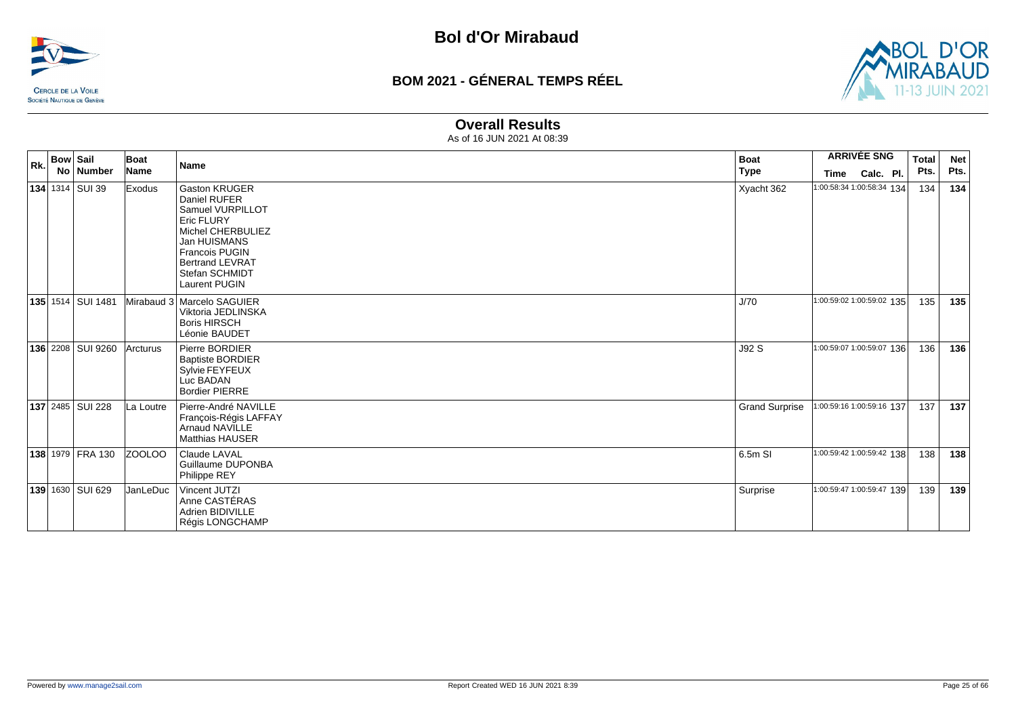



#### **Overall Results**

| Rk. | <b>Bow Sail</b> | No   Number               | Boat<br>Name  | <b>Name</b>                                                                                                                                                                                       | <b>Boat</b><br>Type   | <b>ARRIVÉE SNG</b><br>Calc. Pl.<br>Time | <b>Total</b><br>Pts. | <b>Net</b><br>Pts. |
|-----|-----------------|---------------------------|---------------|---------------------------------------------------------------------------------------------------------------------------------------------------------------------------------------------------|-----------------------|-----------------------------------------|----------------------|--------------------|
|     |                 | <b>134</b> 1314 SUI 39    | <b>Exodus</b> | <b>Gaston KRUGER</b><br>Daniel RUFER<br>Samuel VURPILLOT<br>Eric FLURY<br>Michel CHERBULIEZ<br>Jan HUISMANS<br><b>Francois PUGIN</b><br><b>Bertrand LEVRAT</b><br>Stefan SCHMIDT<br>Laurent PUGIN | Xyacht 362            | 1:00:58:34 1:00:58:34 134               | 134                  | 134                |
|     |                 | 135 1514   SUI 1481       |               | Mirabaud 3 Marcelo SAGUIER<br>Viktoria JEDLINSKA<br><b>Boris HIRSCH</b><br>Léonie BAUDET                                                                                                          | J/70                  | 1:00:59:02 1:00:59:02 135               | 135                  | 135                |
|     |                 | 136 2208 SUI 9260         | Arcturus      | Pierre BORDIER<br><b>Baptiste BORDIER</b><br>Sylvie FEYFEUX<br>Luc BADAN<br><b>Bordier PIERRE</b>                                                                                                 | J92 S                 | 1:00:59:07 1:00:59:07 136               | 136                  | 136                |
|     |                 | <b>137</b> 2485   SUI 228 | La Loutre     | Pierre-André NAVILLE<br>François-Régis LAFFAY<br><b>Arnaud NAVILLE</b><br><b>Matthias HAUSER</b>                                                                                                  | <b>Grand Surprise</b> | 1:00:59:16 1:00:59:16 137               | 137                  | 137                |
|     |                 | 138 1979 FRA 130          | <b>ZOOLOO</b> | Claude LAVAL<br>Guillaume DUPONBA<br>Philippe REY                                                                                                                                                 | 6.5m SI               | 1:00:59:42 1:00:59:42 138               | 138                  | 138                |
|     |                 | 139 1630 SUI 629          | JanLeDuc      | Vincent JUTZI<br>Anne CASTÉRAS<br>Adrien BIDIVILLE<br>Régis LONGCHAMP                                                                                                                             | Surprise              | 1:00:59:47 1:00:59:47 139               | 139                  | 139                |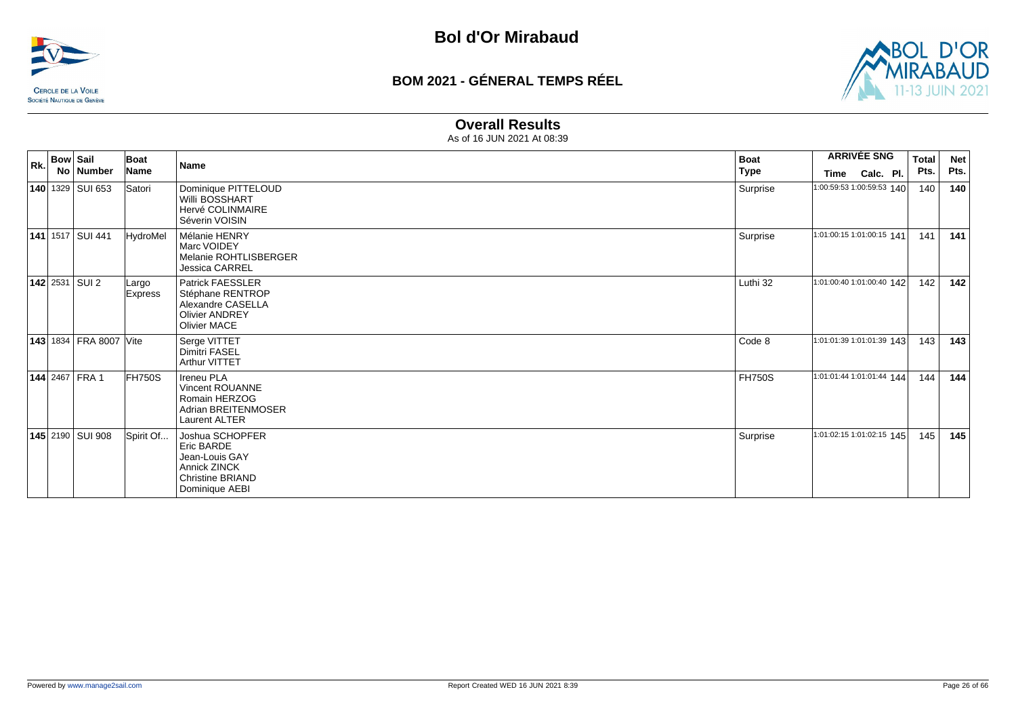



#### **Overall Results**

| <b>Bow Sail</b><br>Rk. |                           |                               | Boat                    | <b>Name</b>                                                                                                         | <b>Boat</b>   | <b>ARRIVÉE SNG</b>        |           |  | <b>Total</b> | <b>Net</b> |
|------------------------|---------------------------|-------------------------------|-------------------------|---------------------------------------------------------------------------------------------------------------------|---------------|---------------------------|-----------|--|--------------|------------|
|                        |                           | No Number                     | Name                    |                                                                                                                     | <b>Type</b>   | Time                      | Calc. Pl. |  | Pts.         | Pts.       |
|                        |                           | <b>140</b> 1329 SUI 653       | Satori                  | Dominique PITTELOUD<br><b>Willi BOSSHART</b><br>Hervé COLINMAIRE<br>Séverin VOISIN                                  | Surprise      | 1:00:59:53 1:00:59:53 140 |           |  | 140          | 140        |
|                        | <b>141</b> 1517   SUI 441 |                               | <b>HydroMel</b>         | Mélanie HENRY<br>Marc VOIDEY<br>Melanie ROHTLISBERGER<br>Jessica CARREL                                             | Surprise      | 1:01:00:15 1:01:00:15 141 |           |  | 141          | 141        |
|                        | <b>142</b> 2531 SUI 2     |                               | Largo<br><b>Express</b> | Patrick FAESSLER<br>Stéphane RENTROP<br>Alexandre CASELLA<br><b>Olivier ANDREY</b><br>Olivier MACE                  | Luthi 32      | 1:01:00:40 1:01:00:40 142 |           |  | 142          | 142        |
|                        |                           | <b>143</b> 1834 FRA 8007 Vite |                         | Serge VITTET<br><b>Dimitri FASEL</b><br>Arthur VITTET                                                               | Code 8        | 1:01:01:39 1:01:01:39 143 |           |  | 143          | 143        |
|                        | <b>144 2467 FRA1</b>      |                               | <b>FH750S</b>           | <b>Ireneu PLA</b><br>Vincent ROUANNE<br>Romain HERZOG<br>Adrian BREITENMOSER<br><b>Laurent ALTER</b>                | <b>FH750S</b> | 1:01:01:44 1:01:01:44 144 |           |  | 144          | 144        |
|                        | 145 2190 SUI 908          |                               | Spirit Of               | Joshua SCHOPFER<br>Eric BARDE<br>Jean-Louis GAY<br><b>Annick ZINCK</b><br><b>Christine BRIAND</b><br>Dominique AEBI | Surprise      | 1:01:02:15 1:01:02:15 145 |           |  | 145          | 145        |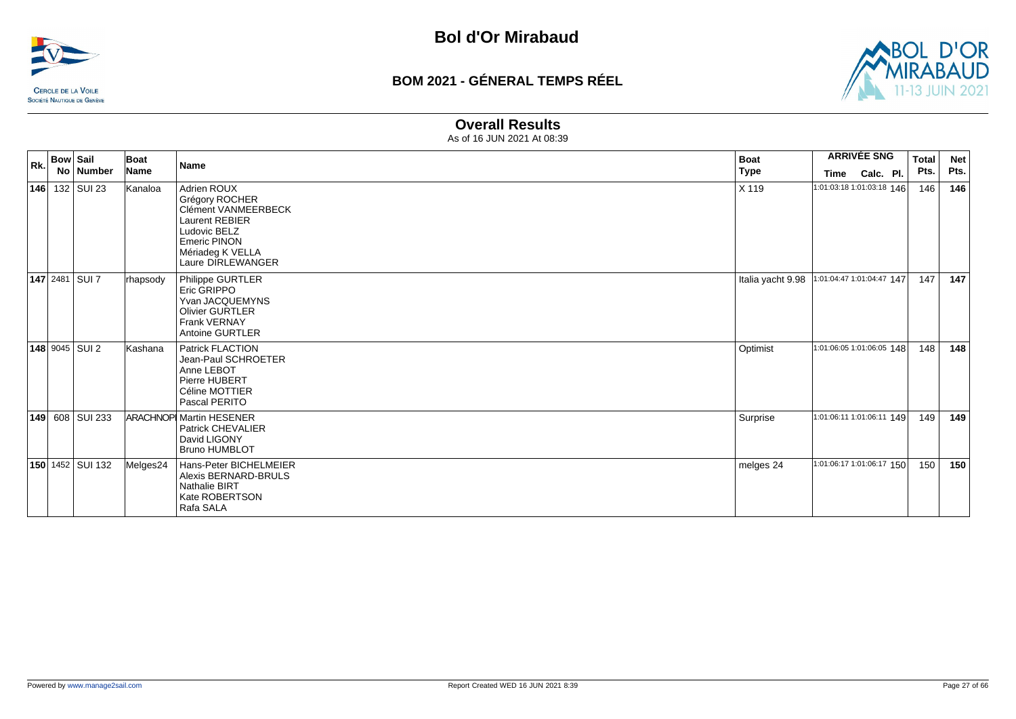



#### **Overall Results**

| Rk. | <b>Bow Sail</b>         | Boat        | <b>Name</b>                                                                                                                                                   | <b>Boat</b>       | <b>ARRIVÉE SNG</b>        | <b>Total</b> | <b>Net</b> |
|-----|-------------------------|-------------|---------------------------------------------------------------------------------------------------------------------------------------------------------------|-------------------|---------------------------|--------------|------------|
|     | No   Number             | <b>Name</b> |                                                                                                                                                               | Type              | Calc. Pl.<br>Time         | Pts.         | Pts.       |
|     | <b>146</b> 132 SUI 23   | Kanaloa     | Adrien ROUX<br>Grégory ROCHER<br>Clément VANMEERBECK<br><b>Laurent REBIER</b><br>Ludovic BELZ<br><b>Emeric PINON</b><br>Mériadeg K VELLA<br>Laure DIRLEWANGER | X 119             | 1:01:03:18 1:01:03:18 146 | 146          | 146        |
|     | <b>147</b> 2481 SUI 7   | rhapsody    | Philippe GURTLER<br>Eric GRIPPO<br>Yvan JACQUEMYNS<br><b>Olivier GURTLER</b><br>Frank VERNAY<br>Antoine GURTLER                                               | Italia yacht 9.98 | 1:01:04:47 1:01:04:47 147 | 147          | 147        |
|     | <b>148</b> 9045 SUI 2   | Kashana     | <b>Patrick FLACTION</b><br>Jean-Paul SCHROETER<br>Anne LEBOT<br>Pierre HUBERT<br>Céline MOTTIER<br>Pascal PERITO                                              | Optimist          | 1:01:06:05 1:01:06:05 148 | 148          | 148        |
|     | 149 608 SUI 233         |             | <b>ARACHNOP Martin HESENER</b><br><b>Patrick CHEVALIER</b><br>David LIGONY<br><b>Bruno HUMBLOT</b>                                                            | Surprise          | 1:01:06:11 1:01:06:11 149 | 149          | 149        |
|     | <b>150</b> 1452 SUI 132 | Melges24    | Hans-Peter BICHELMEIER<br>Alexis BERNARD-BRULS<br><b>Nathalie BIRT</b><br>Kate ROBERTSON<br>Rafa SALA                                                         | melges 24         | 1:01:06:17 1:01:06:17 150 | 150          | 150        |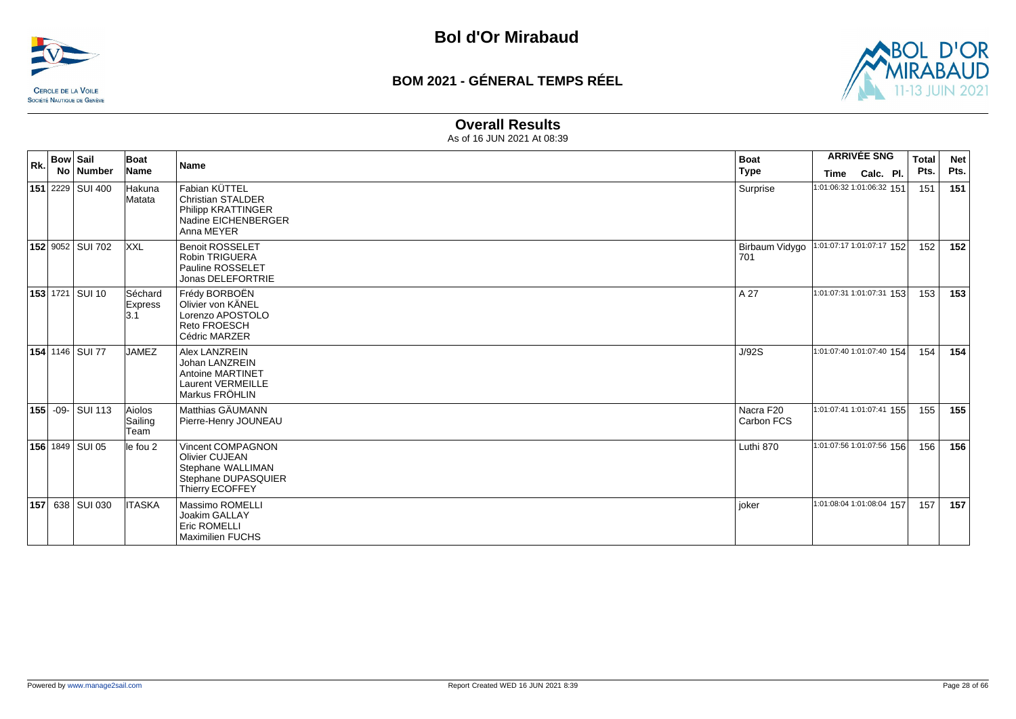



#### **Overall Results**

| Rk. | <b>Bow Sail</b> |                    | Boat                             | <b>Name</b>                                                                                                             | <b>Boat</b>             | <b>ARRIVÉE SNG</b>        | <b>Total</b> | <b>Net</b> |
|-----|-----------------|--------------------|----------------------------------|-------------------------------------------------------------------------------------------------------------------------|-------------------------|---------------------------|--------------|------------|
|     |                 | No   Number        | Name                             |                                                                                                                         | <b>Type</b>             | Calc. Pl.<br>Time         | Pts.         | Pts.       |
|     |                 | 151 2229 SUI 400   | Hakuna<br>Matata                 | Fabian KÜTTEL<br><b>Christian STALDER</b><br>Philipp KRATTINGER<br>Nadine EICHENBERGER<br>Anna MEYER                    | Surprise                | 1:01:06:32 1:01:06:32 151 | 151          | 151        |
|     |                 | 152 9052 SUI 702   | <b>XXL</b>                       | <b>Benoit ROSSELET</b><br><b>Robin TRIGUERA</b><br>Pauline ROSSELET<br>Jonas DELEFORTRIE                                | Birbaum Vidygo<br>701   | 1:01:07:17 1:01:07:17 152 | 152          | 152        |
|     |                 | 153 1721 SUI 10    | Séchard<br>Express<br> 3.1       | Frédy BORBOËN<br>Olivier von KÄNEL<br>Lorenzo APOSTOLO<br>Reto FROESCH<br>Cédric MARZER                                 | A 27                    | 1:01:07:31 1:01:07:31 153 | 153          | 153        |
|     |                 | 154 1146 SUI 77    | <b>JAMEZ</b>                     | Alex LANZREIN<br>Johan LANZREIN<br><b>Antoine MARTINET</b><br><b>Laurent VERMEILLE</b><br>Markus FRÖHLIN                | J/92S                   | 1:01:07:40 1:01:07:40 154 | 154          | 154        |
|     |                 | 155 - 09 - SUI 113 | Aiolos<br>Sailing<br><b>Team</b> | Matthias GÄUMANN<br>Pierre-Henry JOUNEAU                                                                                | Nacra F20<br>Carbon FCS | 1:01:07:41 1:01:07:41 155 | 155          | 155        |
|     |                 | 156 1849 SUI 05    | le fou 2                         | <b>Vincent COMPAGNON</b><br><b>Olivier CUJEAN</b><br>Stephane WALLIMAN<br>Stephane DUPASQUIER<br><b>Thierry ECOFFEY</b> | Luthi 870               | 1:01:07:56 1:01:07:56 156 | 156          | 156        |
| 157 |                 | 638 SUI 030        | <b>ITASKA</b>                    | Massimo ROMELLI<br>Joakim GALLAY<br><b>Eric ROMELLI</b><br><b>Maximilien FUCHS</b>                                      | joker                   | 1:01:08:04 1:01:08:04 157 | 157          | 157        |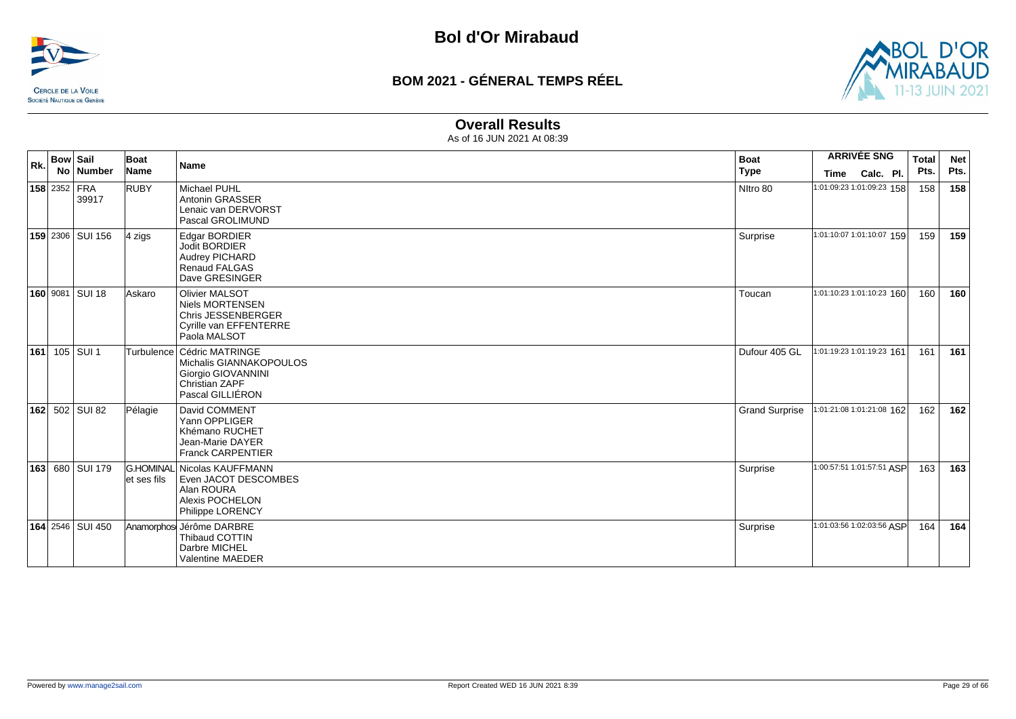



#### **Overall Results**

| Rk. | <b>Bow Sail</b>              | <b>Boat</b>          | <b>Name</b>                                                                                                         | <b>Boat</b>           |                           | <b>ARRIVÉE SNG</b> | <b>Total</b> | <b>Net</b> |
|-----|------------------------------|----------------------|---------------------------------------------------------------------------------------------------------------------|-----------------------|---------------------------|--------------------|--------------|------------|
|     | No Number                    | Name                 |                                                                                                                     | <b>Type</b>           | Time                      | Calc. Pl.          | Pts.         | Pts.       |
|     | <b>158</b> 2352 FRA<br>39917 | <b>RUBY</b>          | Michael PUHL<br><b>Antonin GRASSER</b><br>Lenaic van DERVORST<br>Pascal GROLIMUND                                   | Nitro 80              | 1:01:09:23 1:01:09:23 158 |                    | 158          | 158        |
|     | <b>159</b> 2306 SUI 156      | $4 \overline{z}$ igs | Edgar BORDIER<br>Jodit BORDIER<br><b>Audrey PICHARD</b><br><b>Renaud FALGAS</b><br>Dave GRESINGER                   | Surprise              | 1:01:10:07 1:01:10:07 159 |                    | 159          | 159        |
|     | 160 9081 SUI 18              | <b>Askaro</b>        | <b>Olivier MALSOT</b><br><b>Niels MORTENSEN</b><br>Chris JESSENBERGER<br>Cyrille van EFFENTERRE<br>Paola MALSOT     | Toucan                | 1:01:10:23 1:01:10:23 160 |                    | 160          | 160        |
| 161 | 105 SUI 1                    |                      | Turbulence   Cédric MATRINGE<br>Michalis GIANNAKOPOULOS<br>Giorgio GIOVANNINI<br>Christian ZAPF<br>Pascal GILLIÉRON | Dufour 405 GL         | 1:01:19:23 1:01:19:23 161 |                    | 161          | 161        |
| 162 | 502 SUI 82                   | Pélagie              | David COMMENT<br>Yann OPPLIGER<br>Khémano RUCHET<br>Jean-Marie DAYER<br><b>Franck CARPENTIER</b>                    | <b>Grand Surprise</b> | 1:01:21:08 1:01:21:08 162 |                    | 162          | 162        |
| 163 | 680 SUI 179                  | et ses fils          | G.HOMINAL Nicolas KAUFFMANN<br>Even JACOT DESCOMBES<br>Alan ROURA<br><b>Alexis POCHELON</b><br>Philippe LORENCY     | Surprise              | 1:00:57:51 1:01:57:51 ASP |                    | 163          | 163        |
|     | 164 2546 SUI 450             |                      | Anamorphos Jérôme DARBRE<br>Thibaud COTTIN<br>Darbre MICHEL<br>Valentine MAEDER                                     | Surprise              | 1:01:03:56 1:02:03:56 ASP |                    | 164          | 164        |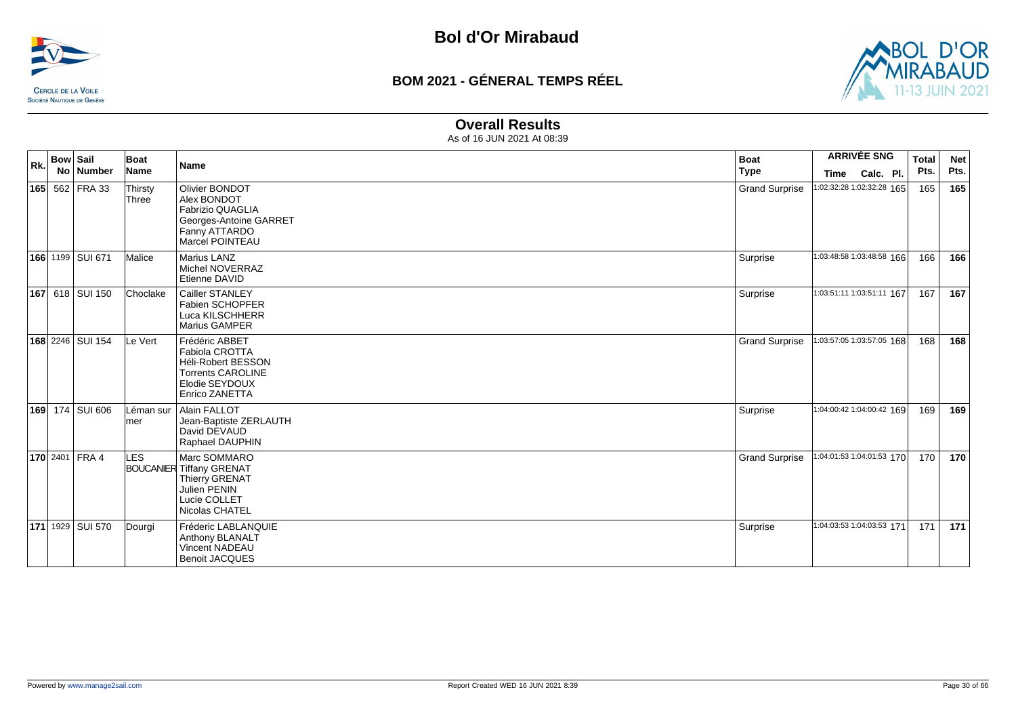



#### **Overall Results**

| Rk. | <b>Bow Sail</b><br>No   Number | Boat<br>Name      | Name                                                                                                                          | <b>Boat</b><br><b>Type</b> | <b>ARRIVÉE SNG</b><br>Calc. Pl.<br>Time | <b>Total</b><br>Pts. | <b>Net</b><br>Pts. |
|-----|--------------------------------|-------------------|-------------------------------------------------------------------------------------------------------------------------------|----------------------------|-----------------------------------------|----------------------|--------------------|
|     | 165 562 FRA 33                 | Thirsty<br>Three  | Olivier BONDOT<br>Alex BONDOT<br><b>Fabrizio QUAGLIA</b><br>Georges-Antoine GARRET<br>Fanny ATTARDO<br>Marcel POINTEAU        | <b>Grand Surprise</b>      | 1:02:32:28 1:02:32:28 165               | 165                  | 165                |
|     | 166 1199 SUI 671               | Malice            | Marius LANZ<br>Michel NOVERRAZ<br>Etienne DAVID                                                                               | Surprise                   | 1:03:48:58 1:03:48:58 166               | 166                  | 166                |
|     | 167 618 SUI 150                | Choclake          | Cailler STANLEY<br>Fabien SCHOPFER<br>Luca KILSCHHERR<br>Marius GAMPER                                                        | Surprise                   | 1:03:51:11 1:03:51:11 167               | 167                  | 167                |
|     | 168 2246 SUI 154               | Le Vert           | Frédéric ABBET<br>Fabiola CROTTA<br><b>Héli-Robert BESSON</b><br><b>Torrents CAROLINE</b><br>Elodie SEYDOUX<br>Enrico ZANETTA | <b>Grand Surprise</b>      | 1:03:57:05 1:03:57:05 168               | 168                  | 168                |
|     | 169 174 SUI 606                | Léman sur<br>lmer | Alain FALLOT<br>Jean-Baptiste ZERLAUTH<br>David DEVAUD<br>Raphael DAUPHIN                                                     | Surprise                   | 1:04:00:42 1:04:00:42 169               | 169                  | 169                |
|     | <b>170</b> 2401 FRA 4          | <b>LES</b>        | Marc SOMMARO<br><b>BOUCANIER Tiffany GRENAT</b><br><b>Thierry GRENAT</b><br>Julien PENIN<br>Lucie COLLET<br>Nicolas CHATEL    | <b>Grand Surprise</b>      | 1:04:01:53 1:04:01:53 170               | 170                  | 170                |
|     | 171 1929   SUI 570             | Dourgi            | Fréderic LABLANQUIE<br><b>Anthony BLANALT</b><br><b>Vincent NADEAU</b><br><b>Benoit JACQUES</b>                               | Surprise                   | 1:04:03:53 1:04:03:53 171               | 171                  | 171                |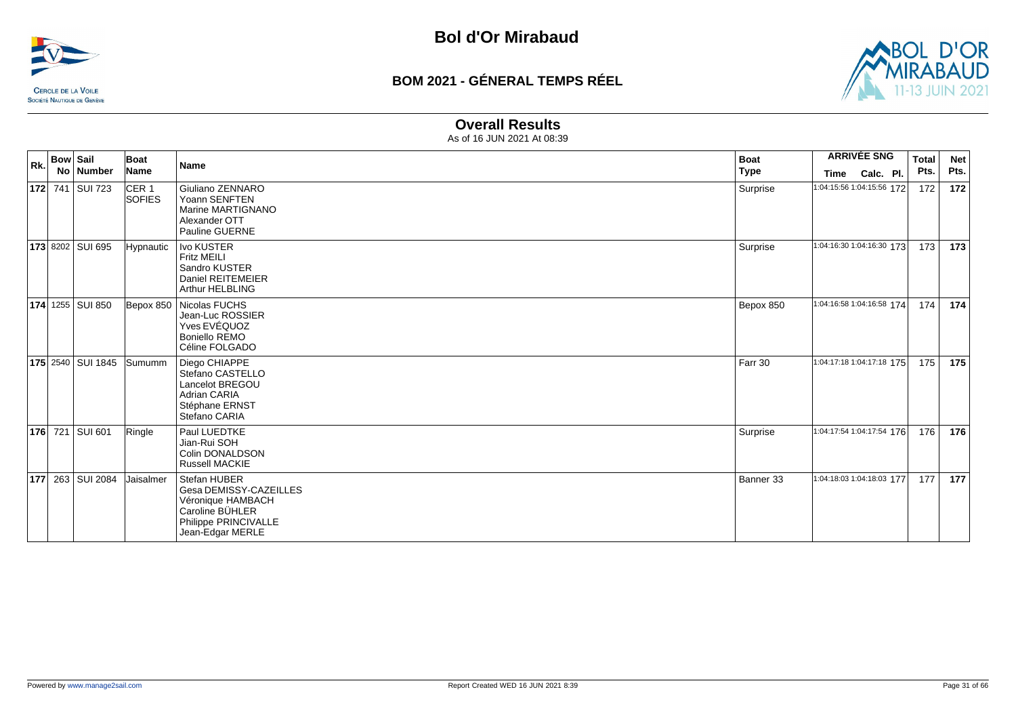



#### **Overall Results**

| Rk. | <b>Bow Sail</b> |                          | Boat                              | Name                                                                                                                       | <b>Boat</b> | <b>ARRIVÉE SNG</b>        |           | <b>Total</b> | <b>Net</b> |
|-----|-----------------|--------------------------|-----------------------------------|----------------------------------------------------------------------------------------------------------------------------|-------------|---------------------------|-----------|--------------|------------|
|     |                 | No Number                | Name                              |                                                                                                                            | <b>Type</b> | Time                      | Calc. Pl. | Pts.         | Pts.       |
|     |                 | <b>172</b> 741 SUI 723   | CER <sub>1</sub><br><b>SOFIES</b> | Giuliano ZENNARO<br>Yoann SENFTEN<br>Marine MARTIGNANO<br>Alexander OTT<br>Pauline GUERNE                                  | Surprise    | 1:04:15:56 1:04:15:56 172 |           | 172          | 172        |
|     |                 | 173 8202 SUI 695         | <b>Hypnautic</b>                  | Ivo KUSTER<br><b>Fritz MEILI</b><br>Sandro KUSTER<br>Daniel REITEMEIER<br><b>Arthur HELBLING</b>                           | Surprise    | 1:04:16:30 1:04:16:30 173 |           | 173          | 173        |
|     |                 | 174 1255 SUI 850         |                                   | Bepox 850   Nicolas FUCHS<br>Jean-Luc ROSSIER<br>Yves EVÉQUOZ<br><b>Boniello REMO</b><br>Céline FOLGADO                    | Bepox 850   | 1:04:16:58 1:04:16:58 174 |           | 174          | 174        |
|     |                 | <b>175</b> 2540 SUI 1845 | Sumumm                            | Diego CHIAPPE<br>Stefano CASTELLO<br>Lancelot BREGOU<br><b>Adrian CARIA</b><br>Stéphane ERNST<br>Stefano CARIA             | Farr 30     | 1:04:17:18 1:04:17:18 175 |           | 175          | 175        |
|     |                 | <b>176</b> 721 SUI 601   | Ringle                            | Paul LUEDTKE<br>Jian-Rui SOH<br>Colin DONALDSON<br><b>Russell MACKIE</b>                                                   | Surprise    | 1:04:17:54 1:04:17:54 176 |           | 176          | 176        |
|     |                 | 177 263 SUI 2084         | Jaisalmer                         | Stefan HUBER<br>Gesa DEMISSY-CAZEILLES<br>Véronique HAMBACH<br>Caroline BÜHLER<br>Philippe PRINCIVALLE<br>Jean-Edgar MERLE | Banner 33   | 1:04:18:03 1:04:18:03 177 |           | 177          | 177        |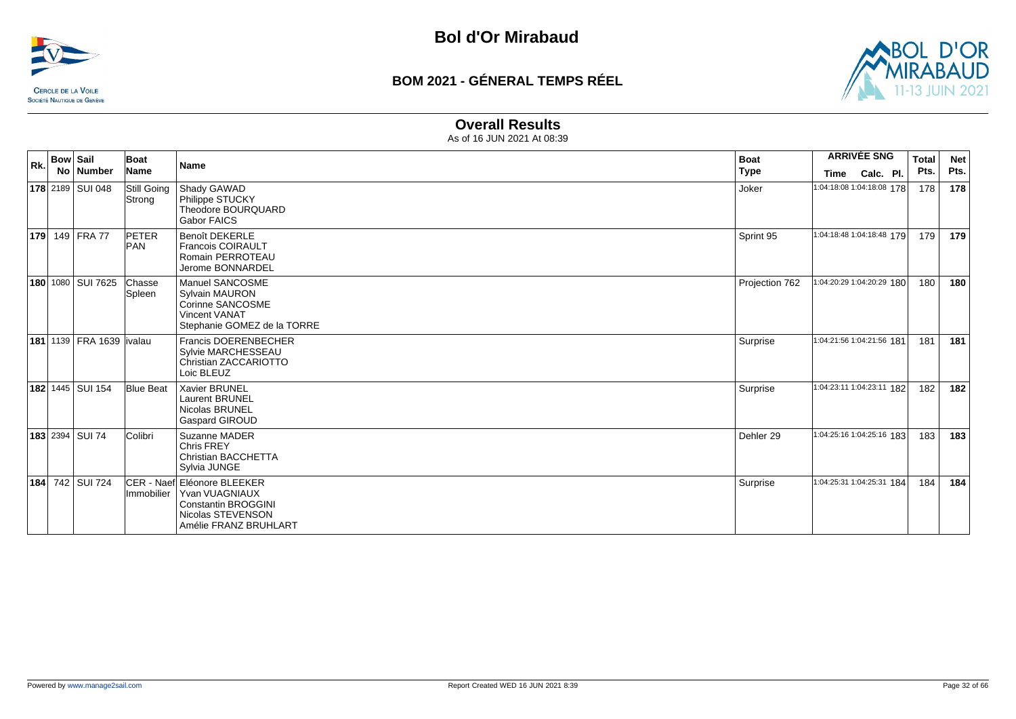



#### **Overall Results**

| Rk. | <b>Bow Sail</b> |                                  | Boat                       | <b>Name</b>                                                                                                                 | <b>Boat</b>    |                           | <b>ARRIVÉE SNG</b> | <b>Total</b> | <b>Net</b> |
|-----|-----------------|----------------------------------|----------------------------|-----------------------------------------------------------------------------------------------------------------------------|----------------|---------------------------|--------------------|--------------|------------|
|     |                 | No   Number                      | Name                       |                                                                                                                             | <b>Type</b>    | Time                      | Calc. Pl.          | Pts.         | Pts.       |
|     |                 | 178 2189 SUI 048                 | Still Going<br>Strong      | Shady GAWAD<br>Philippe STUCKY<br>Theodore BOURQUARD<br><b>Gabor FAICS</b>                                                  | Joker          | 1:04:18:08 1:04:18:08 178 |                    | 178          | 178        |
|     |                 | 179 149 FRA 77                   | <b>PETER</b><br><b>PAN</b> | <b>Benoît DEKERLE</b><br><b>Francois COIRAULT</b><br>Romain PERROTEAU<br>Jerome BONNARDEL                                   | Sprint 95      | 1:04:18:48 1:04:18:48 179 |                    | 179          | 179        |
|     |                 | 180 1080 SUI 7625                | Chasse<br>Spleen           | Manuel SANCOSME<br><b>Sylvain MAURON</b><br>Corinne SANCOSME<br><b>Vincent VANAT</b><br>Stephanie GOMEZ de la TORRE         | Projection 762 | 1:04:20:29 1:04:20:29 180 |                    | 180          | 180        |
|     |                 | <b>181 1139 FRA 1639 livalau</b> |                            | <b>Francis DOERENBECHER</b><br>Sylvie MARCHESSEAU<br>Christian ZACCARIOTTO<br>Loic BLEUZ                                    | Surprise       | 1:04:21:56 1:04:21:56 181 |                    | 181          | 181        |
|     |                 | 182 1445   SUI 154               | <b>Blue Beat</b>           | Xavier BRUNEL<br>Laurent BRUNEL<br>Nicolas BRUNEL<br><b>Gaspard GIROUD</b>                                                  | Surprise       | 1:04:23:11 1:04:23:11 182 |                    | 182          | 182        |
|     |                 | <b>183</b> 2394 SUI 74           | Colibri                    | Suzanne MADER<br><b>Chris FREY</b><br>Christian BACCHETTA<br>Sylvia JUNGE                                                   | Dehler 29      | 1:04:25:16 1:04:25:16 183 |                    | 183          | 183        |
|     |                 | 184 742 SUI 724                  | Immobilier                 | ICER - Naefl Eléonore BLEEKER<br>Yvan VUAGNIAUX<br><b>Constantin BROGGINI</b><br>Nicolas STEVENSON<br>Amélie FRANZ BRUHLART | Surprise       | 1:04:25:31 1:04:25:31 184 |                    | 184          | 184        |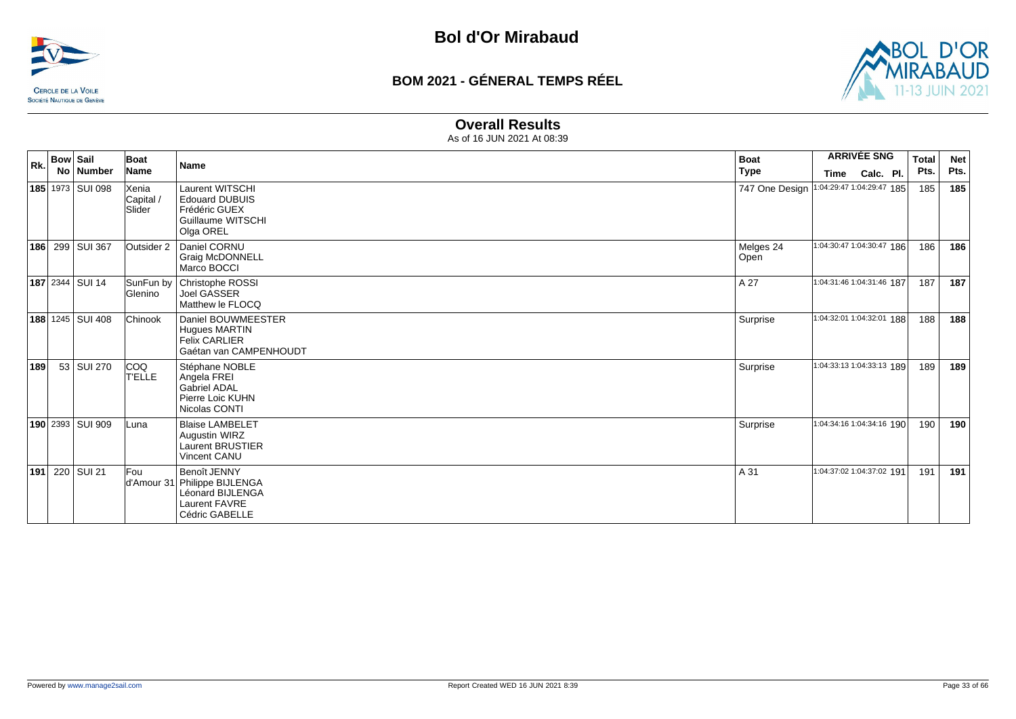



#### **Overall Results**

| Rk. | <b>Bow Sail</b><br>No   Number | Boat<br>Name                 | <b>Name</b>                                                                                                | <b>Boat</b><br>Type | <b>ARRIVÉE SNG</b><br>Calc. Pl.<br>Time  | <b>Total</b><br>Pts. | <b>Net</b><br>Pts. |
|-----|--------------------------------|------------------------------|------------------------------------------------------------------------------------------------------------|---------------------|------------------------------------------|----------------------|--------------------|
|     | 185 1973 SUI 098               | Xenia<br>Capital /<br>Slider | <b>Laurent WITSCHI</b><br><b>Edouard DUBUIS</b><br>Frédéric GUEX<br>Guillaume WITSCHI<br>Olga OREL         |                     | 747 One Design 1:04:29:47 1:04:29:47 185 | 185                  | 185                |
|     | 186 299 SUI 367                | Outsider 2                   | Daniel CORNU<br>Graig McDONNELL<br>Marco BOCCI                                                             | Melges 24<br>Open   | 1:04:30:47 1:04:30:47 186                | 186                  | 186                |
|     | <b>187</b> 2344 SUI 14         | SunFun by<br>Glenino         | Christophe ROSSI<br>Joel GASSER<br>Matthew le FLOCQ                                                        | A 27                | 1:04:31:46 1:04:31:46 187                | 187                  | 187                |
|     | <b>188</b> 1245 SUI 408        | Chinook                      | Daniel BOUWMEESTER<br><b>Hugues MARTIN</b><br><b>Felix CARLIER</b><br>Gaétan van CAMPENHOUDT               | Surprise            | 1:04:32:01 1:04:32:01 188                | 188                  | 188                |
| 189 | 53 SUI 270                     | COQ<br><b>T'ELLE</b>         | Stéphane NOBLE<br>Angela FREI<br><b>Gabriel ADAL</b><br>Pierre Loic KUHN<br>Nicolas CONTI                  | Surprise            | 1:04:33:13 1:04:33:13 189                | 189                  | 189                |
|     | 190 2393 SUI 909               | Luna                         | <b>Blaise LAMBELET</b><br>Augustin WIRZ<br>Laurent BRUSTIER<br>Vincent CANU                                | Surprise            | 1:04:34:16 1:04:34:16 190                | 190                  | 190                |
| 191 | 220 SUI 21                     | lFou                         | Benoît JENNY<br>d'Amour 31 Philippe BIJLENGA<br>Léonard BIJLENGA<br><b>Laurent FAVRE</b><br>Cédric GABELLE | A 31                | 1:04:37:02 1:04:37:02 191                | 191                  | 191                |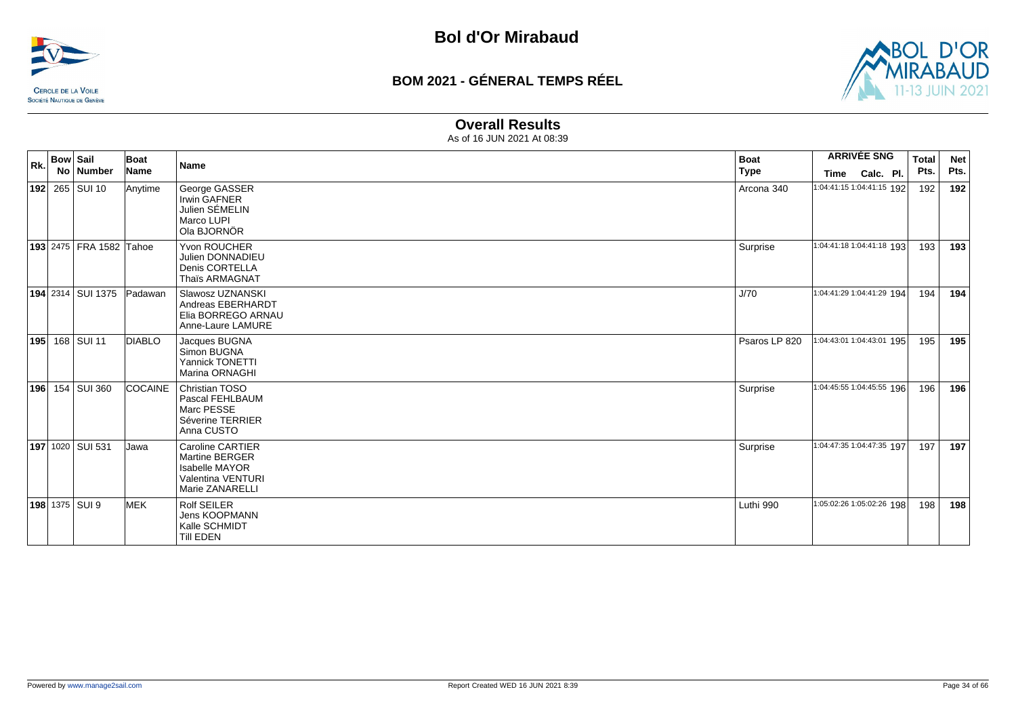



#### **Overall Results**

| Rk. | <b>Bow Sail</b><br>No   Number | Boat<br>Name              | Name                                                                                                              | <b>Boat</b><br><b>Type</b> | Time | <b>ARRIVÉE SNG</b><br>Calc. Pl. | <b>Total</b><br>Pts. | <b>Net</b><br>Pts. |
|-----|--------------------------------|---------------------------|-------------------------------------------------------------------------------------------------------------------|----------------------------|------|---------------------------------|----------------------|--------------------|
|     | 192 265 SUI 10                 | Anytime                   | George GASSER<br><b>Irwin GAFNER</b><br>Julien SÉMELIN<br>Marco LUPI<br>Ola BJORNÖR                               | Arcona 340                 |      | 1:04:41:15 1:04:41:15 192       | 192                  | 192                |
|     | 193 2475   FRA 1582 Tahoe      |                           | Yvon ROUCHER<br>Julien DONNADIEU<br>Denis CORTELLA<br>Thaïs ARMAGNAT                                              | Surprise                   |      | 1:04:41:18 1:04:41:18 193       | 193                  | 193                |
|     |                                | 194 2314 SUI 1375 Padawan | Slawosz UZNANSKI<br>Andreas EBERHARDT<br>Elia BORREGO ARNAU<br>Anne-Laure LAMURE                                  | J/70                       |      | 1:04:41:29 1:04:41:29 194       | 194 l                | 194                |
|     | <b>195</b> 168 SUI 11          | <b>DIABLO</b>             | Jacques BUGNA<br>Simon BUGNA<br>Yannick TONETTI<br>Marina ORNAGHI                                                 | Psaros LP 820              |      | 1:04:43:01 1:04:43:01 195       | 195                  | 195                |
|     | 196 154 SUI 360                | <b>COCAINE</b>            | <b>Christian TOSO</b><br>Pascal FEHLBAUM<br>Marc PESSE<br>Séverine TERRIER<br>Anna CUSTO                          | Surprise                   |      | 1:04:45:55 1:04:45:55 196       | 196                  | 196                |
|     | 197 1020 SUI 531               | Jawa                      | Caroline CARTIER<br><b>Martine BERGER</b><br><b>Isabelle MAYOR</b><br><b>Valentina VENTURI</b><br>Marie ZANARELLI | Surprise                   |      | 1:04:47:35 1:04:47:35 197       | 197                  | 197                |
|     | <b>198</b> 1375 SUI 9          | <b>IMEK</b>               | <b>Rolf SEILER</b><br>Jens KOOPMANN<br>Kalle SCHMIDT<br>Till EDEN                                                 | Luthi 990                  |      | 1:05:02:26 1:05:02:26 198       | 198                  | 198                |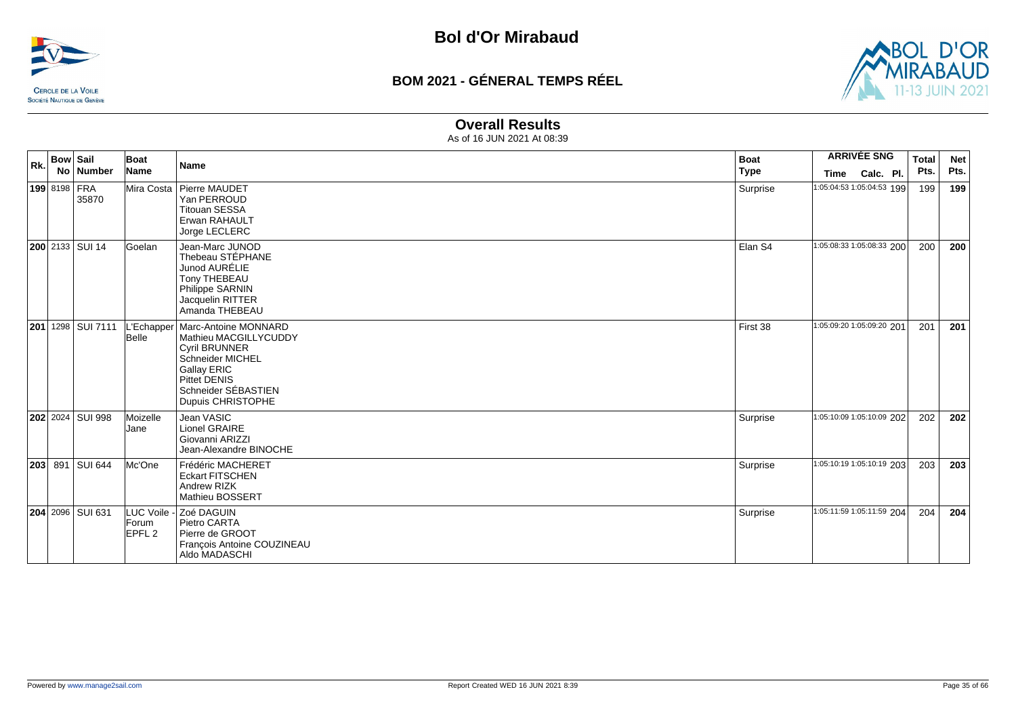



#### **Overall Results**

| Rk. | <b>Bow Sail</b> |                        | Boat                                      | <b>Name</b>                                                                                                                                                                        | <b>Boat</b> |      | <b>ARRIVÉE SNG</b>        | <b>Total</b> | <b>Net</b> |
|-----|-----------------|------------------------|-------------------------------------------|------------------------------------------------------------------------------------------------------------------------------------------------------------------------------------|-------------|------|---------------------------|--------------|------------|
|     |                 | No   Number            | Name                                      |                                                                                                                                                                                    | <b>Type</b> | Time | Calc. Pl.                 | Pts.         | Pts.       |
|     | 199 8198 FRA    | 35870                  |                                           | Mira Costa   Pierre MAUDET<br>Yan PERROUD<br><b>Titouan SESSA</b><br>Erwan RAHAULT<br>Jorge LECLERC                                                                                | Surprise    |      | 1:05:04:53 1:05:04:53 199 | 199          | 199        |
|     |                 | <b>200</b> 2133 SUI 14 | lGoelan                                   | Jean-Marc JUNOD<br>Thebeau STÉPHANE<br>Junod AURÉLIE<br>Tony THEBEAU<br>Philippe SARNIN<br>Jacquelin RITTER<br>Amanda THEBEAU                                                      | Elan S4     |      | 1:05:08:33 1:05:08:33 200 | 200          | 200        |
|     |                 | 201 1298 SUI 7111      | -'Echapper<br>Belle                       | Marc-Antoine MONNARD<br>Mathieu MACGILLYCUDDY<br><b>Cyril BRUNNER</b><br>Schneider MICHEL<br><b>Gallay ERIC</b><br><b>Pittet DENIS</b><br>Schneider SÉBASTIEN<br>Dupuis CHRISTOPHE | First 38    |      | 1:05:09:20 1:05:09:20 201 | 201          | 201        |
|     |                 | 202 2024 SUI 998       | Moizelle<br>Jane                          | Jean VASIC<br>Lionel GRAIRE<br>Giovanni ARIZZI<br>Jean-Alexandre BINOCHE                                                                                                           | Surprise    |      | 1:05:10:09 1:05:10:09 202 | 202          | 202        |
|     |                 | 203 891 SUI 644        | Mc'One                                    | Frédéric MACHERET<br><b>Eckart FITSCHEN</b><br>Andrew RIZK<br>Mathieu BOSSERT                                                                                                      | Surprise    |      | 1:05:10:19 1:05:10:19 203 | 203          | 203        |
|     |                 | 204 2096 SUI 631       | LUC Voile -<br>Forum<br>EPFL <sub>2</sub> | Zoé DAGUIN<br>Pietro CARTA<br>Pierre de GROOT<br>François Antoine COUZINEAU<br>Aldo MADASCHI                                                                                       | Surprise    |      | 1:05:11:59 1:05:11:59 204 | 204          | 204        |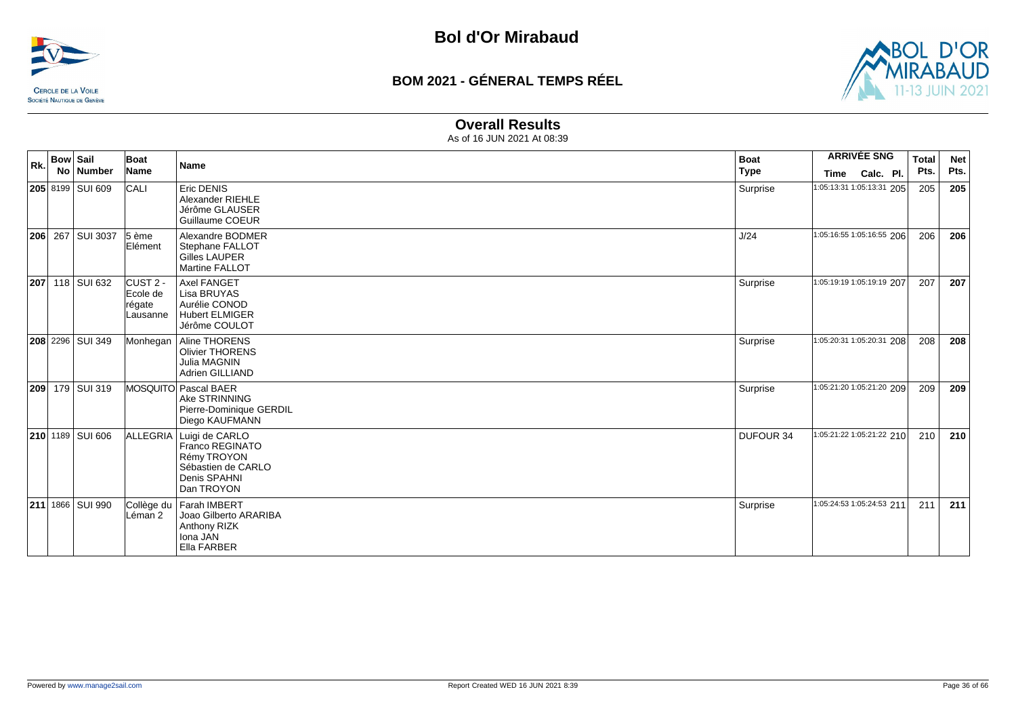



#### **Overall Results**

| Rk. | <b>Bow Sail</b> | No Number               | Boat<br>Name                                         | Name                                                                                                 | <b>Boat</b>      | <b>ARRIVÉE SNG</b>        | <b>Total</b> | <b>Net</b> |
|-----|-----------------|-------------------------|------------------------------------------------------|------------------------------------------------------------------------------------------------------|------------------|---------------------------|--------------|------------|
|     |                 |                         |                                                      |                                                                                                      | <b>Type</b>      | Time<br>Calc. Pl.         | Pts.         | Pts.       |
|     |                 | 205 8199 SUI 609        | <b>CALI</b>                                          | Eric DENIS<br>Alexander RIEHLE<br>Jérôme GLAUSER<br>Guillaume COEUR                                  | Surprise         | 1:05:13:31 1:05:13:31 205 | 205          | 205        |
|     |                 | 206 267 SUI 3037        | $5$ ème<br>Elément                                   | Alexandre BODMER<br>Stephane FALLOT<br><b>Gilles LAUPER</b><br><b>Martine FALLOT</b>                 | J/24             | 1:05:16:55 1:05:16:55 206 | 206          | 206        |
| 207 |                 | 118 SUI 632             | ICUST <sub>2</sub><br>Ecole de<br>régate<br>Lausanne | <b>Axel FANGET</b><br>Lisa BRUYAS<br>Aurélie CONOD<br><b>Hubert ELMIGER</b><br>Jérôme COULOT         | Surprise         | 1:05:19:19 1:05:19:19 207 | 207          | 207        |
|     |                 | <b>208</b> 2296 SUI 349 | Monhegan                                             | Aline THORENS<br><b>Olivier THORENS</b><br>Julia MAGNIN<br>Adrien GILLIAND                           | Surprise         | 1:05:20:31 1:05:20:31 208 | 208          | 208        |
| 209 |                 | 179 SUI 319             |                                                      | MOSQUITO Pascal BAER<br>Ake STRINNING<br>Pierre-Dominique GERDIL<br>Diego KAUFMANN                   | Surprise         | 1:05:21:20 1:05:21:20 209 | 209          | 209        |
|     |                 | 210 1189 SUI 606        | ALLEGRIA                                             | Luigi de CARLO<br>Franco REGINATO<br>Rémy TROYON<br>Sébastien de CARLO<br>Denis SPAHNI<br>Dan TROYON | <b>DUFOUR 34</b> | 1:05:21:22 1:05:21:22 210 | 210          | 210        |
|     |                 | 211 1866 SUI 990        | Léman 2                                              | Collège du Farah IMBERT<br>Joao Gilberto ARARIBA<br><b>Anthony RIZK</b><br>Iona JAN<br>Ella FARBER   | Surprise         | 1:05:24:53 1:05:24:53 211 | 211          | 211        |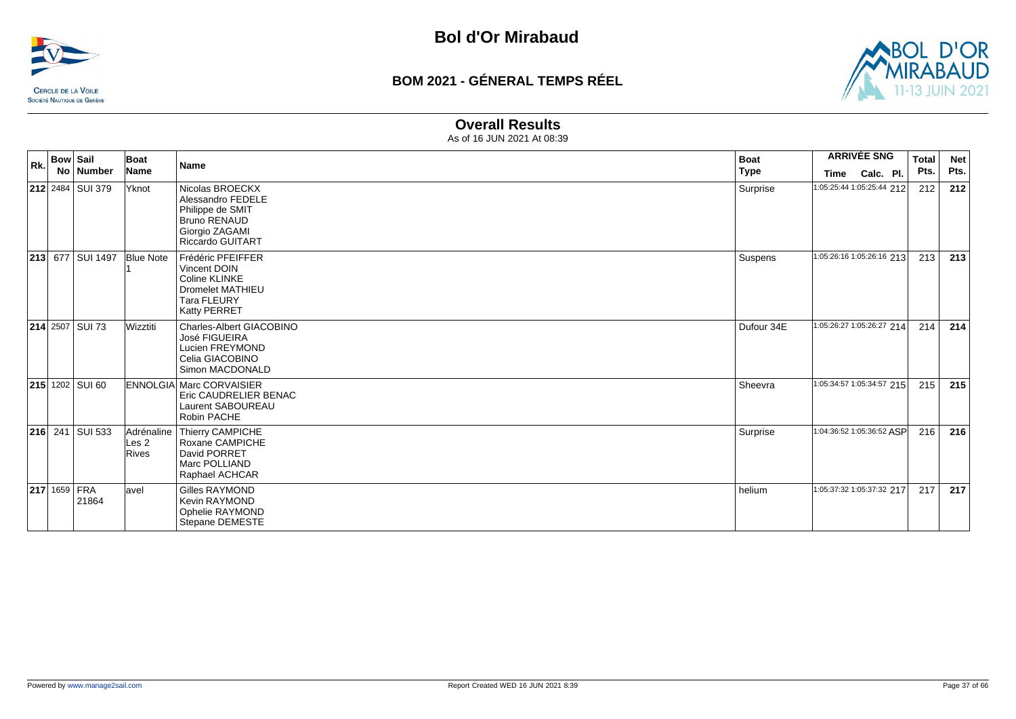



#### **Overall Results**

| Rk. | <b>Bow Sail</b><br>No Number | Boat<br><b>Name</b>          | <b>Name</b>                                                                                                                  | <b>Boat</b><br>Type | <b>ARRIVÉE SNG</b>                             | <b>Total</b><br>Pts. | <b>Net</b><br>Pts. |
|-----|------------------------------|------------------------------|------------------------------------------------------------------------------------------------------------------------------|---------------------|------------------------------------------------|----------------------|--------------------|
|     | <b>212</b> 2484 SUI 379      | Yknot                        | Nicolas BROECKX<br>Alessandro FEDELE<br>Philippe de SMIT<br><b>Bruno RENAUD</b><br>Giorgio ZAGAMI<br><b>Riccardo GUITART</b> | Surprise            | Calc. Pl.<br>Time<br>1:05:25:44 1:05:25:44 212 | 212                  | 212                |
|     | <b>213 677 SUI 1497</b>      | <b>Blue Note</b>             | Frédéric PFEIFFER<br>Vincent DOIN<br>Coline KLINKE<br>Dromelet MATHIEU<br><b>Tara FLEURY</b><br>Katty PERRET                 | Suspens             | 1:05:26:16 1:05:26:16 213                      | 213                  | 213                |
|     | $214$ 2507 SUI 73            | Wizztiti                     | Charles-Albert GIACOBINO<br>José FIGUEIRA<br>Lucien FREYMOND<br>Celia GIACOBINO<br>Simon MACDONALD                           | Dufour 34E          | 1:05:26:27 1:05:26:27 214                      | 214                  | 214                |
|     | $ 215 $ 1202 SUI 60          |                              | <b>ENNOLGIA Marc CORVAISIER</b><br>Eric CAUDRELIER BENAC<br>Laurent SABOUREAU<br>Robin PACHE                                 | Sheevra             | 1:05:34:57 1:05:34:57 215                      | 215                  | 215                |
|     | <b>216</b> 241 SUI 533       | Adrénaline<br>Les 2<br>Rives | Thierry CAMPICHE<br>Roxane CAMPICHE<br>David PORRET<br>Marc POLLIAND<br>Raphael ACHCAR                                       | Surprise            | 1:04:36:52 1:05:36:52 ASP                      | 216                  | 216                |
|     | <b>217 1659 FRA</b><br>21864 | lavel                        | <b>Gilles RAYMOND</b><br><b>Kevin RAYMOND</b><br>Ophelie RAYMOND<br>Stepane DEMESTE                                          | helium              | 1:05:37:32 1:05:37:32 217                      | 217                  | 217                |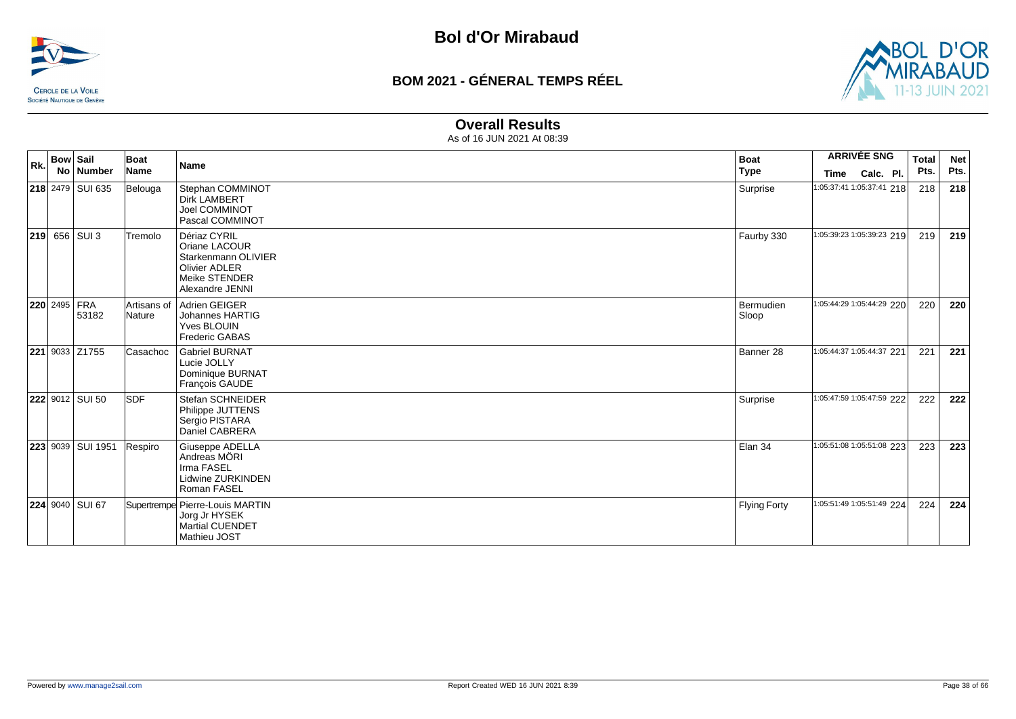



#### **Overall Results**

| Rk. | <b>Bow Sail</b><br>No | Number                       | Boat<br>Name          | <b>Name</b>                                                                                                      | <b>Boat</b>             | <b>ARRIVÉE SNG</b>                                    | <b>Total</b> | <b>Net</b><br>Pts. |
|-----|-----------------------|------------------------------|-----------------------|------------------------------------------------------------------------------------------------------------------|-------------------------|-------------------------------------------------------|--------------|--------------------|
|     |                       | 218 2479 SUI 635             | Belouga               | Stephan COMMINOT<br><b>Dirk LAMBERT</b><br>Joel COMMINOT<br>Pascal COMMINOT                                      | <b>Type</b><br>Surprise | Calc. Pl.<br><b>Time</b><br>1:05:37:41 1:05:37:41 218 | Pts.<br>218  | 218                |
|     |                       | 219 656 SUI 3                | Tremolo               | Dériaz CYRIL<br>Oriane LACOUR<br>Starkenmann OLIVIER<br><b>Olivier ADLER</b><br>Meike STENDER<br>Alexandre JENNI | Faurby 330              | 1:05:39:23 1:05:39:23 219                             | 219          | 219                |
|     |                       | <b>220</b> 2495 FRA<br>53182 | Artisans of<br>Nature | Adrien GEIGER<br>Johannes HARTIG<br>Yves BLOUIN<br><b>Frederic GABAS</b>                                         | Bermudien<br>Sloop      | 1:05:44:29 1:05:44:29 220                             | 220          | 220                |
|     |                       | 221 9033 Z1755               | Casachoc              | <b>Gabriel BURNAT</b><br>Lucie JOLLY<br>Dominique BURNAT<br>François GAUDE                                       | Banner 28               | 1:05:44:37 1:05:44:37 221                             | 221          | 221                |
|     |                       | 222 9012 SUI 50              | <b>SDF</b>            | Stefan SCHNEIDER<br>Philippe JUTTENS<br>Sergio PISTARA<br>Daniel CABRERA                                         | Surprise                | 1:05:47:59 1:05:47:59 222                             | 222          | 222                |
|     |                       | 223 9039 SUI 1951            | Respiro               | Giuseppe ADELLA<br>Andreas MÖRI<br>Irma FASEL<br><b>Lidwine ZURKINDEN</b><br>Roman FASEL                         | Elan 34                 | 1:05:51:08 1:05:51:08 223                             | 223          | 223                |
|     |                       | <b>224 9040 SUI 67</b>       |                       | Supertrempe Pierre-Louis MARTIN<br>Jorg Jr HYSEK<br><b>Martial CUENDET</b><br>Mathieu JOST                       | <b>Flying Forty</b>     | 1:05:51:49 1:05:51:49 224                             | 224          | 224                |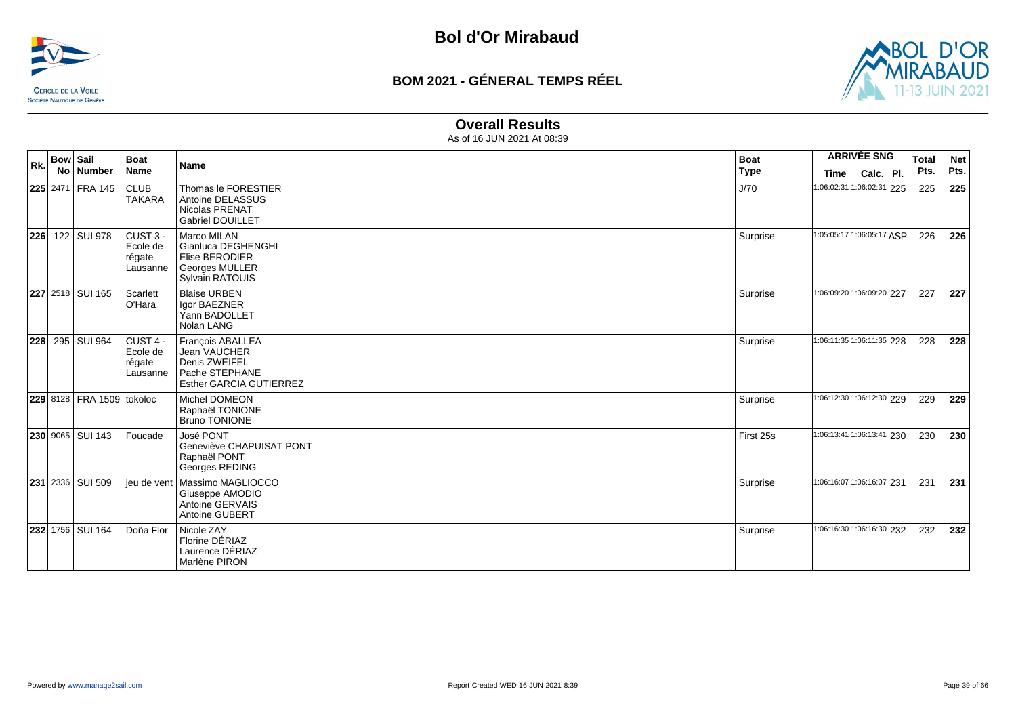



#### **Overall Results**

| Rk. | <b>Bow Sail</b> | No   Number               | Boat<br>Name                                          | <b>Name</b>                                                                                     | <b>Boat</b><br><b>Type</b> | <b>Time</b>               | <b>ARRIVÉE SNG</b><br>Calc. Pl. | <b>Total</b><br>Pts. | <b>Net</b><br>Pts. |
|-----|-----------------|---------------------------|-------------------------------------------------------|-------------------------------------------------------------------------------------------------|----------------------------|---------------------------|---------------------------------|----------------------|--------------------|
|     |                 | 225 2471 FRA 145          | <b>CLUB</b><br><b>TAKARA</b>                          | Thomas le FORESTIER<br>Antoine DELASSUS<br><b>Nicolas PRENAT</b><br><b>Gabriel DOUILLET</b>     | J/70                       | 1:06:02:31 1:06:02:31 225 |                                 | 225                  | 225                |
| 226 |                 | 122 SUI 978               | ICUST <sub>3</sub><br>Ecole de<br>régate<br>Lausanne  | Marco MILAN<br>Gianluca DEGHENGHI<br>Elise BERODIER<br>Georges MULLER<br><b>Sylvain RATOUIS</b> | Surprise                   | 1:05:05:17 1:06:05:17 ASP |                                 | 226                  | 226                |
|     |                 | <b>227</b> 2518 SUI 165   | Scarlett<br>lO'Hara                                   | <b>Blaise URBEN</b><br>Igor BAEZNER<br>Yann BADOLLET<br>Nolan LANG                              | Surprise                   | 1:06:09:20 1:06:09:20 227 |                                 | 227                  | 227                |
| 228 |                 | 295 SUI 964               | CUST <sub>4</sub> -<br>Ecole de<br>régate<br>Lausanne | François ABALLEA<br>Jean VAUCHER<br>Denis ZWEIFEL<br>Pache STEPHANE<br>Esther GARCIA GUTIERREZ  | Surprise                   | 1:06:11:35 1:06:11:35 228 |                                 | 228                  | 228                |
|     |                 | 229 8128 FRA 1509 tokoloc |                                                       | Michel DOMEON<br>Raphaël TONIONE<br><b>Bruno TONIONE</b>                                        | Surprise                   | 1:06:12:30 1:06:12:30 229 |                                 | 229                  | 229                |
|     |                 | 230 9065 SUI 143          | Foucade                                               | José PONT<br>Geneviève CHAPUISAT PONT<br>Raphaël PONT<br>Georges REDING                         | First 25s                  | 1:06:13:41 1:06:13:41 230 |                                 | 230                  | 230                |
|     |                 | 231 2336 SUI 509          | jeu de vent                                           | Massimo MAGLIOCCO<br>Giuseppe AMODIO<br>Antoine GERVAIS<br>Antoine GUBERT                       | Surprise                   | 1:06:16:07 1:06:16:07 231 |                                 | 231                  | 231                |
|     |                 | <b>232 1756 SUI 164</b>   | Doña Flor                                             | Nicole ZAY<br>Florine DÉRIAZ<br>Laurence DÉRIAZ<br>Marlène PIRON                                | Surprise                   | 1:06:16:30 1:06:16:30 232 |                                 | 232                  | 232                |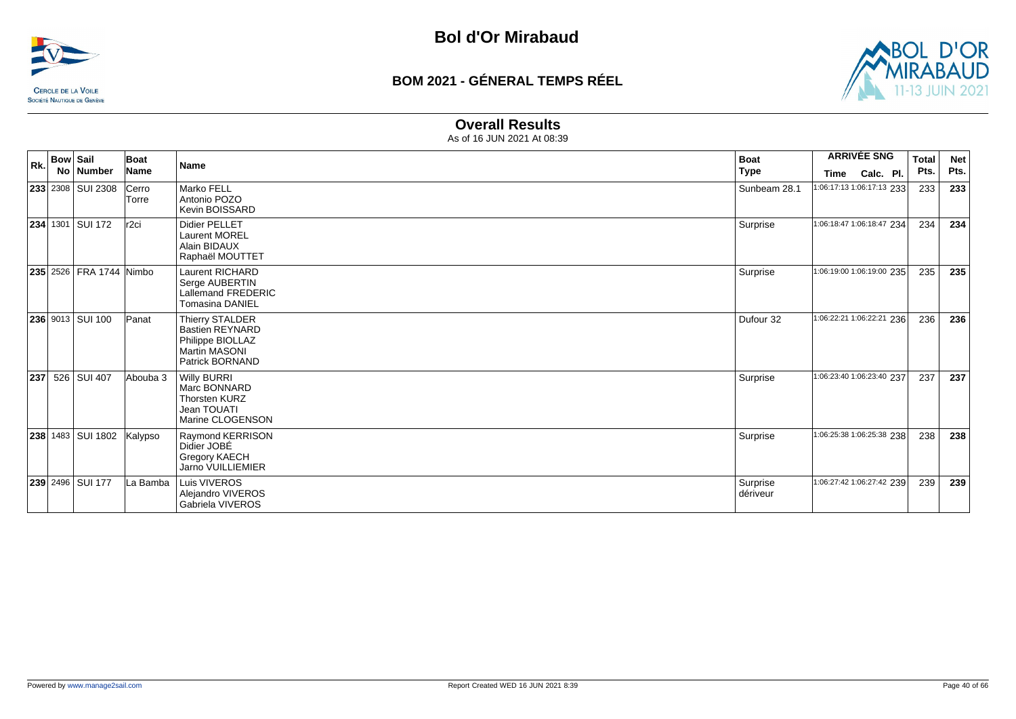



#### **Overall Results**

|     | <b>Bow Sail</b> |                          | Boat             |                                                                                                          | <b>Boat</b>          |                           | <b>ARRIVÉE SNG</b>        | <b>Total</b> | <b>Net</b> |
|-----|-----------------|--------------------------|------------------|----------------------------------------------------------------------------------------------------------|----------------------|---------------------------|---------------------------|--------------|------------|
| Rk. |                 | No   Number              | Name             | Name                                                                                                     | <b>Type</b>          | Time                      | Calc. Pl.                 | Pts.         | Pts.       |
|     |                 | <b>233</b> 2308 SUI 2308 | Cerro<br>Torre   | Marko FELL<br>Antonio POZO<br>Kevin BOISSARD                                                             | Sunbeam 28.1         |                           | 1:06:17:13 1:06:17:13 233 | 233          | 233        |
|     |                 | 234 1301 SUI 172         | r <sub>2ci</sub> | <b>Didier PELLET</b><br><b>Laurent MOREL</b><br>Alain BIDAUX<br>Raphaël MOUTTET                          | Surprise             | 1:06:18:47 1:06:18:47 234 |                           | 234          | 234        |
|     |                 | 235 2526 FRA 1744 Nimbo  |                  | <b>Laurent RICHARD</b><br>Serge AUBERTIN<br>Lallemand FREDERIC<br><b>Tomasina DANIEL</b>                 | Surprise             | 1:06:19:00 1:06:19:00 235 |                           | 235          | 235        |
|     |                 | 236 9013 SUI 100         | Panat            | Thierry STALDER<br><b>Bastien REYNARD</b><br>Philippe BIOLLAZ<br><b>Martin MASONI</b><br>Patrick BORNAND | Dufour 32            | 1:06:22:21 1:06:22:21 236 |                           | 236          | 236        |
|     |                 | <b>237</b> 526 SUI 407   | Abouba 3         | <b>Willy BURRI</b><br>Marc BONNARD<br><b>Thorsten KURZ</b><br>Jean TOUATI<br>Marine CLOGENSON            | Surprise             | 1:06:23:40 1:06:23:40 237 |                           | 237          | 237        |
|     |                 | 238 1483 SUI 1802        | Kalypso          | Raymond KERRISON<br>Didier JOBÉ<br>Gregory KAECH<br><b>Jarno VUILLIEMIER</b>                             | Surprise             | 1:06:25:38 1:06:25:38 238 |                           | 238          | 238        |
|     |                 | 239 2496 SUI 177         | La Bamba         | Luis VIVEROS<br>Alejandro VIVEROS<br>Gabriela VIVEROS                                                    | Surprise<br>dériveur | 1:06:27:42 1:06:27:42 239 |                           | 239          | 239        |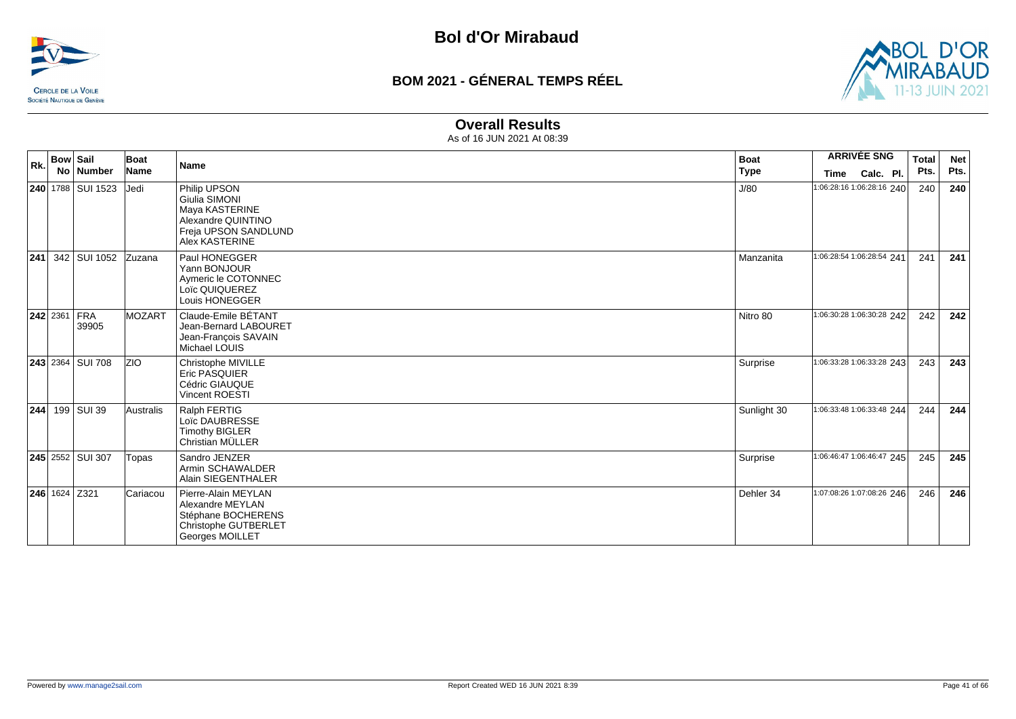



#### **Overall Results**

| Rk. | <b>Bow Sail</b>           | Boat          |                                                                                                                 | <b>ARRIVÉE SNG</b><br><b>Boat</b> |                           | <b>Total</b> | <b>Net</b> |
|-----|---------------------------|---------------|-----------------------------------------------------------------------------------------------------------------|-----------------------------------|---------------------------|--------------|------------|
|     | No Number                 | <b>Name</b>   | <b>Name</b>                                                                                                     | <b>Type</b>                       | Calc. Pl.<br><b>Time</b>  | Pts.         | Pts.       |
|     | <b>240</b> 1788 SUI 1523  | Jedi          | Philip UPSON<br>Giulia SIMONI<br>Maya KASTERINE<br>Alexandre QUINTINO<br>Freja UPSON SANDLUND<br>Alex KASTERINE | J/80                              | 1:06:28:16 1:06:28:16 240 | 240          | 240        |
|     | <b>241</b> 342 SUI 1052   | <b>Zuzana</b> | Paul HONEGGER<br>Yann BONJOUR<br>Aymeric le COTONNEC<br>Loïc QUIQUEREZ<br>Louis HONEGGER                        | Manzanita                         | 1:06:28:54 1:06:28:54 241 | 241          | 241        |
|     | $ 242 2361 $ FRA<br>39905 | <b>MOZART</b> | Claude-Emile BÉTANT<br>Jean-Bernard LABOURET<br>Jean-François SAVAIN<br>Michael LOUIS                           | Nitro 80                          | 1:06:30:28 1:06:30:28 242 | 242          | 242        |
|     | <b>243</b> 2364 SUI 708   | <b>ZIO</b>    | Christophe MIVILLE<br><b>Eric PASQUIER</b><br>Cédric GIAUQUE<br><b>Vincent ROESTI</b>                           | Surprise                          | 1:06:33:28 1:06:33:28 243 | 243          | 243        |
| 244 | 199 SUI 39                | Australis     | Ralph FERTIG<br>Loïc DAUBRESSE<br><b>Timothy BIGLER</b><br>Christian MÜLLER                                     | Sunlight 30                       | 1:06:33:48 1:06:33:48 244 | 244          | 244        |
|     | 245 2552 SUI 307          | Topas         | Sandro JENZER<br>Armin SCHAWALDER<br>Alain SIEGENTHALER                                                         | Surprise                          | 1:06:46:47 1:06:46:47 245 | 245          | 245        |
|     | $ 246 $ 1624 Z321         | Cariacou      | Pierre-Alain MEYLAN<br>Alexandre MEYLAN<br>Stéphane BOCHERENS<br>Christophe GUTBERLET<br>Georges MOILLET        | Dehler 34                         | 1:07:08:26 1:07:08:26 246 | 246          | 246        |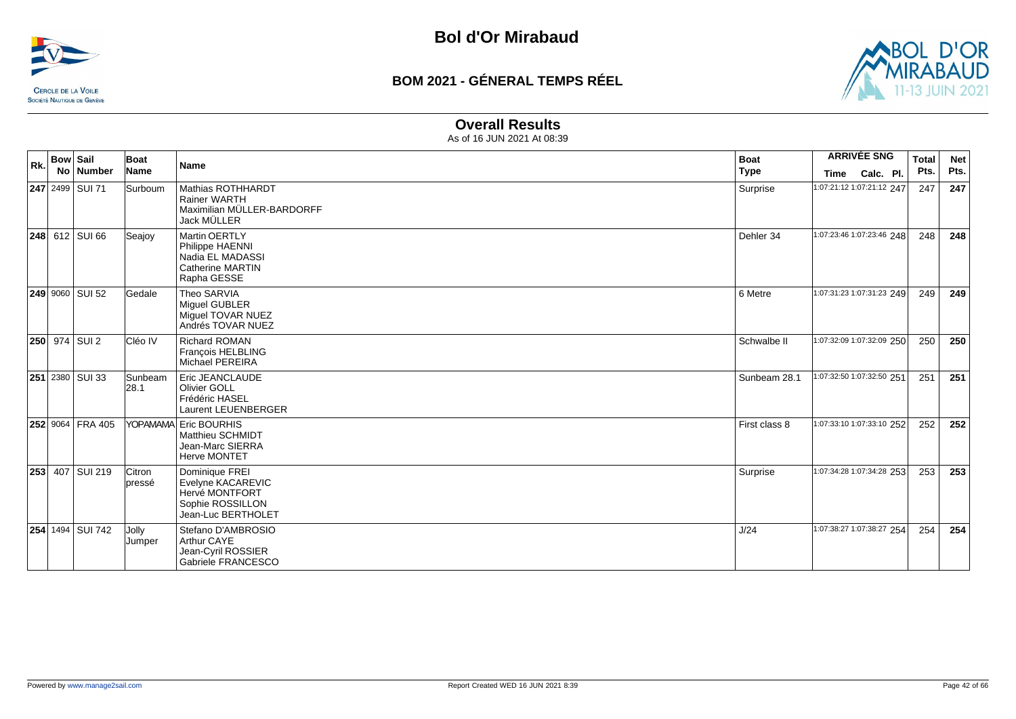



#### **Overall Results**

| Rk. | <b>Bow Sail</b> | No Number               | Boat<br>Name     | <b>Name</b>                                                                                           | <b>Boat</b><br><b>Type</b> | <b>ARRIVÉE SNG</b><br>Calc. Pl.<br>Time | <b>Total</b><br>Pts. | <b>Net</b><br>Pts. |
|-----|-----------------|-------------------------|------------------|-------------------------------------------------------------------------------------------------------|----------------------------|-----------------------------------------|----------------------|--------------------|
|     |                 | 247 2499 SUI 71         | Surboum          | Mathias ROTHHARDT<br><b>Rainer WARTH</b><br>Maximilian MÜLLER-BARDORFF<br>Jack MÜLLER                 | Surprise                   | 1:07:21:12 1:07:21:12 247               | 247                  | 247                |
|     |                 | <b>248</b> 612 SUI 66   | Seajoy           | <b>Martin OERTLY</b><br>Philippe HAENNI<br>Nadia EL MADASSI<br><b>Catherine MARTIN</b><br>Rapha GESSE | Dehler 34                  | 1:07:23:46 1:07:23:46 248               | 248                  | 248                |
|     |                 | <b>249 9060 SUI 52</b>  | <b>Gedale</b>    | Theo SARVIA<br>Miquel GUBLER<br>Miguel TOVAR NUEZ<br>Andrés TOVAR NUEZ                                | 6 Metre                    | 1:07:31:23 1:07:31:23 249               | 249                  | 249                |
|     |                 | <b>250</b> 974 SUI 2    | Cléo IV          | <b>Richard ROMAN</b><br>François HELBLING<br><b>Michael PEREIRA</b>                                   | Schwalbe II                | 1:07:32:09 1:07:32:09 250               | 250                  | 250                |
|     |                 | <b>251</b> 2380 SUI 33  | Sunbeam<br> 28.1 | Eric JEANCLAUDE<br><b>Olivier GOLL</b><br>Frédéric HASEL<br>Laurent LEUENBERGER                       | Sunbeam 28.1               | 1:07:32:50 1:07:32:50 251               | 251                  | 251                |
|     |                 | 252 9064 FRA 405        |                  | YOPAMAMA Eric BOURHIS<br>Matthieu SCHMIDT<br>Jean-Marc SIERRA<br><b>Herve MONTET</b>                  | First class 8              | 1:07:33:10 1:07:33:10 252               | 252                  | 252                |
|     |                 | 253 407 SUI 219         | Citron<br>pressé | Dominique FREI<br>Evelyne KACAREVIC<br>Hervé MONTFORT<br>Sophie ROSSILLON<br>Jean-Luc BERTHOLET       | Surprise                   | 1:07:34:28 1:07:34:28 253               | 253                  | 253                |
|     |                 | <b>254 1494 SUI 742</b> | Jolly<br>Jumper  | Stefano D'AMBROSIO<br>Arthur CAYE<br>Jean-Cyril ROSSIER<br>Gabriele FRANCESCO                         | J/24                       | 1:07:38:27 1:07:38:27 254               | 254                  | 254                |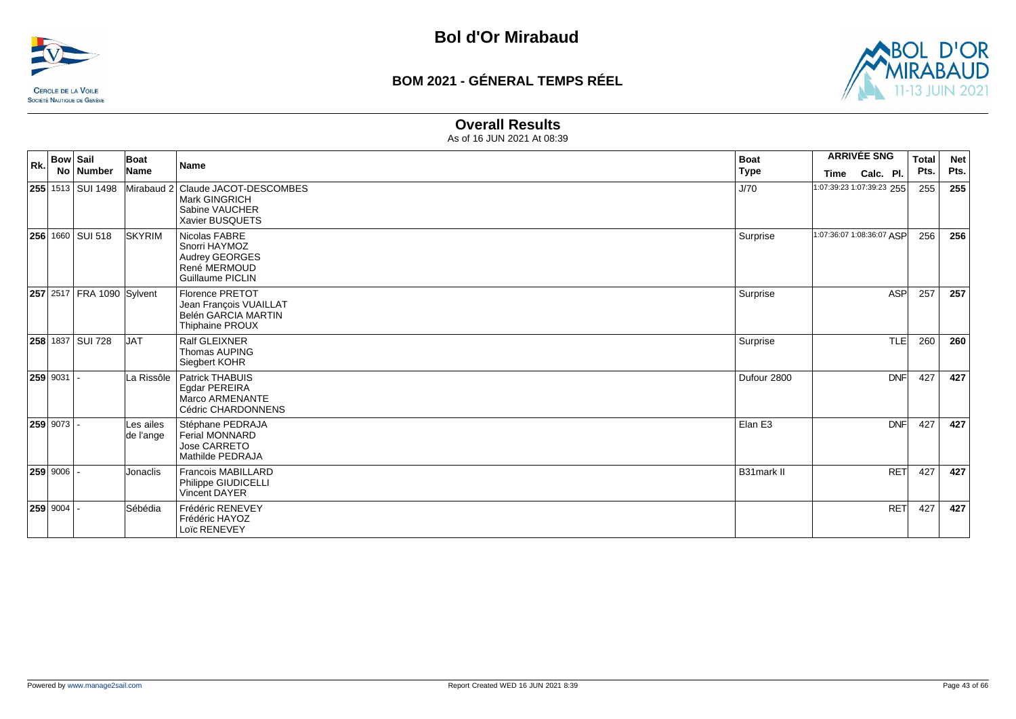



#### **Overall Results**

| Rk. | <b>Bow Sail</b> | No   Number                | Boat<br>Name           | <b>Name</b>                                                                                       | <b>Boat</b><br><b>Type</b> | <b>ARRIVÉE SNG</b><br>Calc. Pl.<br>Time | <b>Total</b><br>Pts. | <b>Net</b><br>Pts. |
|-----|-----------------|----------------------------|------------------------|---------------------------------------------------------------------------------------------------|----------------------------|-----------------------------------------|----------------------|--------------------|
|     |                 | <b>255</b> 1513   SUI 1498 |                        | Mirabaud 2 Claude JACOT-DESCOMBES<br><b>Mark GINGRICH</b><br>Sabine VAUCHER<br>Xavier BUSQUETS    | J/70                       | 1:07:39:23 1:07:39:23 255               | 255                  | 255                |
|     |                 | 256 1660 SUI 518           | <b>SKYRIM</b>          | Nicolas FABRE<br>Snorri HAYMOZ<br>Audrey GEORGES<br>René MERMOUD<br><b>Guillaume PICLIN</b>       | Surprise                   | 1:07:36:07 1:08:36:07 ASP               | 256                  | 256                |
|     |                 | 257 2517 FRA 1090 Sylvent  |                        | <b>Florence PRETOT</b><br>Jean François VUAILLAT<br>Belén GARCIA MARTIN<br><b>Thiphaine PROUX</b> | Surprise                   | <b>ASP</b>                              | 257                  | 257                |
|     |                 | <b>258 1837 SUI 728</b>    | <b>JAT</b>             | Ralf GLEIXNER<br><b>Thomas AUPING</b><br>Siegbert KOHR                                            | Surprise                   | <b>TLE</b>                              | 260                  | 260                |
|     | 259 9031        |                            | La Rissôle             | <b>Patrick THABUIS</b><br>Egdar PEREIRA<br>Marco ARMENANTE<br>Cédric CHARDONNENS                  | Dufour 2800                | <b>DNF</b>                              | 427                  | 427                |
|     | 259 9073        |                            | Les ailes<br>de l'ange | Stéphane PEDRAJA<br><b>Ferial MONNARD</b><br>Jose CARRETO<br>Mathilde PEDRAJA                     | Elan E3                    | <b>DNF</b>                              | 427                  | 427                |
|     | 259 9006        |                            | Jonaclis               | Francois MABILLARD<br>Philippe GIUDICELLI<br><b>Vincent DAYER</b>                                 | <b>B31mark II</b>          | <b>RET</b>                              | 427                  | 427                |
|     | $259 9004$ .    |                            | Sébédia                | Frédéric RENEVEY<br>Frédéric HAYOZ<br>Loïc RENEVEY                                                |                            | <b>RET</b>                              | 427                  | 427                |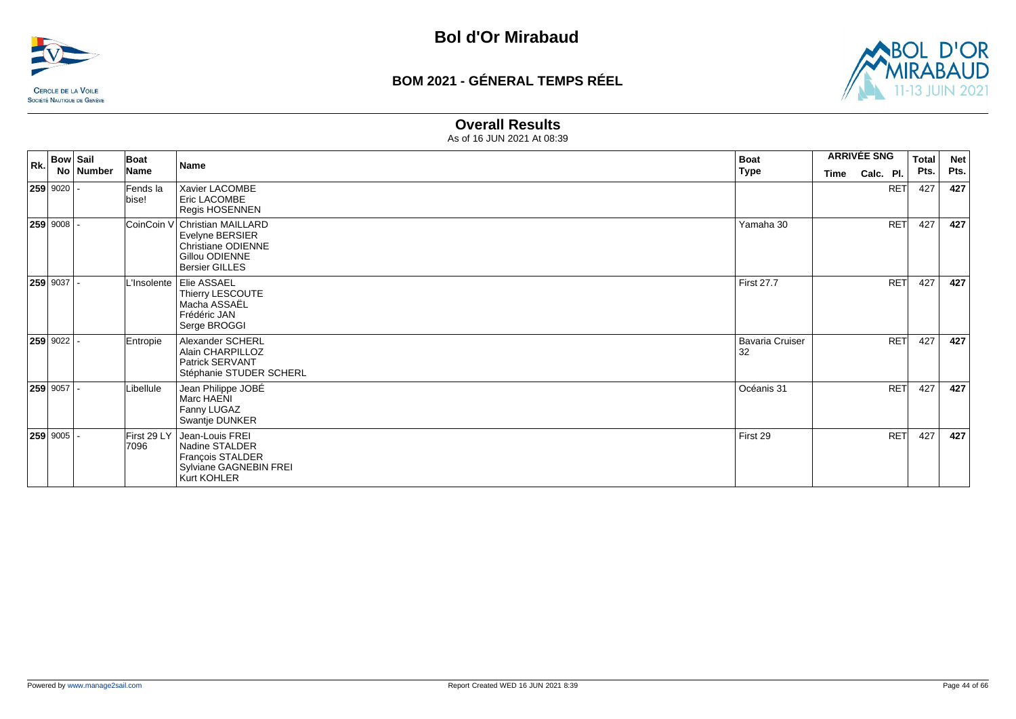



#### **Overall Results**

| Rk. | <b>Bow Sail</b> | Boat                | Name                                                                                                                     | <b>Boat</b>                  | <b>ARRIVÉE SNG</b> |            | Total | <b>Net</b> |
|-----|-----------------|---------------------|--------------------------------------------------------------------------------------------------------------------------|------------------------------|--------------------|------------|-------|------------|
|     | No Number       | Name                |                                                                                                                          | <b>Type</b>                  | <b>Time</b>        | Calc. Pl.  | Pts.  | Pts.       |
|     | $ 259 9020 $ -  | Fends la<br>bise!   | Xavier LACOMBE<br>Eric LACOMBE<br>Regis HOSENNEN                                                                         |                              |                    | <b>RET</b> | 427   | 427        |
|     | $259 9008$ .    |                     | CoinCoin V Christian MAILLARD<br>Evelyne BERSIER<br><b>Christiane ODIENNE</b><br>Gillou ODIENNE<br><b>Bersier GILLES</b> | Yamaha 30                    |                    | <b>RET</b> | 427   | 427        |
|     | $259$ 9037 -    |                     | L'Insolente   Elie ASSAEL<br>Thierry LESCOUTE<br>Macha ASSAEL<br>Frédéric JAN<br>Serge BROGGI                            | <b>First 27.7</b>            |                    | <b>RET</b> | 427   | 427        |
|     | $259$ 9022      | Entropie            | Alexander SCHERL<br>Alain CHARPILLOZ<br>Patrick SERVANT<br>Stéphanie STUDER SCHERL                                       | <b>Bavaria Cruiser</b><br>32 |                    | <b>RET</b> | 427   | 427        |
|     | $259$ 9057 -    | Libellule           | Jean Philippe JOBÉ<br>Marc HAENI<br>Fanny LUGAZ<br>Swantje DUNKER                                                        | Océanis 31                   |                    | <b>RET</b> | 427   | 427        |
|     | $259 9005$ .    | First 29 LY<br>7096 | Jean-Louis FREI<br>Nadine STALDER<br>François STALDER<br>Sylviane GAGNEBIN FREI<br>Kurt KOHLER                           | First 29                     |                    | <b>RET</b> | 427   | 427        |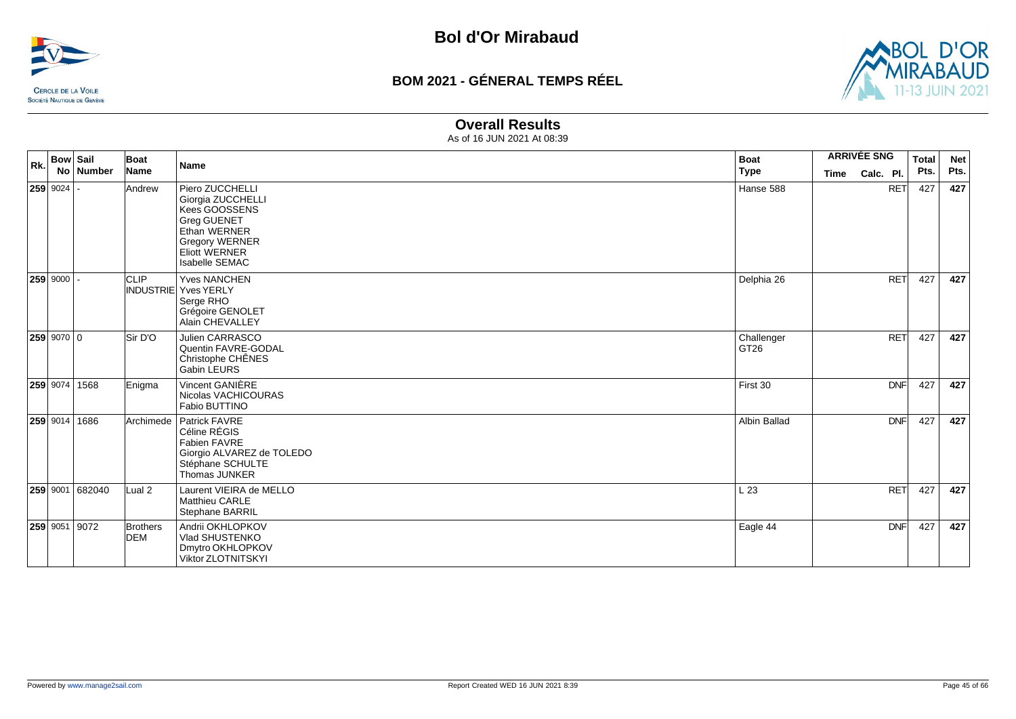



#### **Overall Results**

| Rk. | <b>Bow Sail</b><br>No Number | Boat<br>Name                  | <b>Name</b>                                                                                                                                                           | <b>Boat</b><br><b>Type</b>     | <b>ARRIVÉE SNG</b><br>Calc. Pl.<br>Time |            | <b>Total</b><br>Pts. | <b>Net</b><br>Pts. |
|-----|------------------------------|-------------------------------|-----------------------------------------------------------------------------------------------------------------------------------------------------------------------|--------------------------------|-----------------------------------------|------------|----------------------|--------------------|
|     | $259$ 9024 -                 | Andrew                        | Piero ZUCCHELLI<br>Giorgia ZUCCHELLI<br>Kees GOOSSENS<br><b>Greg GUENET</b><br>Ethan WERNER<br><b>Gregory WERNER</b><br><b>Eliott WERNER</b><br><b>Isabelle SEMAC</b> | Hanse 588                      |                                         | <b>RET</b> | 427                  | 427                |
|     | $259$ 9000 -                 | <b>CLIP</b>                   | <b>Yves NANCHEN</b><br><b>INDUSTRIE Yves YERLY</b><br>Serge RHO<br>Grégoire GENOLET<br>Alain CHEVALLEY                                                                | Delphia 26                     |                                         | <b>RET</b> | 427                  | 427                |
|     | $259$ 9070 0                 | Sir D'O                       | Julien CARRASCO<br>Quentin FAVRE-GODAL<br>Christophe CHÊNES<br>Gabin LEURS                                                                                            | Challenger<br>GT <sub>26</sub> |                                         | <b>RET</b> | 427                  | 427                |
|     | 259 9074 1568                | Enigma                        | Vincent GANIÈRE<br>Nicolas VACHICOURAS<br>Fabio BUTTINO                                                                                                               | First 30                       |                                         | <b>DNF</b> | 427                  | 427                |
|     | 259 9014 1686                | Archimede                     | Patrick FAVRE<br>Céline RÉGIS<br>Fabien FAVRE<br>Giorgio ALVAREZ de TOLEDO<br>Stéphane SCHULTE<br>Thomas JUNKER                                                       | Albin Ballad                   |                                         | <b>DNF</b> | 427                  | 427                |
|     | 259 9001 682040              | Lual <sub>2</sub>             | Laurent VIEIRA de MELLO<br>Matthieu CARLE<br>Stephane BARRIL                                                                                                          | L23                            |                                         | <b>RET</b> | 427                  | 427                |
|     | 259 9051 9072                | <b>Brothers</b><br><b>DEM</b> | Andrii OKHLOPKOV<br>Vlad SHUSTENKO<br>Dmytro OKHLOPKOV<br>Viktor ZLOTNITSKYI                                                                                          | Eagle 44                       |                                         | <b>DNF</b> | 427                  | 427                |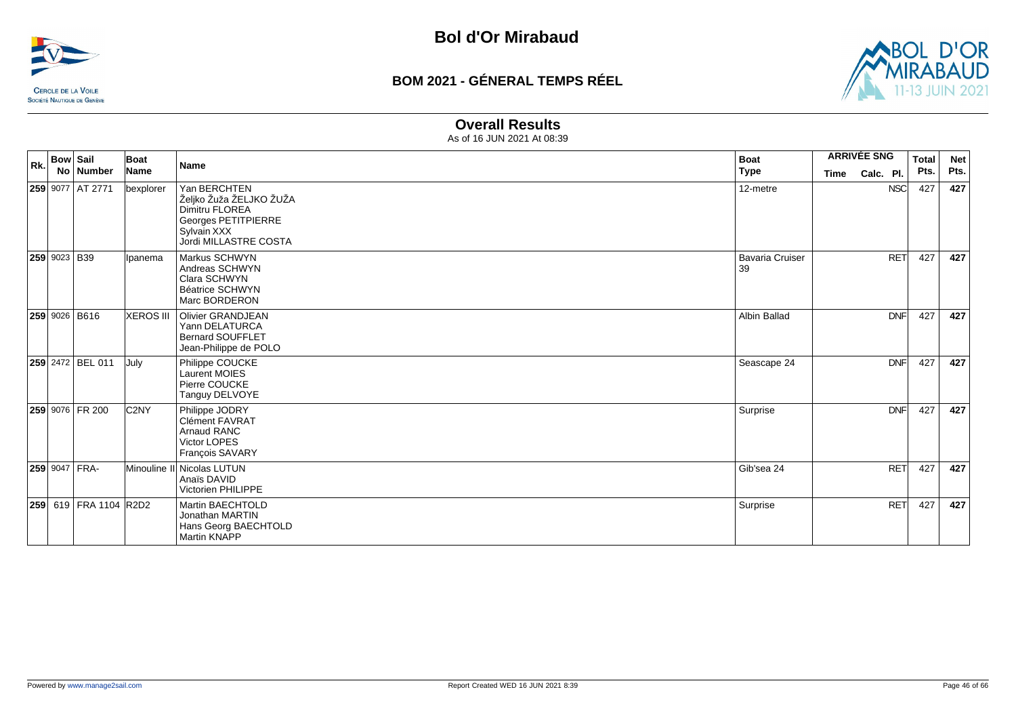



#### **Overall Results**

| Rk. | <b>Bow Sail</b><br>No   Number | Boat<br>Name     | Name                                                                                                                     | <b>Boat</b><br><b>Type</b>   | <b>ARRIVÉE SNG</b><br>Calc. Pl.<br><b>Time</b> | <b>Total</b><br>Pts. | <b>Net</b><br>Pts. |
|-----|--------------------------------|------------------|--------------------------------------------------------------------------------------------------------------------------|------------------------------|------------------------------------------------|----------------------|--------------------|
|     | 259 9077 AT 2771               | bexplorer        | Yan BERCHTEN<br>Željko Žuža ŽELJKO ŽUŽA<br>Dimitru FLOREA<br>Georges PETITPIERRE<br>Sylvain XXX<br>Jordi MILLASTRE COSTA | 12-metre                     | <b>NSC</b>                                     | 427                  | 427                |
|     | 259 9023 B39                   | Ipanema          | Markus SCHWYN<br>Andreas SCHWYN<br>Clara SCHWYN<br><b>Béatrice SCHWYN</b><br>Marc BORDERON                               | <b>Bavaria Cruiser</b><br>39 | <b>RET</b>                                     | 427                  | 427                |
|     | <b>259 9026 B616</b>           | <b>XEROS III</b> | <b>Olivier GRANDJEAN</b><br>Yann DELATURCA<br><b>Bernard SOUFFLET</b><br>Jean-Philippe de POLO                           | Albin Ballad                 | <b>DNF</b>                                     | 427                  | 427                |
|     | 259 2472 BEL 011               | July             | Philippe COUCKE<br><b>Laurent MOIES</b><br>Pierre COUCKE<br>Tanguy DELVOYE                                               | Seascape 24                  | <b>DNF</b>                                     | 427                  | 427                |
|     | 259 9076 FR 200                | C <sub>2NY</sub> | Philippe JODRY<br><b>Clément FAVRAT</b><br><b>Arnaud RANC</b><br>Victor LOPES<br>François SAVARY                         | Surprise                     | <b>DNF</b>                                     | 427                  | 427                |
|     | $ 259 $ 9047   FRA-            |                  | Minouline II Nicolas LUTUN<br>Anaïs DAVID<br>Victorien PHILIPPE                                                          | Gib'sea 24                   | <b>RET</b>                                     | 427                  | 427                |
|     | 259 619 FRA 1104 R2D2          |                  | Martin BAECHTOLD<br>Jonathan MARTIN<br>Hans Georg BAECHTOLD<br>Martin KNAPP                                              | Surprise                     | RET                                            | 427                  | 427                |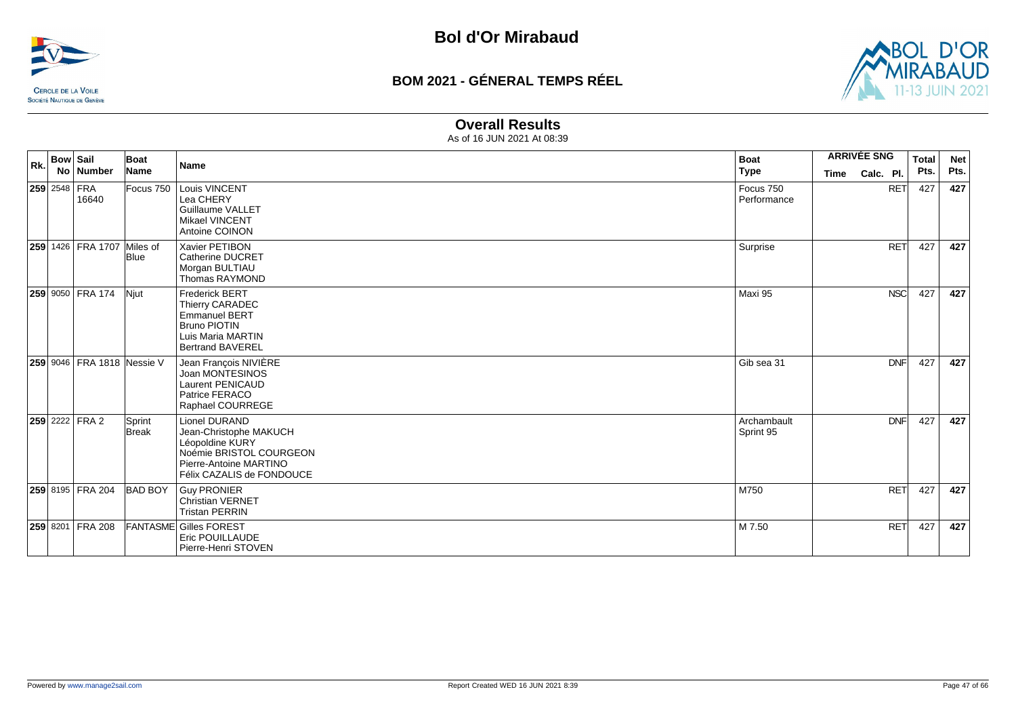



#### **Overall Results**

| Rk. | <b>Bow Sail</b> | No Number                  | Boat<br>Name           | <b>Name</b>                                                                                                                                  | <b>Boat</b><br><b>Type</b> | <b>ARRIVÉE SNG</b><br>Calc. Pl.<br><b>Time</b> |            | <b>Total</b><br>Pts. | <b>Net</b><br>Pts. |
|-----|-----------------|----------------------------|------------------------|----------------------------------------------------------------------------------------------------------------------------------------------|----------------------------|------------------------------------------------|------------|----------------------|--------------------|
|     | 259 2548 FRA    | 16640                      | Focus 750              | Louis VINCENT<br>Lea CHERY<br><b>Guillaume VALLET</b><br><b>Mikael VINCENT</b><br>Antoine COINON                                             | Focus 750<br>Performance   |                                                | <b>RET</b> | 427                  | 427                |
|     |                 | 259 1426 FRA 1707 Miles of | <b>Blue</b>            | Xavier PETIBON<br><b>Catherine DUCRET</b><br>Morgan BULTIAU<br>Thomas RAYMOND                                                                | Surprise                   |                                                | <b>RET</b> | 427                  | 427                |
|     |                 | 259 9050 FRA 174           | <b>Niut</b>            | <b>Frederick BERT</b><br>Thierry CARADEC<br><b>Emmanuel BERT</b><br><b>Bruno PIOTIN</b><br>Luis Maria MARTIN<br><b>Bertrand BAVEREL</b>      | Maxi 95                    |                                                | <b>NSC</b> | 427                  | 427                |
|     |                 | 259 9046 FRA 1818 Nessie V |                        | Jean François NIVIÈRE<br>Joan MONTESINOS<br><b>Laurent PENICAUD</b><br>Patrice FERACO<br>Raphael COURREGE                                    | Gib sea 31                 |                                                | <b>DNF</b> | 427                  | 427                |
|     |                 | <b>259 2222 FRA 2</b>      | Sprint<br><b>Break</b> | Lionel DURAND<br>Jean-Christophe MAKUCH<br>Léopoldine KURY<br>Noémie BRISTOL COURGEON<br>Pierre-Antoine MARTINO<br>Félix CAZALIS de FONDOUCE | Archambault<br>Sprint 95   |                                                | <b>DNF</b> | 427                  | 427                |
|     |                 | 259 8195 FRA 204           | <b>BAD BOY</b>         | <b>Guy PRONIER</b><br><b>Christian VERNET</b><br><b>Tristan PERRIN</b>                                                                       | M750                       |                                                | <b>RET</b> | 427                  | 427                |
|     |                 | 259 8201 FRA 208           |                        | <b>FANTASME Gilles FOREST</b><br>Eric POUILLAUDE<br>Pierre-Henri STOVEN                                                                      | M 7.50                     |                                                | <b>RET</b> | 427                  | 427                |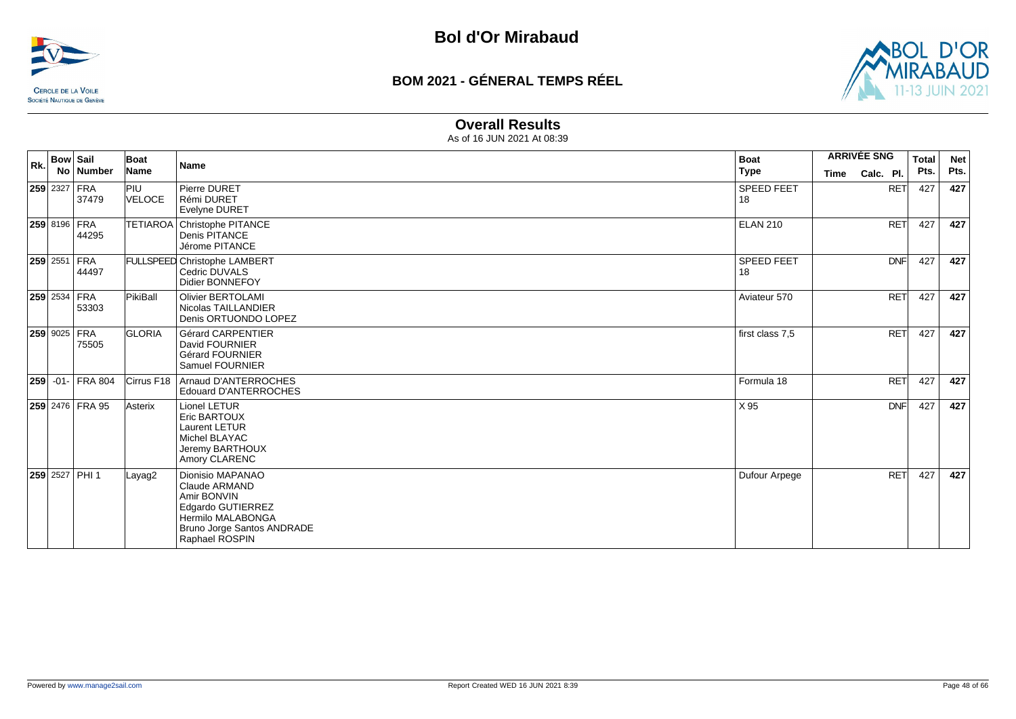



#### **Overall Results**

| Rk. | <b>Bow Sail</b>              | Boat                 | <b>Name</b>                                                                                                                                | <b>Boat</b>             |             | <b>ARRIVÉE SNG</b> | <b>Total</b> | <b>Net</b> |
|-----|------------------------------|----------------------|--------------------------------------------------------------------------------------------------------------------------------------------|-------------------------|-------------|--------------------|--------------|------------|
|     | No   Number                  | Name                 |                                                                                                                                            | <b>Type</b>             | <b>Time</b> | Calc. Pl.          | Pts.         | Pts.       |
|     | 259 2327 FRA<br>37479        | <b>PIU</b><br>VELOCE | Pierre DURET<br>Rémi DURET<br>Evelyne DURET                                                                                                | <b>SPEED FEET</b><br>18 |             | <b>RET</b>         | 427          | 427        |
|     | 259 8196 FRA<br>44295        |                      | TETIAROA Christophe PITANCE<br>Denis PITANCE<br>Jérome PITANCE                                                                             | <b>ELAN 210</b>         |             | <b>RET</b>         | 427          | 427        |
|     | $ 259 2551 $ FRA<br>44497    |                      | <b>FULLSPEED Christophe LAMBERT</b><br>Cedric DUVALS<br>Didier BONNEFOY                                                                    | SPEED FEET<br>18        |             | <b>DNF</b>         | 427          | 427        |
|     | 259 2534 FRA<br>53303        | PikiBall             | <b>Olivier BERTOLAMI</b><br>Nicolas TAILLANDIER<br>Denis ORTUONDO LOPEZ                                                                    | Aviateur 570            |             | <b>RET</b>         | 427          | 427        |
|     | <b>259 9025 FRA</b><br>75505 | <b>GLORIA</b>        | <b>Gérard CARPENTIER</b><br>David FOURNIER<br><b>Gérard FOURNIER</b><br>Samuel FOURNIER                                                    | first class 7,5         |             | <b>RET</b>         | 427          | 427        |
|     | $ 259 $ -01- FRA 804         | Cirrus F18           | Arnaud D'ANTERROCHES<br><b>Edouard D'ANTERROCHES</b>                                                                                       | Formula 18              |             | <b>RET</b>         | 427          | 427        |
|     | 259 2476 FRA 95              | Asterix              | Lionel LETUR<br><b>Eric BARTOUX</b><br><b>Laurent LETUR</b><br>Michel BLAYAC<br>Jeremy BARTHOUX<br>Amory CLARENC                           | X 95                    |             | <b>DNF</b>         | 427          | 427        |
|     | 259 2527 PHI 1               | Layag2               | Dionisio MAPANAO<br>Claude ARMAND<br>Amir BONVIN<br>Edgardo GUTIERREZ<br>Hermilo MALABONGA<br>Bruno Jorge Santos ANDRADE<br>Raphael ROSPIN | Dufour Arpege           |             | RET                | 427          | 427        |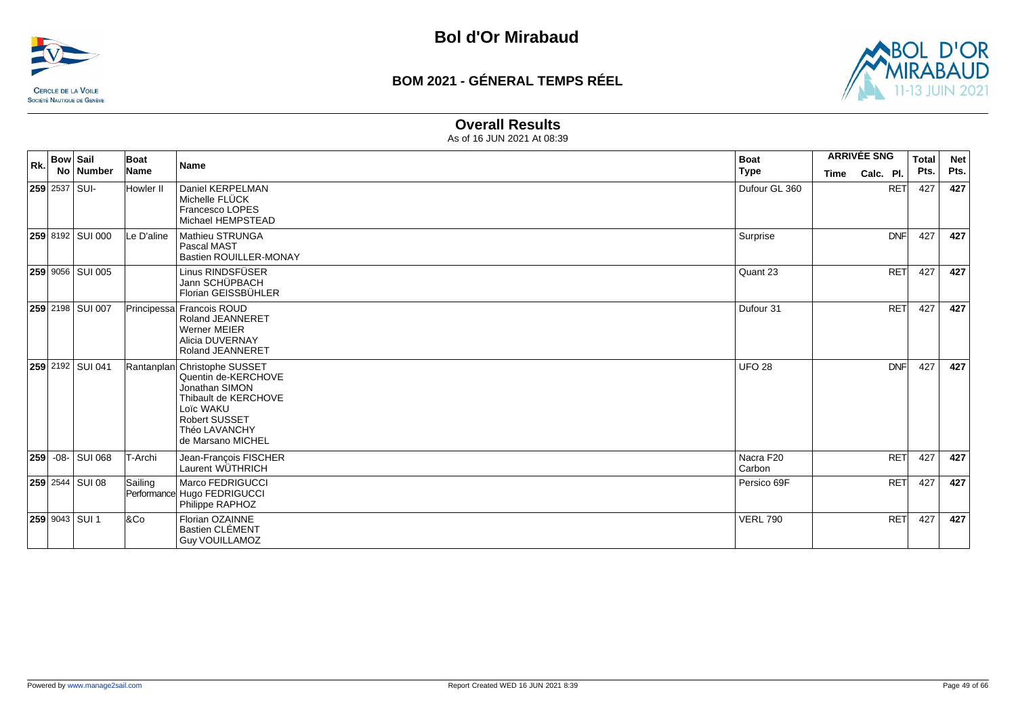



#### **Overall Results**

| Rk. | <b>Bow Sail</b> | No Number              | Boat<br>Name   | <b>Name</b>                                                                                                                                                              | <b>Boat</b><br><b>Type</b> | <b>Time</b> | <b>ARRIVÉE SNG</b><br>Calc. Pl. | <b>Total</b><br>Pts. | <b>Net</b><br>Pts. |
|-----|-----------------|------------------------|----------------|--------------------------------------------------------------------------------------------------------------------------------------------------------------------------|----------------------------|-------------|---------------------------------|----------------------|--------------------|
|     |                 | $ 259 2537 $ SUI-      | Howler II      | Daniel KERPELMAN<br>Michelle FLÜCK<br>Francesco LOPES<br>Michael HEMPSTEAD                                                                                               | Dufour GL 360              |             | <b>RET</b>                      | 427                  | 427                |
|     |                 | 259 8192 SUI 000       | Le D'aline     | Mathieu STRUNGA<br>Pascal MAST<br><b>Bastien ROUILLER-MONAY</b>                                                                                                          | Surprise                   |             | <b>DNF</b>                      | 427                  | 427                |
|     |                 | 259 9056 SUI 005       |                | Linus RINDSFÜSER<br>Jann SCHÜPBACH<br>Florian GEISSBÜHLER                                                                                                                | Quant 23                   |             | RET                             | 427                  | 427                |
|     |                 | 259 2198 SUI 007       |                | Principessa Francois ROUD<br><b>Roland JEANNERET</b><br><b>Werner MEIER</b><br>Alicia DUVERNAY<br><b>Roland JEANNERET</b>                                                | Dufour 31                  |             | <b>RET</b>                      | 427                  | 427                |
|     |                 | 259 2192 SUI 041       |                | Rantanplan Christophe SUSSET<br>Quentin de-KERCHOVE<br>Jonathan SIMON<br>Thibault de KERCHOVE<br>Loïc WAKU<br><b>Robert SUSSET</b><br>Théo LAVANCHY<br>de Marsano MICHEL | <b>UFO 28</b>              |             | <b>DNF</b>                      | 427                  | 427                |
|     |                 | 259 - 08 - SUI 068     | <b>T-Archi</b> | Jean-François FISCHER<br>Laurent WÜTHRICH                                                                                                                                | Nacra F20<br>Carbon        |             | <b>RET</b>                      | 427                  | 427                |
|     |                 | <b>259</b> 2544 SUI 08 | Sailing        | Marco FEDRIGUCCI<br>Performance Hugo FEDRIGUCCI<br>Philippe RAPHOZ                                                                                                       | Persico 69F                |             | <b>RET</b>                      | 427                  | 427                |
|     |                 | <b>259 9043 SUI 1</b>  | 8Co            | Florian OZAINNE<br><b>Bastien CLÉMENT</b><br><b>Guy VOUILLAMOZ</b>                                                                                                       | <b>VERL 790</b>            |             | <b>RET</b>                      | 427                  | 427                |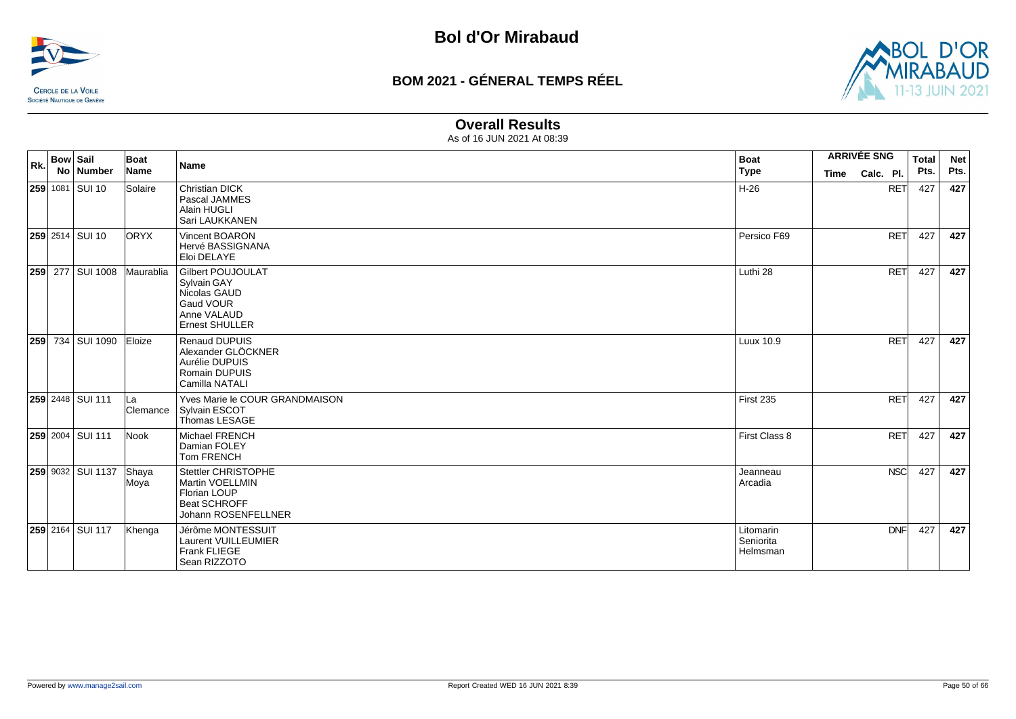



#### **Overall Results**

| Rk. | <b>Bow Sail</b> | No   Number             | Boat<br>Name    | <b>Name</b>                                                                                                         | <b>Boat</b><br>  Type              | <b>ARRIVÉE SNG</b><br>Time | Calc. Pl.  | <b>Total</b><br>Pts. | <b>Net</b><br>Pts. |
|-----|-----------------|-------------------------|-----------------|---------------------------------------------------------------------------------------------------------------------|------------------------------------|----------------------------|------------|----------------------|--------------------|
|     |                 | <b>259</b> 1081 SUI 10  | Solaire         | <b>Christian DICK</b><br>Pascal JAMMES<br>Alain HUGLI<br>Sari LAUKKANEN                                             | H-26                               |                            | <b>RET</b> | 427                  | 427                |
|     |                 | <b>259</b> 2514 SUI 10  | <b>ORYX</b>     | Vincent BOARON<br>Hervé BASSIGNANA<br>Eloi DELAYE                                                                   | Persico F69                        |                            | <b>RET</b> | 427                  | 427                |
|     |                 | 259 277 SUI 1008        | Maurablia       | <b>Gilbert POUJOULAT</b><br><b>Sylvain GAY</b><br>Nicolas GAUD<br>Gaud VOUR<br>Anne VALAUD<br><b>Ernest SHULLER</b> | Luthi 28                           |                            | <b>RET</b> | 427                  | 427                |
| 259 |                 | 734 SUI 1090            | Eloize          | Renaud DUPUIS<br>Alexander GLÖCKNER<br>Aurélie DUPUIS<br>Romain DUPUIS<br>Camilla NATALI                            | Luux 10.9                          |                            | <b>RET</b> | 427                  | 427                |
|     |                 | <b>259 2448 SUI 111</b> | lLa<br>Clemance | Yves Marie le COUR GRANDMAISON<br>Sylvain ESCOT<br>Thomas LESAGE                                                    | First 235                          |                            | <b>RET</b> | 427                  | 427                |
|     |                 | 259 2004 SUI 111        | Nook            | Michael FRENCH<br>Damian FOLEY<br><b>Tom FRENCH</b>                                                                 | First Class 8                      |                            | <b>RET</b> | 427                  | 427                |
|     |                 | 259 9032 SUI 1137       | Shaya<br>Moya   | Stettler CHRISTOPHE<br><b>Martin VOELLMIN</b><br>Florian LOUP<br><b>Beat SCHROFF</b><br>Johann ROSENFELLNER         | Jeanneau<br>Arcadia                |                            | <b>NSC</b> | 427                  | 427                |
|     |                 | 259 2164 SUI 117        | Khenga          | Jérôme MONTESSUIT<br>Laurent VUILLEUMIER<br>Frank FLIEGE<br>Sean RIZZOTO                                            | Litomarin<br>Seniorita<br>Helmsman |                            | <b>DNF</b> | 427                  | 427                |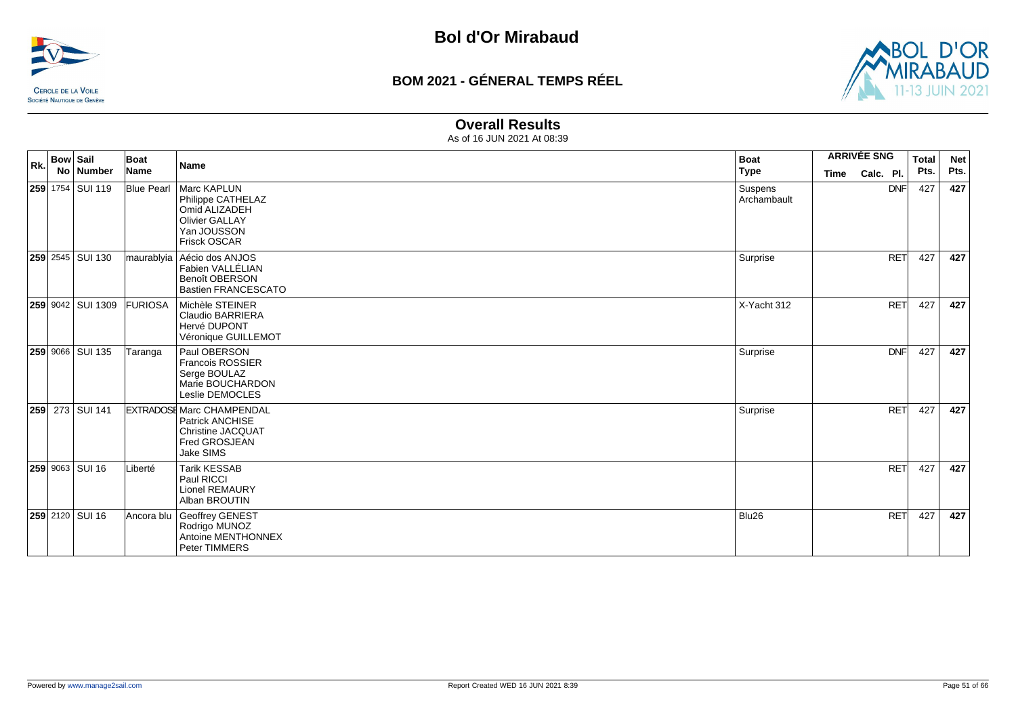



#### **Overall Results**

| Rk. | <b>Bow Sail</b><br>No   Number | Boat<br>Name   | Name                                                                                                                   | <b>Boat</b><br><b>Type</b> | <b>ARRIVÉE SNG</b><br>Calc. Pl.<br><b>Time</b> | <b>Total</b><br>Pts. | <b>Net</b><br>Pts. |
|-----|--------------------------------|----------------|------------------------------------------------------------------------------------------------------------------------|----------------------------|------------------------------------------------|----------------------|--------------------|
|     | <b>259</b> 1754 SUI 119        |                | Blue Pearl   Marc KAPLUN<br>Philippe CATHELAZ<br>Omid ALIZADEH<br><b>Olivier GALLAY</b><br>Yan JOUSSON<br>Frisck OSCAR | Suspens<br>Archambault     | <b>DNF</b>                                     | 427                  | 427                |
|     | 259 2545 SUI 130               |                | maurablyia   Aécio dos ANJOS<br>Fabien VALLÉLIAN<br>Benoît OBERSON<br><b>Bastien FRANCESCATO</b>                       | Surprise                   | <b>RET</b>                                     | 427                  | 427                |
|     | 259 9042 SUI 1309              | <b>FURIOSA</b> | Michèle STEINER<br><b>Claudio BARRIERA</b><br>Hervé DUPONT<br>Véronique GUILLEMOT                                      | X-Yacht 312                | <b>RET</b>                                     | 427                  | 427                |
|     | <b>259 9066 SUI 135</b>        | Taranga        | Paul OBERSON<br>Francois ROSSIER<br>Serge BOULAZ<br>Marie BOUCHARDON<br>Leslie DEMOCLES                                | Surprise                   | <b>DNF</b>                                     | 427                  | 427                |
|     | 259 273 SUI 141                |                | <b>EXTRADOSE Marc CHAMPENDAL</b><br><b>Patrick ANCHISE</b><br><b>Christine JACQUAT</b><br>Fred GROSJEAN<br>Jake SIMS   | Surprise                   | <b>RET</b>                                     | 427                  | 427                |
|     | 259 9063 SUI 16                | Liberté        | <b>Tarik KESSAB</b><br>Paul RICCI<br><b>Lionel REMAURY</b><br>Alban BROUTIN                                            |                            | <b>RET</b>                                     | 427                  | 427                |
|     | 259 2120 SUI 16                | Ancora blu     | Geoffrey GENEST<br>Rodrigo MUNOZ<br>Antoine MENTHONNEX<br>Peter TIMMERS                                                | Blu26                      | <b>RET</b>                                     | 427                  | 427                |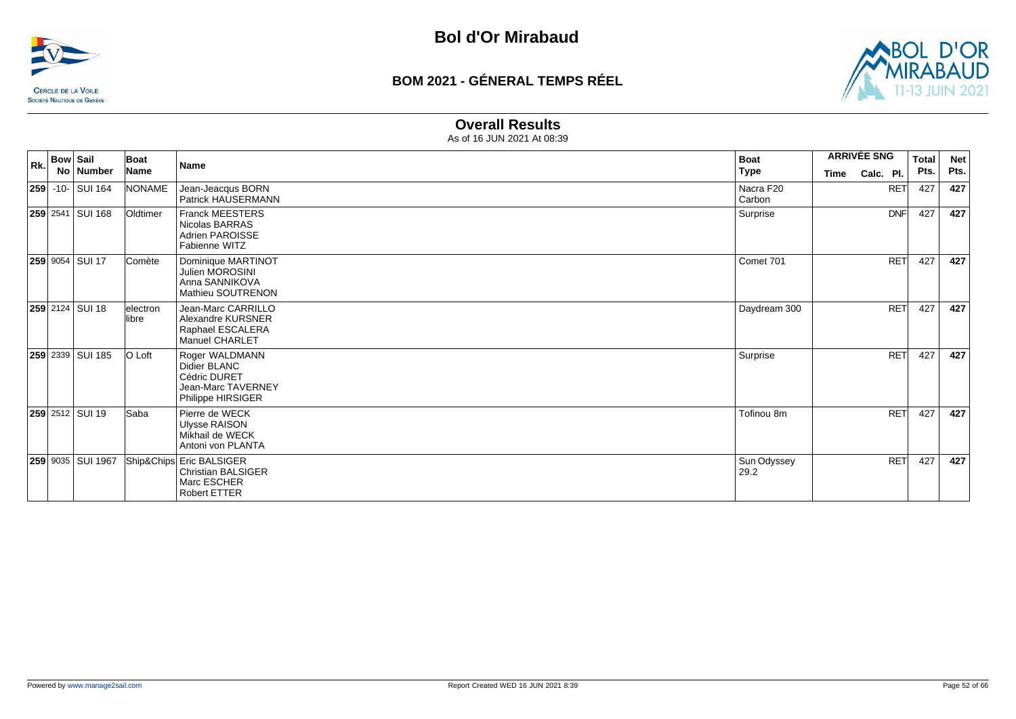



#### **Overall Results**

|     | <b>Bow Sail</b>           |                   | Boat                | <b>Name</b>                                                                                 | <b>Boat</b>         | <b>ARRIVÉE SNG</b> |            | <b>Total</b> | <b>Net</b> |
|-----|---------------------------|-------------------|---------------------|---------------------------------------------------------------------------------------------|---------------------|--------------------|------------|--------------|------------|
| Rk. |                           | No Number         | Name                |                                                                                             | <b>Type</b>         | Time               | Calc. Pl.  | Pts.         | Pts.       |
|     | <b>259</b> - 10 - SUI 164 |                   | NONAME              | Jean-Jeacqus BORN<br>Patrick HAUSERMANN                                                     | Nacra F20<br>Carbon |                    | <b>RET</b> | 427          | 427        |
|     |                           | 259 2541 SUI 168  | Oldtimer            | <b>Franck MEESTERS</b><br>Nicolas BARRAS<br>Adrien PAROISSE<br>Fabienne WITZ                | Surprise            |                    | <b>DNF</b> | 427          | 427        |
|     | <b>259 9054 SUI 17</b>    |                   | Comète              | Dominique MARTINOT<br><b>Julien MOROSINI</b><br>Anna SANNIKOVA<br><b>Mathieu SOUTRENON</b>  | Comet 701           |                    | <b>RET</b> | 427          | 427        |
|     | <b>259</b> 2124   SUI 18  |                   | lelectron<br>llibre | Jean-Marc CARRILLO<br>Alexandre KURSNER<br>Raphael ESCALERA<br><b>Manuel CHARLET</b>        | Daydream 300        |                    | <b>RET</b> | 427          | 427        |
|     |                           | 259 2339 SUI 185  | O Loft              | Roger WALDMANN<br>Didier BLANC<br>Cédric DURET<br>Jean-Marc TAVERNEY<br>Philippe HIRSIGER   | Surprise            |                    | <b>RET</b> | 427          | 427        |
|     | <b>259</b> 2512 SUI 19    |                   | Saba                | Pierre de WECK<br><b>Ulysse RAISON</b><br>Mikhail de WECK<br>Antoni von PLANTA              | Tofinou 8m          |                    | RET        | 427          | 427        |
|     |                           | 259 9035 SUI 1967 |                     | Ship&Chips Eric BALSIGER<br><b>Christian BALSIGER</b><br>Marc ESCHER<br><b>Robert ETTER</b> | Sun Odyssey<br>29.2 |                    | <b>RET</b> | 427          | 427        |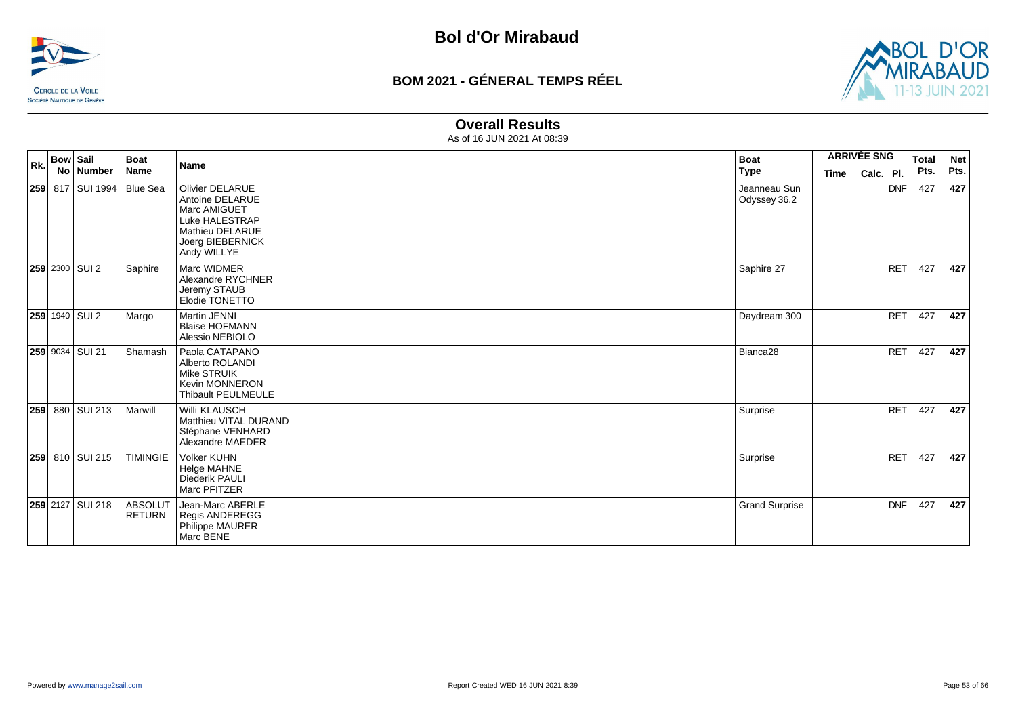



#### **Overall Results**

| Rk. | <b>Bow Sail</b><br><b>No</b> | <b>Number</b>         | Boat<br>Name                    | <b>Name</b>                                                                                                                       | <b>Boat</b><br><b>Type</b>   | <b>ARRIVÉE SNG</b><br>Calc. Pl.<br>Time | <b>Total</b><br>Pts. | <b>Net</b><br>Pts. |
|-----|------------------------------|-----------------------|---------------------------------|-----------------------------------------------------------------------------------------------------------------------------------|------------------------------|-----------------------------------------|----------------------|--------------------|
|     |                              | 259 817 SUI 1994      | <b>Blue Sea</b>                 | <b>Olivier DELARUE</b><br>Antoine DELARUE<br>Marc AMIGUET<br>Luke HALESTRAP<br>Mathieu DELARUE<br>Joerg BIEBERNICK<br>Andy WILLYE | Jeanneau Sun<br>Odyssey 36.2 | <b>DNF</b>                              | 427                  | 427                |
|     |                              | <b>259</b> 2300 SUI 2 | Saphire                         | Marc WIDMER<br>Alexandre RYCHNER<br>Jeremy STAUB<br>Elodie TONETTO                                                                | Saphire 27                   | <b>RET</b>                              | 427                  | 427                |
|     |                              | 259 1940 SUI 2        | Margo                           | <b>Martin JENNI</b><br><b>Blaise HOFMANN</b><br>Alessio NEBIOLO                                                                   | Daydream 300                 | <b>RET</b>                              | 427                  | 427                |
|     |                              | 259 9034 SUI 21       | Shamash                         | Paola CATAPANO<br>Alberto ROLANDI<br><b>Mike STRUIK</b><br><b>Kevin MONNERON</b><br>Thibault PEULMEULE                            | Bianca <sub>28</sub>         | <b>RET</b>                              | 427                  | 427                |
|     |                              | 259 880 SUI 213       | Marwill                         | Willi KLAUSCH<br>Matthieu VITAL DURAND<br>Stéphane VENHARD<br>Alexandre MAEDER                                                    | Surprise                     | <b>RET</b>                              | 427                  | 427                |
|     |                              | 259 810 SUI 215       | <b>TIMINGIE</b>                 | <b>Volker KUHN</b><br>Helge MAHNE<br>Diederik PAULI<br>Marc PFITZER                                                               | Surprise                     | <b>RET</b>                              | 427                  | 427                |
|     |                              | 259 2127 SUI 218      | <b>ABSOLUT</b><br><b>RETURN</b> | Jean-Marc ABERLE<br><b>Regis ANDEREGG</b><br>Philippe MAURER<br>Marc BENE                                                         | <b>Grand Surprise</b>        | <b>DNF</b>                              | 427                  | 427                |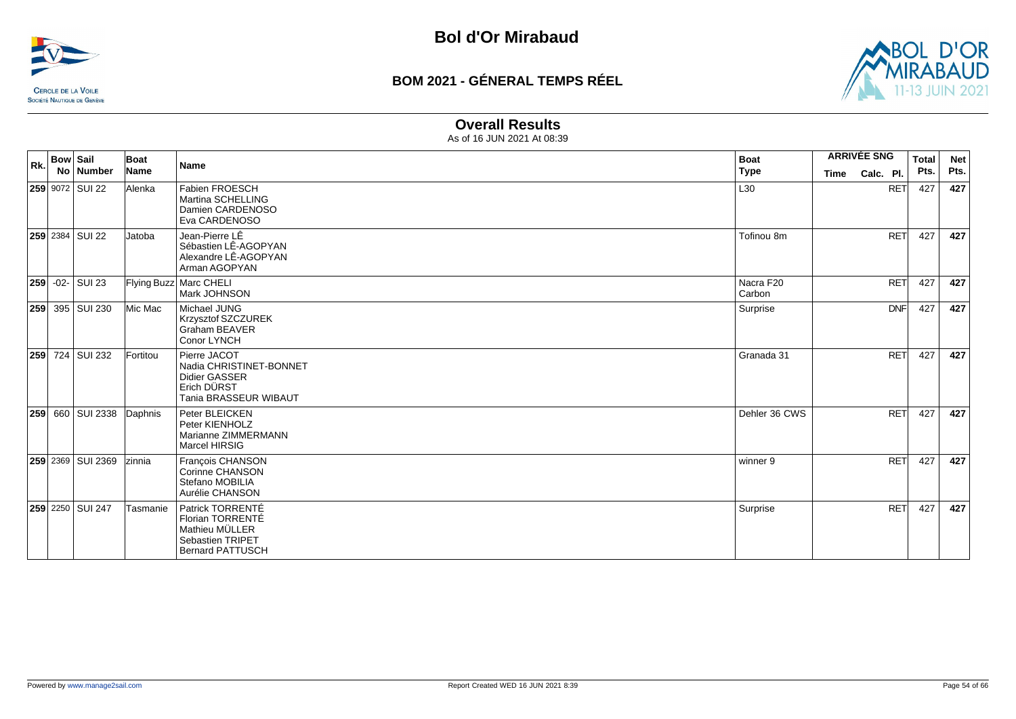



#### **Overall Results**

| Rk. | <b>Bow Sail</b> | No Number               | Boat<br>Name   | Name                                                                                                  | <b>Boat</b><br><b>Type</b> | <b>ARRIVÉE SNG</b><br>Time | Calc. Pl.  | <b>Total</b><br>Pts. | <b>Net</b><br>Pts. |
|-----|-----------------|-------------------------|----------------|-------------------------------------------------------------------------------------------------------|----------------------------|----------------------------|------------|----------------------|--------------------|
|     |                 | 259 9072 SUI 22         | Alenka         | Fabien FROESCH<br>Martina SCHELLING<br>Damien CARDENOSO<br>Eva CARDENOSO                              | L30                        |                            | <b>RET</b> | 427                  | 427                |
|     |                 | <b>259</b> 2384 SUI 22  | <b>Jatoba</b>  | Jean-Pierre LÊ<br>Sébastien LÊ-AGOPYAN<br>Alexandre LÊ-AGOPYAN<br>Arman AGOPYAN                       | Tofinou 8m                 |                            | <b>RET</b> | 427                  | 427                |
|     |                 | 259 - 02 - SUI 23       |                | Flying Buzz Marc CHELI<br>Mark JOHNSON                                                                | Nacra F20<br>Carbon        |                            | <b>RET</b> | 427                  | 427                |
|     |                 | 259 395 SUI 230         | Mic Mac        | Michael JUNG<br>Krzysztof SZCZUREK<br>Graham BEAVER<br>Conor LYNCH                                    | Surprise                   |                            | <b>DNF</b> | 427                  | 427                |
|     |                 | 259 724 SUI 232         | Fortitou       | Pierre JACOT<br>Nadia CHRISTINET-BONNET<br>Didier GASSER<br>Erich DÜRST<br>Tania BRASSEUR WIBAUT      | Granada 31                 |                            | <b>RET</b> | 427                  | 427                |
|     |                 | <b>259</b> 660 SUI 2338 | Daphnis        | Peter BLEICKEN<br>Peter KIENHOLZ<br>Marianne ZIMMERMANN<br>Marcel HIRSIG                              | Dehler 36 CWS              |                            | <b>RET</b> | 427                  | 427                |
|     |                 | 259 2369 SUI 2369       | <b>Izinnia</b> | François CHANSON<br>Corinne CHANSON<br>Stefano MOBILIA<br>Aurélie CHANSON                             | winner 9                   |                            | <b>RET</b> | 427                  | 427                |
|     |                 | 259 2250 SUI 247        | Tasmanie       | Patrick TORRENTÉ<br>Florian TORRENTÉ<br>Mathieu MÜLLER<br>Sebastien TRIPET<br><b>Bernard PATTUSCH</b> | Surprise                   |                            | <b>RET</b> | 427                  | 427                |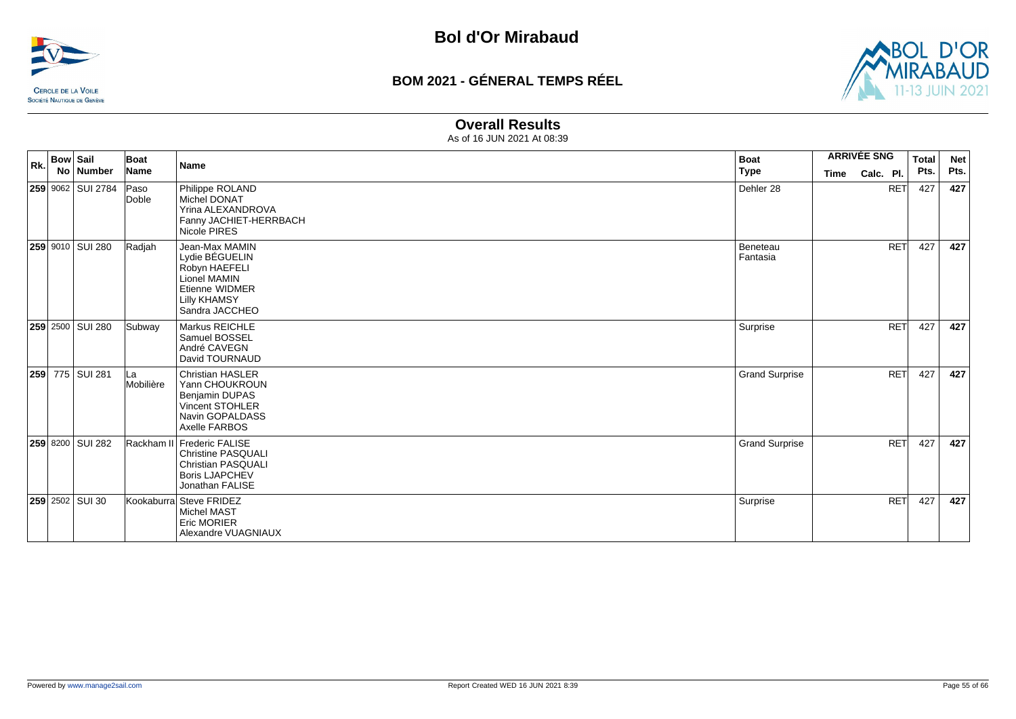



#### **Overall Results**

| Rk. | <b>Bow Sail</b> | No Number              | Boat<br>Name    | <b>Name</b>                                                                                                                      | <b>Boat</b>              | <b>ARRIVÉE SNG</b>       |            | <b>Total</b><br>Pts. | <b>Net</b><br>Pts. |
|-----|-----------------|------------------------|-----------------|----------------------------------------------------------------------------------------------------------------------------------|--------------------------|--------------------------|------------|----------------------|--------------------|
|     |                 | 259 9062   SUI 2784    | Paso<br>Doble   | Philippe ROLAND<br><b>Michel DONAT</b><br>Yrina ALEXANDROVA<br>Fanny JACHIET-HERRBACH<br>Nicole PIRES                            | <b>Type</b><br>Dehler 28 | Calc. Pl.<br><b>Time</b> | <b>RET</b> | 427                  | 427                |
|     |                 | 259 9010 SUI 280       | Radjah          | Jean-Max MAMIN<br>Lydie BÉGUELIN<br>Robyn HAEFELI<br>Lionel MAMIN<br>Etienne WIDMER<br><b>Lilly KHAMSY</b><br>Sandra JACCHEO     | Beneteau<br>Fantasia     |                          | <b>RET</b> | 427                  | 427                |
|     |                 | 259 2500 SUI 280       | Subway          | Markus REICHLE<br>Samuel BOSSEL<br>André CAVEGN<br>David TOURNAUD                                                                | Surprise                 |                          | <b>RET</b> | 427                  | 427                |
|     |                 | 259 775 SUI 281        | La<br>Mobilière | <b>Christian HASLER</b><br>Yann CHOUKROUN<br><b>Benjamin DUPAS</b><br><b>Vincent STOHLER</b><br>Navin GOPALDASS<br>Axelle FARBOS | <b>Grand Surprise</b>    |                          | <b>RET</b> | 427                  | 427                |
|     |                 | 259 8200 SUI 282       |                 | Rackham II Frederic FALISE<br><b>Christine PASQUALI</b><br><b>Christian PASQUALI</b><br><b>Boris LJAPCHEV</b><br>Jonathan FALISE | <b>Grand Surprise</b>    |                          | <b>RET</b> | 427                  | 427                |
|     |                 | <b>259</b> 2502 SUI 30 |                 | Kookaburra Steve FRIDEZ<br><b>Michel MAST</b><br><b>Eric MORIER</b><br>Alexandre VUAGNIAUX                                       | Surprise                 |                          | <b>RET</b> | 427                  | 427                |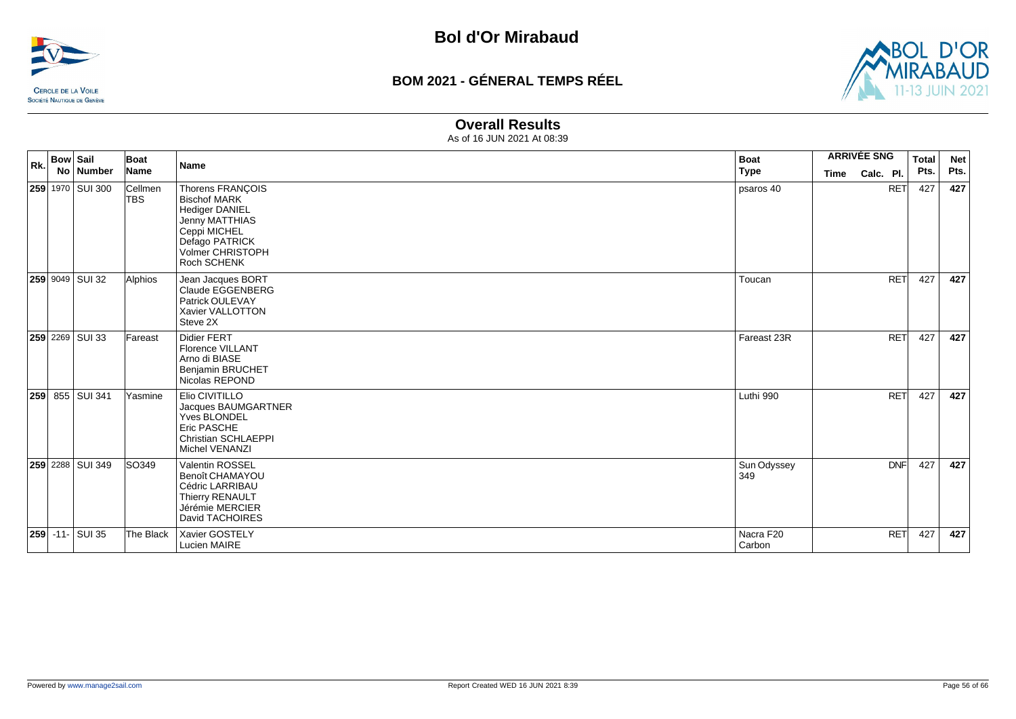



#### **Overall Results**

| Rk. | <b>Bow Sail</b> | No Number              | Boat<br>Name          | Name                                                                                                                                                           | <b>Boat</b><br><b>Type</b> | <b>ARRIVÉE SNG</b><br>Calc. Pl.<br><b>Time</b> |            | <b>Total</b><br>Pts. | <b>Net</b><br>Pts. |
|-----|-----------------|------------------------|-----------------------|----------------------------------------------------------------------------------------------------------------------------------------------------------------|----------------------------|------------------------------------------------|------------|----------------------|--------------------|
|     |                 | 259 1970 SUI 300       | Cellmen<br><b>TBS</b> | Thorens FRANÇOIS<br><b>Bischof MARK</b><br><b>Hediger DANIEL</b><br><b>Jenny MATTHIAS</b><br>Ceppi MICHEL<br>Defago PATRICK<br>Volmer CHRISTOPH<br>Roch SCHENK | psaros 40                  |                                                | <b>RET</b> | 427                  | 427                |
|     |                 | 259 9049 SUI 32        | Alphios               | Jean Jacques BORT<br>Claude EGGENBERG<br>Patrick OULEVAY<br>Xavier VALLOTTON<br>Steve 2X                                                                       | Toucan                     |                                                | <b>RET</b> | 427                  | 427                |
|     |                 | <b>259</b> 2269 SUI 33 | Fareast               | Didier FERT<br><b>Florence VILLANT</b><br>Arno di BIASE<br><b>Benjamin BRUCHET</b><br>Nicolas REPOND                                                           | Fareast 23R                |                                                | <b>RET</b> | 427                  | 427                |
|     |                 | <b>259</b> 855 SUI 341 | Yasmine               | Elio CIVITILLO<br>Jacques BAUMGARTNER<br>Yves BLONDEL<br>Eric PASCHE<br><b>Christian SCHLAEPPI</b><br>Michel VENANZI                                           | Luthi 990                  |                                                | <b>RET</b> | 427                  | 427                |
|     |                 | 259 2288 SUI 349       | SO349                 | <b>Valentin ROSSEL</b><br>Benoît CHAMAYOU<br>Cédric LARRIBAU<br>Thierry RENAULT<br>Jérémie MERCIER<br>David TACHOIRES                                          | Sun Odyssey<br>349         |                                                | <b>DNF</b> | 427                  | 427                |
|     |                 | <b>259 -11- SUI 35</b> | The Black             | Xavier GOSTELY<br>Lucien MAIRE                                                                                                                                 | Nacra F20<br>Carbon        |                                                | <b>RET</b> | 427                  | 427                |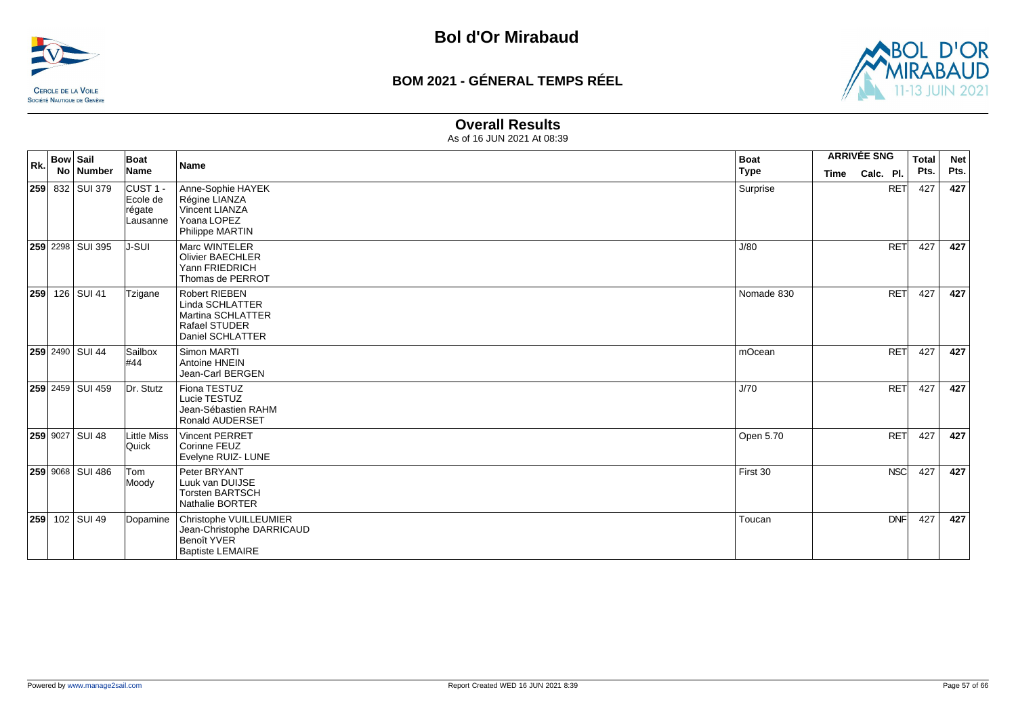



#### **Overall Results**

| Rk. | <b>Bow Sail</b> | No   Number            | Boat<br>Name                                          | <b>Name</b>                                                                                          | <b>Boat</b><br>Type | <b>ARRIVÉE SNG</b><br>Calc. Pl.<br>Time |            | <b>Total</b><br>Pts. | <b>Net</b><br>Pts. |
|-----|-----------------|------------------------|-------------------------------------------------------|------------------------------------------------------------------------------------------------------|---------------------|-----------------------------------------|------------|----------------------|--------------------|
|     |                 | <b>259</b> 832 SUI 379 | CUST <sub>1</sub> -<br>Ecole de<br>régate<br>Lausanne | Anne-Sophie HAYEK<br>Régine LIANZA<br>Vincent LIANZA<br>Yoana LOPEZ<br>Philippe MARTIN               | Surprise            |                                         | <b>RET</b> | 427                  | 427                |
|     |                 | 259 2298 SUI 395       | IJ-SUI                                                | Marc WINTELER<br><b>Olivier BAECHLER</b><br>Yann FRIEDRICH<br>Thomas de PERROT                       | J/80                |                                         | <b>RET</b> | 427                  | 427                |
|     |                 | 259 126 SUI 41         | Tzigane                                               | <b>Robert RIEBEN</b><br>Linda SCHLATTER<br>Martina SCHLATTER<br>Rafael STUDER<br>Daniel SCHLATTER    | Nomade 830          |                                         | <b>RET</b> | 427                  | 427                |
|     |                 | 259 2490 SUI 44        | Sailbox<br>#44                                        | Simon MARTI<br>Antoine HNEIN<br>Jean-Carl BERGEN                                                     | mOcean              |                                         | <b>RET</b> | 427                  | 427                |
|     |                 | 259 2459 SUI 459       | Dr. Stutz                                             | Fiona TESTUZ<br>Lucie TESTUZ<br>Jean-Sébastien RAHM<br><b>Ronald AUDERSET</b>                        | J/70                |                                         | <b>RET</b> | 427                  | 427                |
|     |                 | 259 9027 SUI 48        | Little Miss<br>Quick                                  | <b>Vincent PERRET</b><br>Corinne FEUZ<br>Evelyne RUIZ- LUNE                                          | Open 5.70           |                                         | <b>RET</b> | 427                  | 427                |
|     |                 | 259 9068 SUI 486       | <b>Tom</b><br>Moody                                   | Peter BRYANT<br>Luuk van DUIJSE<br><b>Torsten BARTSCH</b><br>Nathalie BORTER                         | First 30            |                                         | <b>NSC</b> | 427                  | 427                |
|     |                 | 259 102 SUI 49         | Dopamine                                              | Christophe VUILLEUMIER<br>Jean-Christophe DARRICAUD<br><b>Benoît YVER</b><br><b>Baptiste LEMAIRE</b> | Toucan              |                                         | <b>DNF</b> | 427                  | 427                |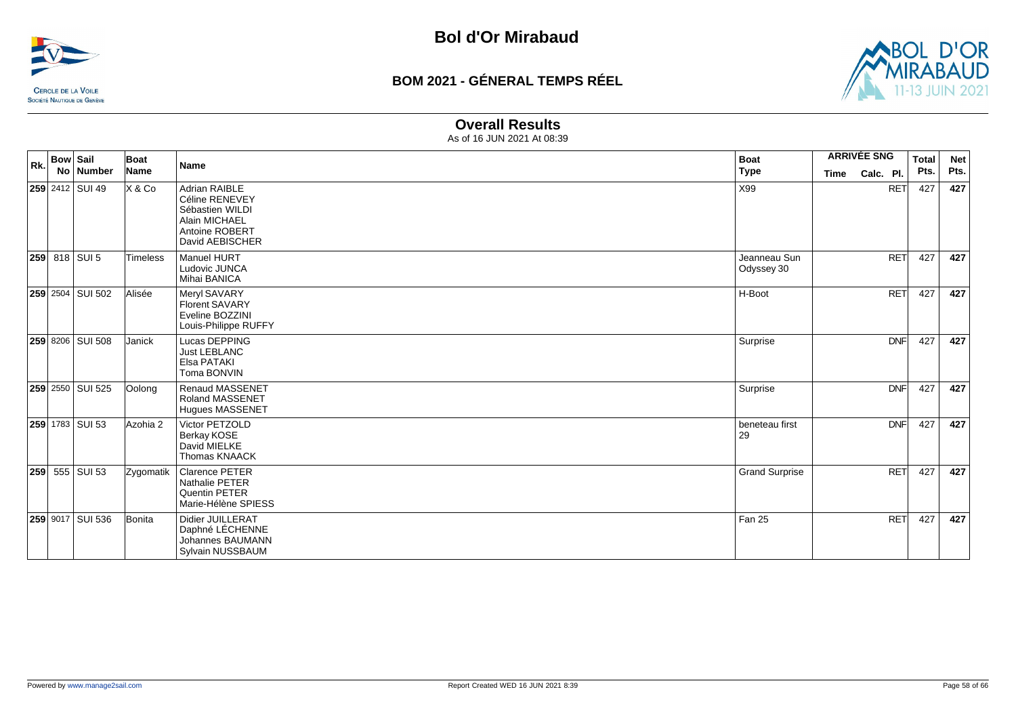



#### **Overall Results**

| Rk. | <b>Bow Sail</b><br>No Number | Boat<br>Name | <b>Name</b>                                                                                              | <b>Boat</b><br><b>Type</b> | <b>ARRIVÉE SNG</b><br>Time | Calc. Pl.  | <b>Total</b><br>Pts. | <b>Net</b><br>Pts. |
|-----|------------------------------|--------------|----------------------------------------------------------------------------------------------------------|----------------------------|----------------------------|------------|----------------------|--------------------|
|     | <b>259</b> 2412 SUI 49       | X & Co       | Adrian RAIBLE<br>Céline RENEVEY<br>Sébastien WILDI<br>Alain MICHAEL<br>Antoine ROBERT<br>David AEBISCHER | X99                        |                            | <b>RET</b> | 427                  | 427                |
|     | 259 818 SUI 5                | Timeless     | Manuel HURT<br>Ludovic JUNCA<br>Mihai BANICA                                                             | Jeanneau Sun<br>Odyssey 30 |                            | RET        | 427                  | 427                |
|     | 259 2504 SUI 502             | Alisée       | Meryl SAVARY<br><b>Florent SAVARY</b><br>Eveline BOZZINI<br>Louis-Philippe RUFFY                         | H-Boot                     |                            | <b>RET</b> | 427                  | 427                |
|     | <b>259 8206 SUI 508</b>      | Janick       | Lucas DEPPING<br><b>Just LEBLANC</b><br>Elsa PATAKI<br>Toma BONVIN                                       | Surprise                   |                            | <b>DNF</b> | 427                  | 427                |
|     | 259 2550 SUI 525             | Oolong       | <b>Renaud MASSENET</b><br><b>Roland MASSENET</b><br><b>Hugues MASSENET</b>                               | Surprise                   |                            | <b>DNF</b> | 427                  | 427                |
|     | 259 1783 SUI 53              | Azohia 2     | Victor PETZOLD<br>Berkay KOSE<br>David MIELKE<br>Thomas KNAACK                                           | beneteau first<br>29       |                            | <b>DNF</b> | 427                  | 427                |
|     | 259 555 SUI 53               | Zygomatik    | <b>Clarence PETER</b><br><b>Nathalie PETER</b><br>Quentin PETER<br>Marie-Hélène SPIESS                   | <b>Grand Surprise</b>      |                            | <b>RET</b> | 427                  | 427                |
|     | 259 9017 SUI 536             | Bonita       | Didier JUILLERAT<br>Daphné LÉCHENNE<br>Johannes BAUMANN<br>Sylvain NUSSBAUM                              | Fan 25                     |                            | <b>RET</b> | 427                  | 427                |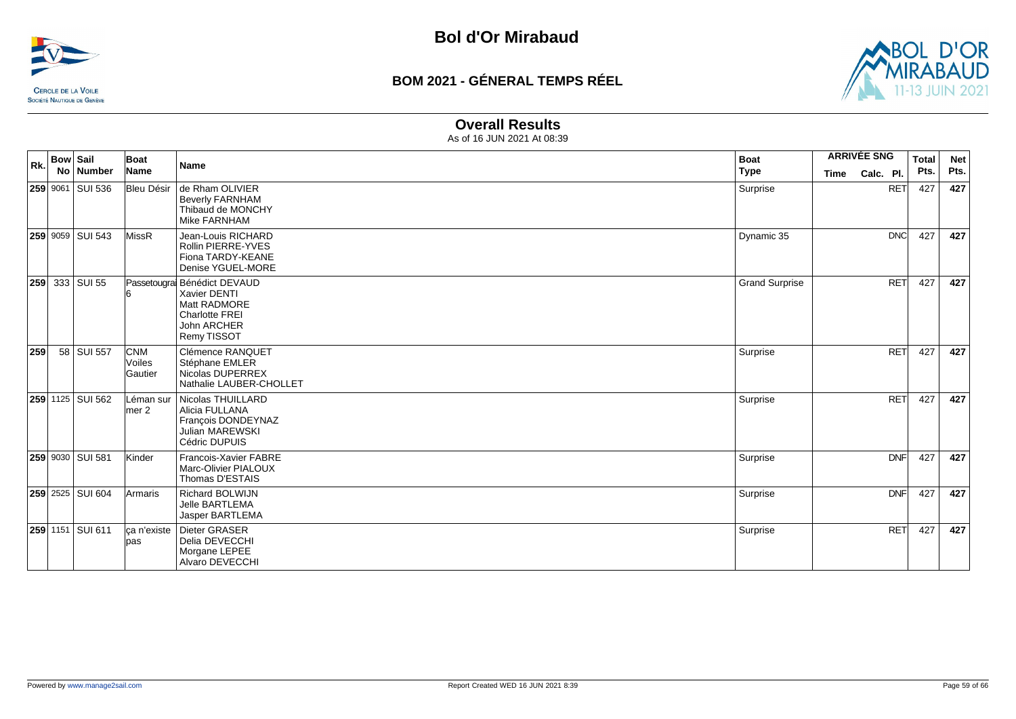



#### **Overall Results**

| Rk. | <b>Bow Sail</b> |                       | Boat                            | <b>Name</b>                                                                                                               | <b>Boat</b>           | <b>ARRIVÉE SNG</b> |            | <b>Total</b> | <b>Net</b> |
|-----|-----------------|-----------------------|---------------------------------|---------------------------------------------------------------------------------------------------------------------------|-----------------------|--------------------|------------|--------------|------------|
|     |                 | No Number             | Name                            |                                                                                                                           | <b>Type</b>           | <b>Time</b>        | Calc. Pl.  | Pts.         | Pts.       |
|     |                 | 259 9061 SUI 536      | Bleu Désir                      | de Rham OLIVIER<br><b>Beverly FARNHAM</b><br>Thibaud de MONCHY<br>Mike FARNHAM                                            | Surprise              |                    | <b>RET</b> | 427          | 427        |
|     |                 | 259 9059 SUI 543      | MissR                           | Jean-Louis RICHARD<br>Rollin PIERRE-YVES<br>Fiona TARDY-KEANE<br>Denise YGUEL-MORE                                        | Dynamic 35            |                    | <b>DNC</b> | 427          | 427        |
|     |                 | <b>259</b> 333 SUI 55 |                                 | Passetougra Bénédict DEVAUD<br>Xavier DENTI<br>Matt RADMORE<br><b>Charlotte FREI</b><br><b>John ARCHER</b><br>Remy TISSOT | <b>Grand Surprise</b> |                    | RET        | 427          | 427        |
| 259 |                 | 58 SUI 557            | <b>CNM</b><br>Voiles<br>Gautier | Clémence RANQUET<br>Stéphane EMLER<br>Nicolas DUPERREX<br>Nathalie LAUBER-CHOLLET                                         | Surprise              |                    | <b>RET</b> | 427          | 427        |
|     |                 | 259 1125 SUI 562      | Léman sur<br>$l$ mer 2          | Nicolas THUILLARD<br>Alicia FULLANA<br>François DONDEYNAZ<br>Julian MAREWSKI<br>Cédric DUPUIS                             | Surprise              |                    | <b>RET</b> | 427          | 427        |
|     |                 | 259 9030 SUI 581      | Kinder                          | Francois-Xavier FABRE<br>Marc-Olivier PIALOUX<br>Thomas D'ESTAIS                                                          | Surprise              |                    | <b>DNF</b> | 427          | 427        |
|     |                 | 259 2525 SUI 604      | Armaris                         | <b>Richard BOLWIJN</b><br><b>Jelle BARTLEMA</b><br>Jasper BARTLEMA                                                        | Surprise              |                    | <b>DNF</b> | 427          | 427        |
|     |                 | 259 1151 SUI 611      | ca n'existe<br>pas              | Dieter GRASER<br>Delia DEVECCHI<br>Morgane LEPEE<br><b>Alvaro DEVECCHI</b>                                                | Surprise              |                    | <b>RET</b> | 427          | 427        |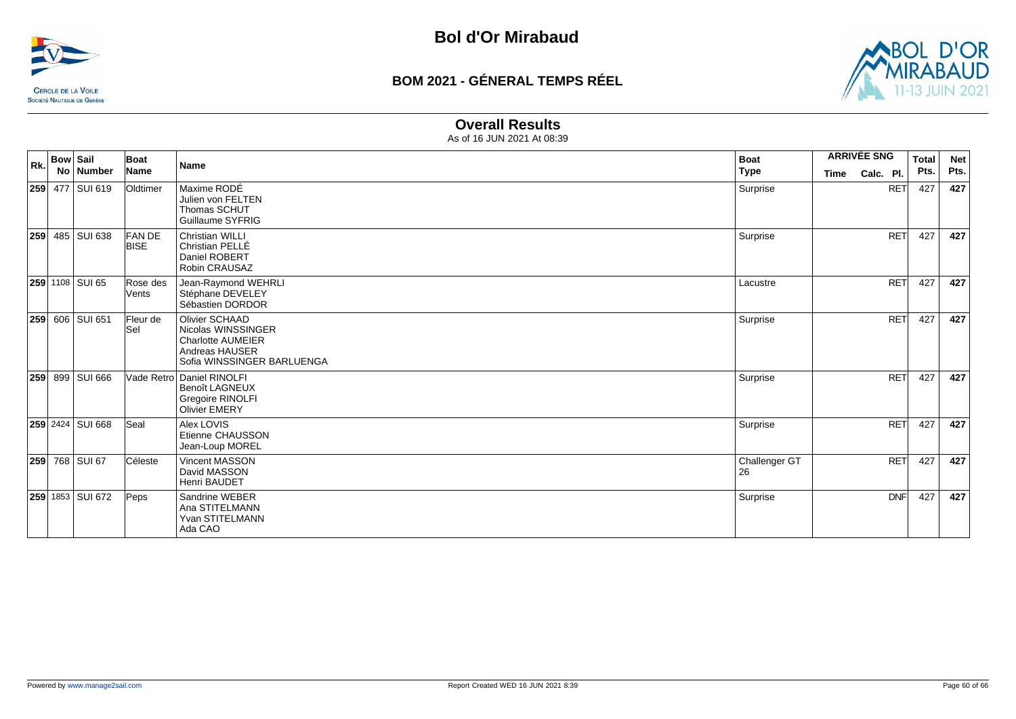



#### **Overall Results**

| Rk. | <b>Bow Sail</b> |                         | Boat                        | <b>Name</b>                                                                                                      | <b>Boat</b>         | <b>ARRIVÉE SNG</b>       | <b>Total</b> | <b>Net</b> |
|-----|-----------------|-------------------------|-----------------------------|------------------------------------------------------------------------------------------------------------------|---------------------|--------------------------|--------------|------------|
|     |                 | No Number               | Name                        |                                                                                                                  | <b>Type</b>         | Calc. Pl.<br><b>Time</b> | Pts.         | Pts.       |
|     |                 | 259 477 SUI 619         | Oldtimer                    | Maxime RODÉ<br>Julien von FELTEN<br>Thomas SCHUT<br>Guillaume SYFRIG                                             | Surprise            | <b>RET</b>               | 427          | 427        |
| 259 |                 | 485   SUI 638           | <b>FANDE</b><br><b>BISE</b> | <b>Christian WILLI</b><br>Christian PELLÉ<br>Daniel ROBERT<br>Robin CRAUSAZ                                      | Surprise            | <b>RET</b>               | 427          | 427        |
|     |                 | 259 1108 SUI 65         | Rose des<br>Vents           | Jean-Raymond WEHRLI<br>Stéphane DEVELEY<br>Sébastien DORDOR                                                      | Lacustre            | <b>RET</b>               | 427          | 427        |
|     |                 | 259 606 SUI 651         | Fleur de<br>Sel             | Olivier SCHAAD<br>Nicolas WINSSINGER<br><b>Charlotte AUMEIER</b><br>Andreas HAUSER<br>Sofia WINSSINGER BARLUENGA | Surprise            | <b>RET</b>               | 427          | 427        |
|     |                 | <b>259</b> 899 SUI 666  |                             | Vade Retro Daniel RINOLFI<br><b>Benoît LAGNEUX</b><br><b>Gregoire RINOLFI</b><br><b>Olivier EMERY</b>            | Surprise            | <b>RET</b>               | 427          | 427        |
|     |                 | <b>259</b> 2424 SUI 668 | Seal                        | Alex LOVIS<br>Etienne CHAUSSON<br>Jean-Loup MOREL                                                                | Surprise            | RET                      | 427          | 427        |
|     |                 | 259 768 SUI 67          | Céleste                     | Vincent MASSON<br>David MASSON<br>Henri BAUDET                                                                   | Challenger GT<br>26 | <b>RET</b>               | 427          | 427        |
|     |                 | 259 1853 SUI 672        | Peps                        | Sandrine WEBER<br>Ana STITELMANN<br>Yvan STITELMANN<br>Ada CAO                                                   | Surprise            | DNF                      | 427          | 427        |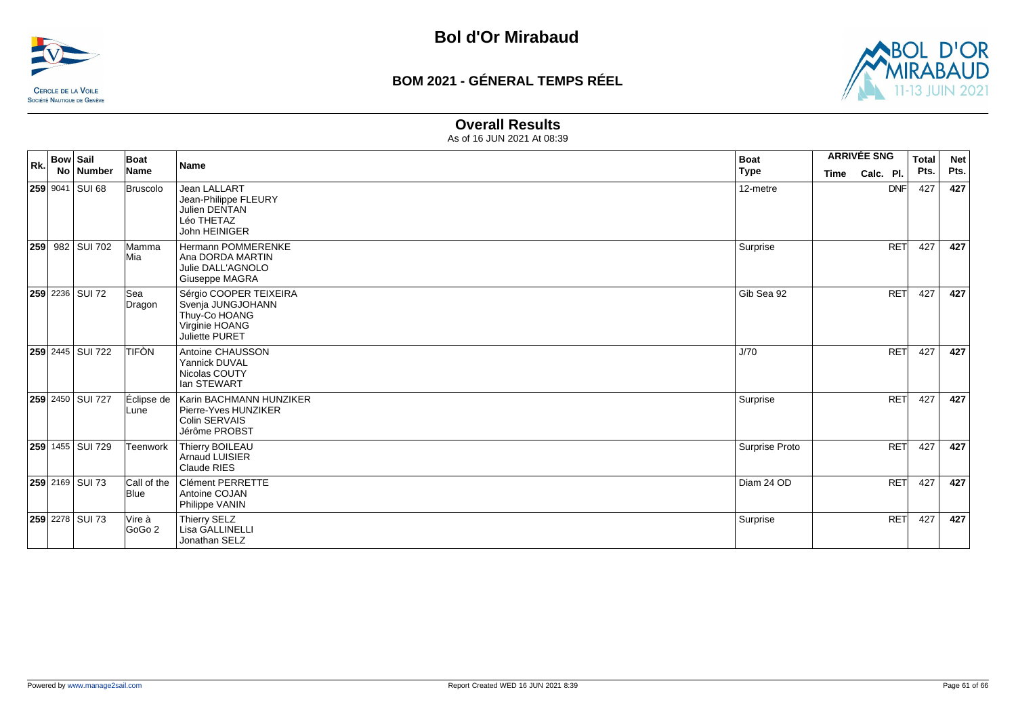



#### **Overall Results**

| Rk. | <b>Bow Sail</b> | No Number              | Boat<br>Name                | <b>Name</b>                                                                                      | <b>Boat</b><br><b>Type</b> | <b>ARRIVÉE SNG</b><br>Calc. Pl.<br><b>Time</b> |            | <b>Total</b><br>Pts. | <b>Net</b><br>Pts. |
|-----|-----------------|------------------------|-----------------------------|--------------------------------------------------------------------------------------------------|----------------------------|------------------------------------------------|------------|----------------------|--------------------|
|     |                 | 259 9041 SUI 68        | Bruscolo                    | <b>Jean LALLART</b><br>Jean-Philippe FLEURY<br>Julien DENTAN<br>Léo THETAZ<br>John HEINIGER      | 12-metre                   |                                                | <b>DNF</b> | 427                  | 427                |
| 259 |                 | 982 SUI 702            | lMamma<br>Mia               | Hermann POMMERENKE<br>Ana DORDA MARTIN<br>Julie DALL'AGNOLO<br>Giuseppe MAGRA                    | Surprise                   |                                                | <b>RET</b> | 427                  | 427                |
|     |                 | <b>259</b> 2236 SUI 72 | lSea<br>Dragon              | Sérgio COOPER TEIXEIRA<br>Svenja JUNGJOHANN<br>Thuy-Co HOANG<br>Virginie HOANG<br>Juliette PURET | Gib Sea 92                 |                                                | <b>RET</b> | 427                  | 427                |
|     |                 | 259 2445 SUI 722       | <b>TIFÒN</b>                | Antoine CHAUSSON<br>Yannick DUVAL<br>Nicolas COUTY<br>lan STEWART                                | J/70                       |                                                | <b>RET</b> | 427                  | 427                |
|     |                 | 259 2450 SUI 727       | Éclipse de<br>Lune          | Karin BACHMANN HUNZIKER<br>Pierre-Yves HUNZIKER<br><b>Colin SERVAIS</b><br>Jérôme PROBST         | Surprise                   |                                                | <b>RET</b> | 427                  | 427                |
|     |                 | 259 1455 SUI 729       | <b>Teenwork</b>             | Thierry BOILEAU<br>Arnaud LUISIER<br>Claude RIES                                                 | Surprise Proto             |                                                | <b>RET</b> | 427                  | 427                |
|     |                 | 259 2169 SUI 73        | Call of the<br><b>B</b> lue | Clément PERRETTE<br>Antoine COJAN<br>Philippe VANIN                                              | Diam 24 OD                 |                                                | <b>RET</b> | 427                  | 427                |
|     |                 | 259 2278 SUI 73        | Vire à<br>GoGo 2            | Thierry SELZ<br>Lisa GALLINELLI<br>Jonathan SELZ                                                 | Surprise                   |                                                | <b>RET</b> | 427                  | 427                |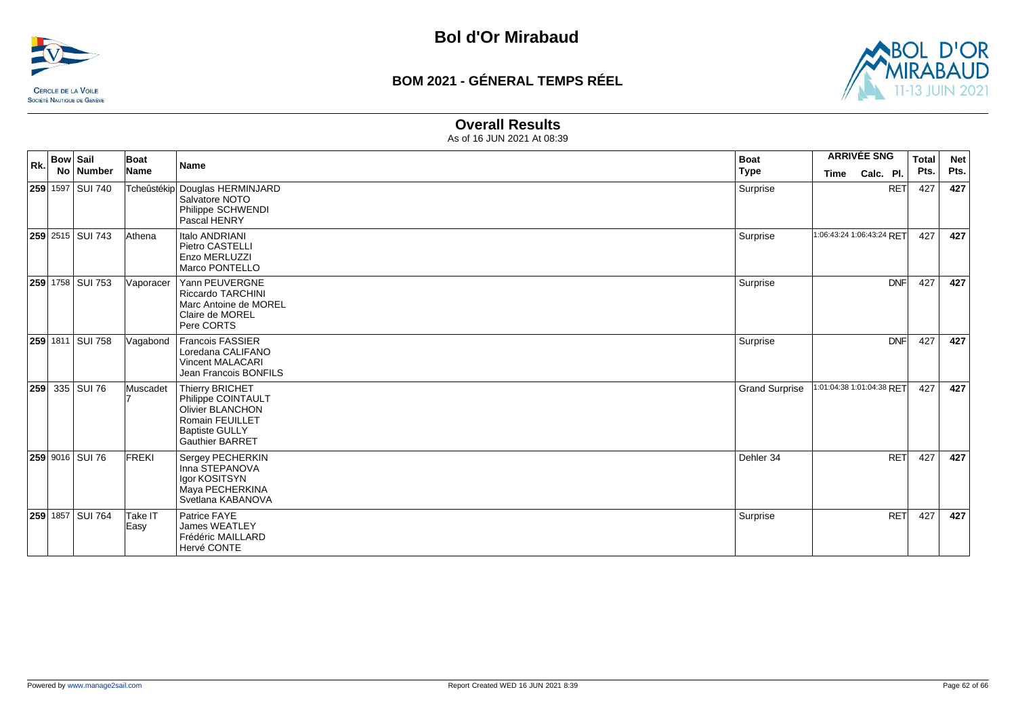



#### **Overall Results**

| Rk. | <b>Bow Sail</b><br><b>No</b> | Number                  | Boat<br>Name    | <b>Name</b>                                                                                                                                   | <b>Boat</b><br><b>Type</b> | <b>ARRIVÉE SNG</b><br>Calc. Pl.<br><b>Time</b> | <b>Total</b><br>Pts. | <b>Net</b><br>Pts. |
|-----|------------------------------|-------------------------|-----------------|-----------------------------------------------------------------------------------------------------------------------------------------------|----------------------------|------------------------------------------------|----------------------|--------------------|
|     |                              | 259 1597 SUI 740        |                 | Tcheûstékip Douglas HERMINJARD<br>Salvatore NOTO<br>Philippe SCHWENDI<br>Pascal HENRY                                                         | Surprise                   | <b>RET</b>                                     | 427                  | 427                |
|     |                              | <b>259</b> 2515 SUI 743 | Athena          | Italo ANDRIANI<br>Pietro CASTELLI<br>Enzo MERLUZZI<br>Marco PONTELLO                                                                          | Surprise                   | 1:06:43:24 1:06:43:24 RET                      | 427                  | 427                |
|     |                              | 259 1758 SUI 753        | Vaporacer       | Yann PEUVERGNE<br><b>Riccardo TARCHINI</b><br>Marc Antoine de MOREL<br>Claire de MOREL<br>Pere CORTS                                          | Surprise                   | <b>DNF</b>                                     | 427                  | 427                |
|     |                              | 259 1811 SUI 758        | Vagabond        | <b>Francois FASSIER</b><br>Loredana CALIFANO<br><b>Vincent MALACARI</b><br>Jean Francois BONFILS                                              | Surprise                   | <b>DNF</b>                                     | 427                  | 427                |
|     |                              | 259 335 SUI 76          | Muscadet        | <b>Thierry BRICHET</b><br>Philippe COINTAULT<br>Olivier BLANCHON<br><b>Romain FEUILLET</b><br><b>Baptiste GULLY</b><br><b>Gauthier BARRET</b> | <b>Grand Surprise</b>      | 1:01:04:38 1:01:04:38 RET                      | 427                  | 427                |
|     |                              | 259 9016 SUI 76         | FREKI           | Sergey PECHERKIN<br>Inna STEPANOVA<br>Igor KOSITSYN<br>Maya PECHERKINA<br>Svetlana KABANOVA                                                   | Dehler 34                  | <b>RET</b>                                     | 427                  | 427                |
|     |                              | 259 1857 SUI 764        | Take IT<br>Easy | Patrice FAYE<br><b>James WEATLEY</b><br>Frédéric MAILLARD<br>Hervé CONTE                                                                      | Surprise                   | <b>RET</b>                                     | 427                  | 427                |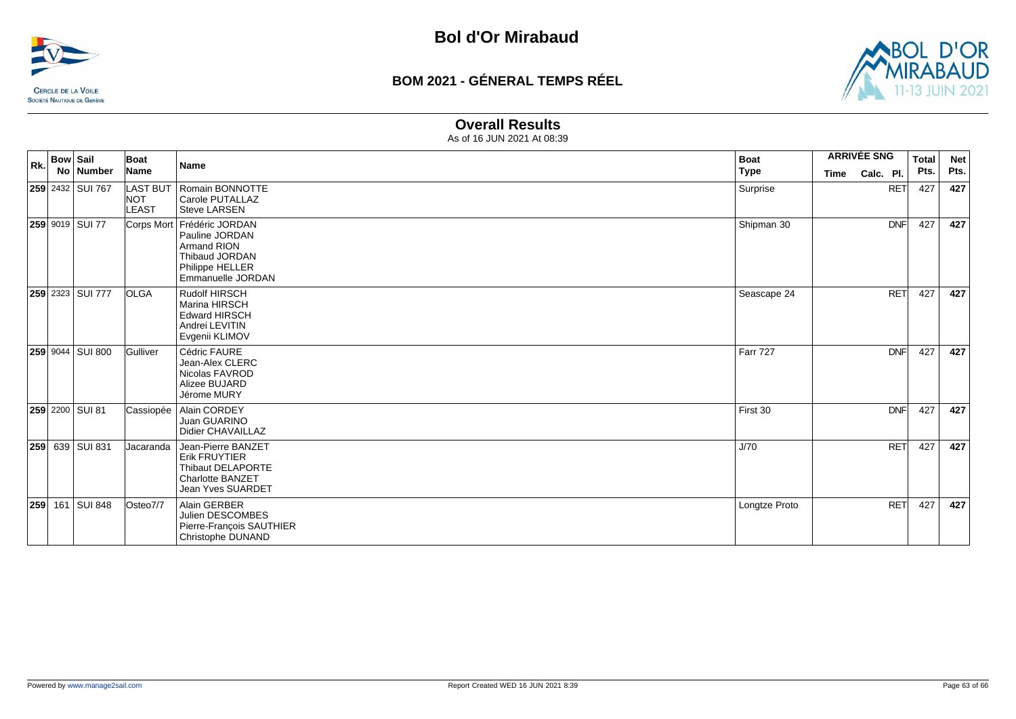



#### **Overall Results**

| Rk. | <b>Bow Sail</b> | No Number               | Boat<br>Name                                  | <b>Name</b>                                                                                                            | <b>Boat</b><br><b>Type</b> | <b>ARRIVÉE SNG</b><br>Calc. Pl.<br>Time |            | <b>Total</b><br>Pts. | <b>Net</b><br>Pts. |
|-----|-----------------|-------------------------|-----------------------------------------------|------------------------------------------------------------------------------------------------------------------------|----------------------------|-----------------------------------------|------------|----------------------|--------------------|
|     |                 | 259 2432 SUI 767        | <b>LAST BUT</b><br><b>NOT</b><br><b>LEAST</b> | Romain BONNOTTE<br>Carole PUTALLAZ<br><b>Steve LARSEN</b>                                                              | Surprise                   |                                         | <b>RET</b> | 427                  | 427                |
|     |                 | 259 9019 SUI 77         | Corps Mort                                    | Frédéric JORDAN<br>Pauline JORDAN<br><b>Armand RION</b><br>Thibaud JORDAN<br>Philippe HELLER<br>Emmanuelle JORDAN      | Shipman 30                 |                                         | <b>DNF</b> | 427                  | 427                |
|     |                 | <b>259</b> 2323 SUI 777 | <b>OLGA</b>                                   | Rudolf HIRSCH<br>Marina HIRSCH<br><b>Edward HIRSCH</b><br>Andrei LEVITIN<br>Evgenii KLIMOV                             | Seascape 24                |                                         | <b>RET</b> | 427                  | 427                |
|     |                 | 259 9044 SUI 800        | Gulliver                                      | Cédric FAURE<br>Jean-Alex CLERC<br>Nicolas FAVROD<br>Alizee BUJARD<br>Jérome MURY                                      | <b>Farr 727</b>            |                                         | <b>DNF</b> | 427                  | 427                |
|     |                 | 259 2200 SUI 81         | Cassiopée                                     | Alain CORDEY<br>Juan GUARINO<br>Didier CHAVAILLAZ                                                                      | First 30                   |                                         | <b>DNF</b> | 427                  | 427                |
| 259 |                 | 639 SUI 831             | Jacaranda                                     | Jean-Pierre BANZET<br><b>Erik FRUYTIER</b><br>Thibaut DELAPORTE<br><b>Charlotte BANZET</b><br><b>Jean Yves SUARDET</b> | J/70                       |                                         | <b>RET</b> | 427                  | 427                |
| 259 |                 | 161 SUI 848             | Osteo7/7                                      | Alain GERBER<br>Julien DESCOMBES<br>Pierre-François SAUTHIER<br>Christophe DUNAND                                      | Longtze Proto              |                                         | <b>RET</b> | 427                  | 427                |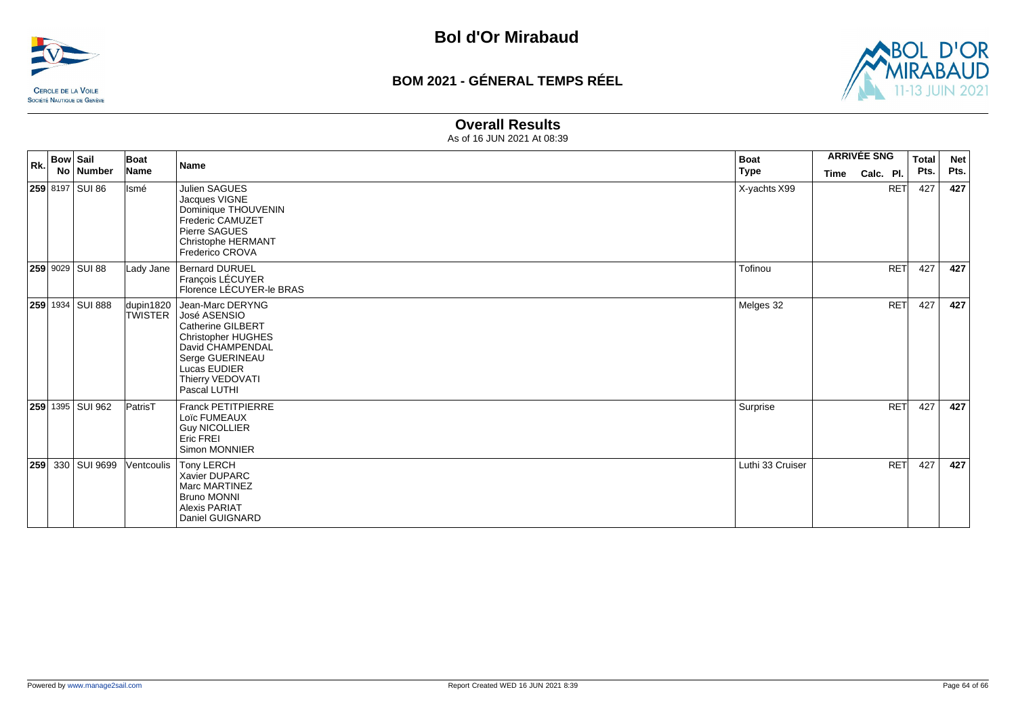



#### **Overall Results**

| $\vert$ Rk. $\vert$ Bow $\vert$ Sail | Boat        | <b>Name</b>                                                                                                                                                                                  | <b>Boat</b>      | <b>ARRIVÉE SNG</b> |            | Total | <b>Net</b> |
|--------------------------------------|-------------|----------------------------------------------------------------------------------------------------------------------------------------------------------------------------------------------|------------------|--------------------|------------|-------|------------|
| No Number                            | <b>Name</b> |                                                                                                                                                                                              | Type             | <b>Time</b>        | Calc. Pl.  | Pts.  | Pts.       |
| 259 8197 SUI 86                      | Ismé        | Julien SAGUES<br>Jacques VIGNE<br>Dominique THOUVENIN<br>Frederic CAMUZET<br>Pierre SAGUES<br>Christophe HERMANT<br><b>Frederico CROVA</b>                                                   | X-yachts X99     |                    | <b>RET</b> | 427   | 427        |
| 259 9029 SUI 88                      | Lady Jane   | <b>Bernard DURUEL</b><br>François LÉCUYER<br>Florence LÉCUYER-le BRAS                                                                                                                        | Tofinou          |                    | RET        | 427   | 427        |
| 259 1934 SUI 888                     | dupin1820   | Jean-Marc DERYNG<br>TWISTER José ASENSIO<br><b>Catherine GILBERT</b><br><b>Christopher HUGHES</b><br>David CHAMPENDAL<br>Serge GUERINEAU<br>Lucas EUDIER<br>Thierry VEDOVATI<br>Pascal LUTHI | Melges 32        |                    | <b>RET</b> | 427   | 427        |
| 259 1395 SUI 962                     | PatrisT     | <b>Franck PETITPIERRE</b><br>Loïc FUMEAUX<br><b>Guy NICOLLIER</b><br>Eric FREI<br>Simon MONNIER                                                                                              | Surprise         |                    | <b>RET</b> | 427   | 427        |
| 259 330 SUI 9699                     | Ventcoulis  | Tony LERCH<br>Xavier DUPARC<br>Marc MARTINEZ<br><b>Bruno MONNI</b><br><b>Alexis PARIAT</b><br>Daniel GUIGNARD                                                                                | Luthi 33 Cruiser |                    | <b>RET</b> | 427   | 427        |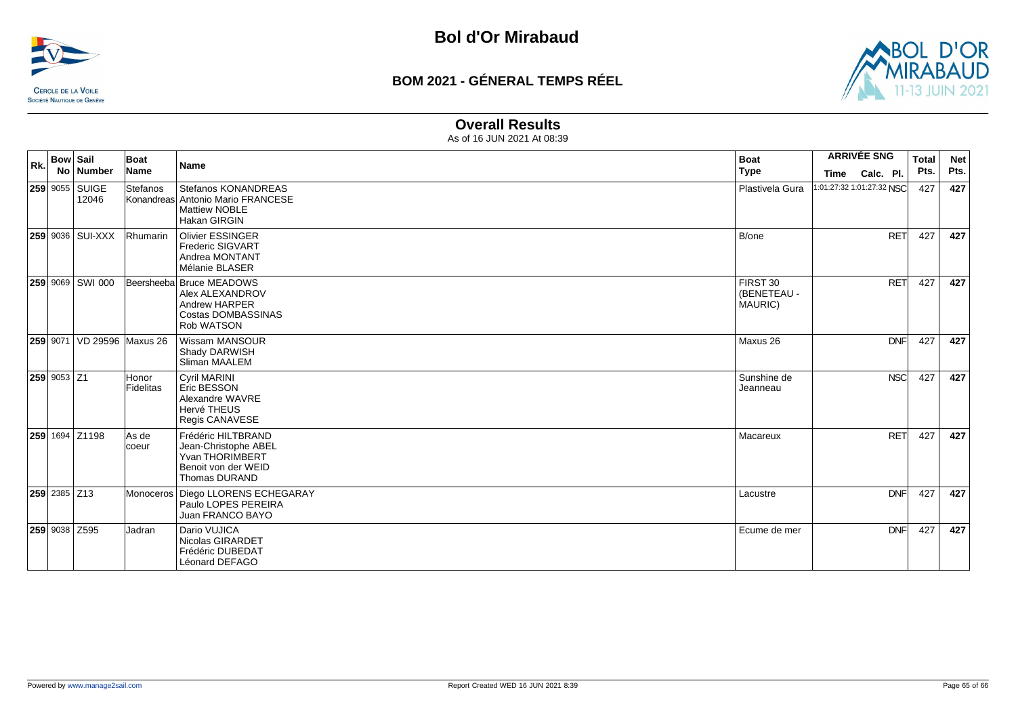



#### **Overall Results**

| Rk. | <b>Bow Sail</b> | No   Number                    | Boat<br>Name       | <b>Name</b>                                                                                                         | <b>Boat</b><br><b>Type</b>         | <b>ARRIVÉE SNG</b><br>Calc. Pl.<br>Time | <b>Total</b><br>Pts. | <b>Net</b><br>Pts. |
|-----|-----------------|--------------------------------|--------------------|---------------------------------------------------------------------------------------------------------------------|------------------------------------|-----------------------------------------|----------------------|--------------------|
|     |                 | <b>259 9055 SUIGE</b><br>12046 | Stefanos           | Stefanos KONANDREAS<br>Konandreas Antonio Mario FRANCESE<br><b>Mattiew NOBLE</b><br><b>Hakan GIRGIN</b>             | Plastivela Gura                    | 1:01:27:32 1:01:27:32 NSC               | 427                  | 427                |
|     |                 | <b>259 9036 SUI-XXX</b>        | Rhumarin           | <b>Olivier ESSINGER</b><br><b>Frederic SIGVART</b><br>Andrea MONTANT<br>Mélanie BLASER                              | B/one                              | <b>RET</b>                              | 427                  | 427                |
|     |                 | 259 9069 SWI 000               |                    | Beersheeba Bruce MEADOWS<br>Alex ALEXANDROV<br><b>Andrew HARPER</b><br><b>Costas DOMBASSINAS</b><br>Rob WATSON      | FIRST 30<br>(BENETEAU -<br>MAURIC) | <b>RET</b>                              | 427                  | 427                |
|     |                 | 259 9071 VD 29596 Maxus 26     |                    | Wissam MANSOUR<br>Shady DARWISH<br>Sliman MAALEM                                                                    | Maxus 26                           | <b>DNF</b>                              | 427                  | 427                |
|     | $259$ 9053 Z1   |                                | Honor<br>Fidelitas | Cyril MARINI<br><b>Eric BESSON</b><br>Alexandre WAVRE<br>Hervé THEUS<br>Regis CANAVESE                              | Sunshine de<br>Jeanneau            | <b>NSC</b>                              | 427                  | 427                |
|     |                 | 259 1694 Z1198                 | As de<br>coeur     | Frédéric HILTBRAND<br>Jean-Christophe ABEL<br><b>Yvan THORIMBERT</b><br>Benoit von der WEID<br><b>Thomas DURAND</b> | Macareux                           | <b>RET</b>                              | 427                  | 427                |
|     | 259 2385 Z13    |                                |                    | Monoceros   Diego LLORENS ECHEGARAY<br>Paulo LOPES PEREIRA<br>Juan FRANCO BAYO                                      | Lacustre                           | <b>DNF</b>                              | 427                  | 427                |
|     |                 | 259 9038 Z595                  | <b>Jadran</b>      | Dario VUJICA<br>Nicolas GIRARDET<br>Frédéric DUBEDAT<br>Léonard DEFAGO                                              | Ecume de mer                       | <b>DNF</b>                              | 427                  | 427                |